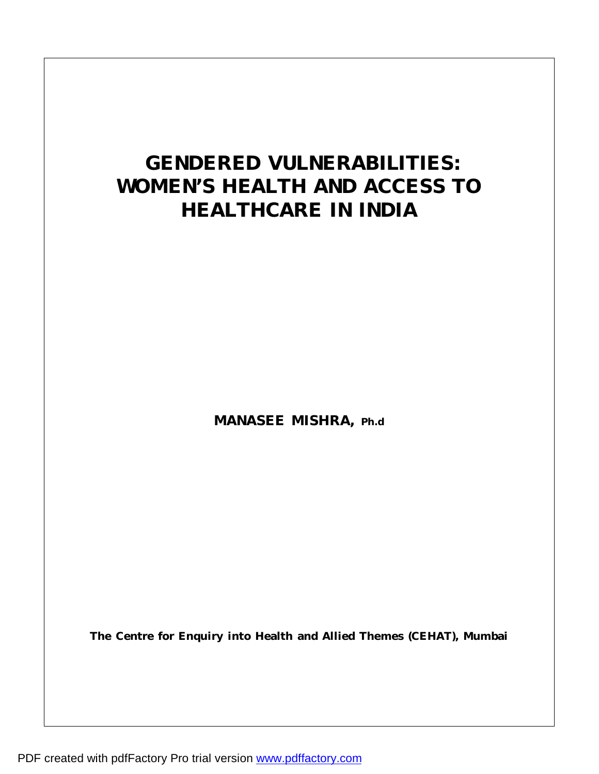# **GENDERED VULNERABILITIES: WOMEN'S HEALTH AND ACCESS TO HEALTHCARE IN INDIA**

**MANASEE MISHRA, Ph.d**

**The Centre for Enquiry into Health and Allied Themes (CEHAT), Mumbai**

PDF created with pdfFactory Pro trial version [www.pdffactory.com](http://www.pdffactory.com)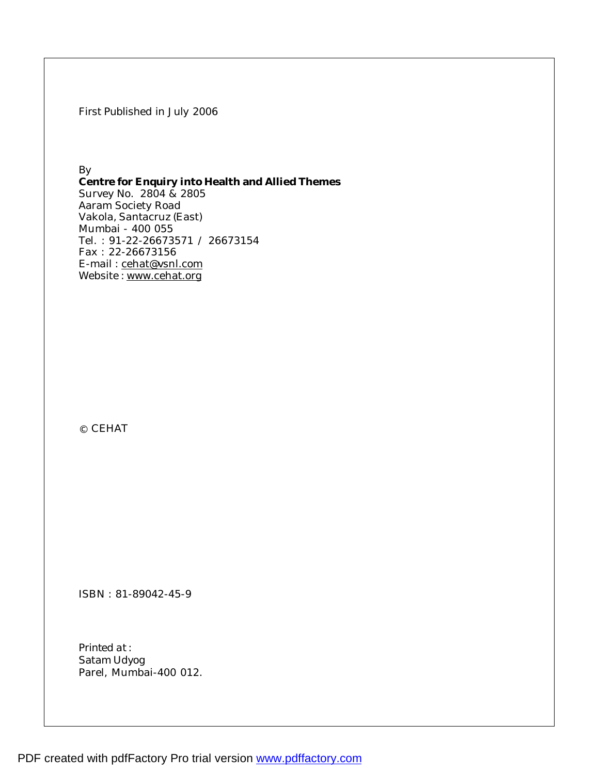*First Published in July 2006*

*By* **Centre for Enquiry into Health and Allied Themes** Survey No. 2804 & 2805 Aaram Society Road Vakola, Santacruz (East) Mumbai - 400 055 Tel. : 91-22-26673571 / 26673154 Fax : 22-26673156 E-mail : [cehat@vsnl.com](mailto:cehat@vsnl.com) Website : [www.cehat.org](http://www.cehat.org)

© CEHAT

ISBN : 81-89042-45-9

*Printed at :* Satam Udyog Parel, Mumbai-400 012.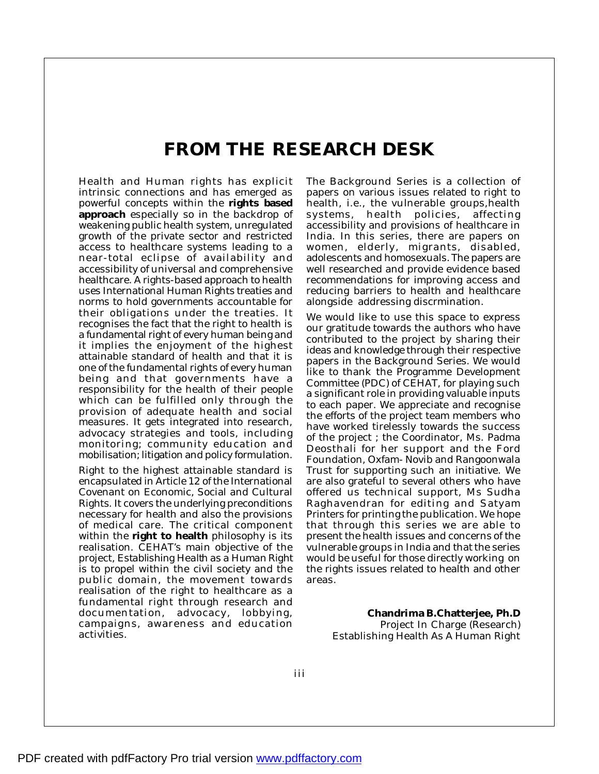## **FROM THE RESEARCH DESK**

Health and Human rights has explicit intrinsic connections and has emerged as powerful concepts within the **rights based approach** especially so in the backdrop of weakening public health system, unregulated growth of the private sector and restricted access to healthcare systems leading to a near-total eclipse of availability and accessibility of universal and comprehensive healthcare. A rights-based approach to health uses International Human Rights treaties and norms to hold governments accountable for their obligations under the treaties. It recognises the fact that the right to health is a fundamental right of every human being and it implies the enjoyment of the highest attainable standard of health and that it is one of the fundamental rights of every human being and that governments have a responsibility for the health of their people which can be fulfilled only through the provision of adequate health and social measures. It gets integrated into research, advocacy strategies and tools, including monitoring; community education and mobilisation; litigation and policy formulation.

Right to the highest attainable standard is encapsulated in Article 12 of the International Covenant on Economic, Social and Cultural Rights. It covers the underlying preconditions necessary for health and also the provisions of medical care. The critical component within the **right to health** philosophy is its realisation. CEHAT's main objective of the project, *Establishing Health as a Human Right* is to propel within the civil society and the public domain, the movement towards realisation of the right to healthcare as a fundamental right through research and documentation, advocacy, lobbying, campaigns, awareness and education activities.

The Background Series is a collection of papers on various issues related to right to health, i.e., the vulnerable groups,health systems, health policies, affecting accessibility and provisions of healthcare in India. In this series, there are papers on women, elderly, migrants, disabled, adolescents and homosexuals. The papers are well researched and provide evidence based recommendations for improving access and reducing barriers to health and healthcare alongside addressing discrmination.

We would like to use this space to express our gratitude towards the authors who have contributed to the project by sharing their ideas and knowledge through their respective papers in the Background Series. We would like to thank the Programme Development Committee (PDC) of CEHAT, for playing such a significant role in providing valuable inputs to each paper. We appreciate and recognise the efforts of the project team members who have worked tirelessly towards the success of the project ; the Coordinator, Ms. Padma Deosthali for her support and the Ford Foundation, Oxfam- Novib and Rangoonwala Trust for supporting such an initiative. We are also grateful to several others who have offered us technical support, Ms Sudha Raghavendran for editing and Satyam Printers for printing the publication. We hope that through this series we are able to present the health issues and concerns of the vulnerable groups in India and that the series would be useful for those directly working on the rights issues related to health and other areas.

> **Chandrima B.Chatterjee, Ph.D** Project In Charge (Research) Establishing Health As A Human Right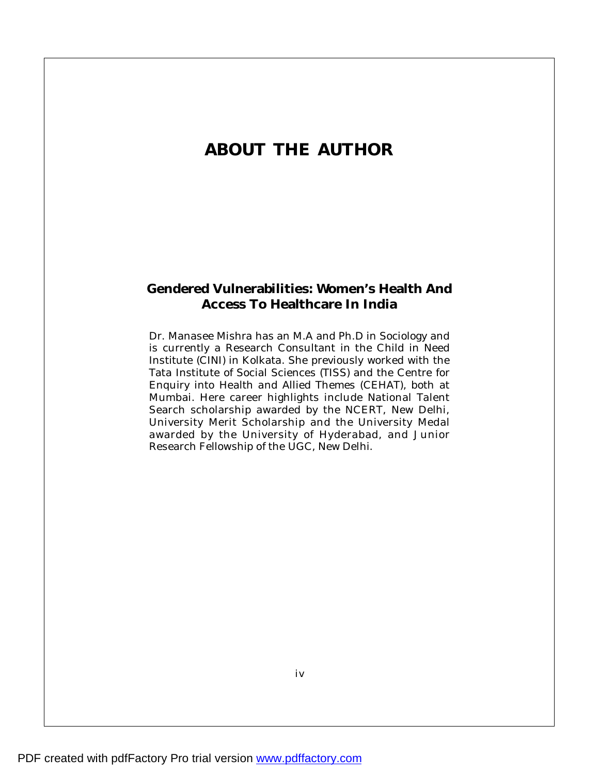## **ABOUT THE AUTHOR**

### **Gendered Vulnerabilities: Women's Health And Access To Healthcare In India**

Dr. Manasee Mishra has an M.A and Ph.D in Sociology and is currently a Research Consultant in the Child in Need Institute (CINI) in Kolkata. She previously worked with the Tata Institute of Social Sciences (TISS) and the Centre for Enquiry into Health and Allied Themes (CEHAT), both at Mumbai. Here career highlights include National Talent Search scholarship awarded by the NCERT, New Delhi, University Merit Scholarship and the University Medal awarded by the University of Hyderabad, and Junior Research Fellowship of the UGC, New Delhi.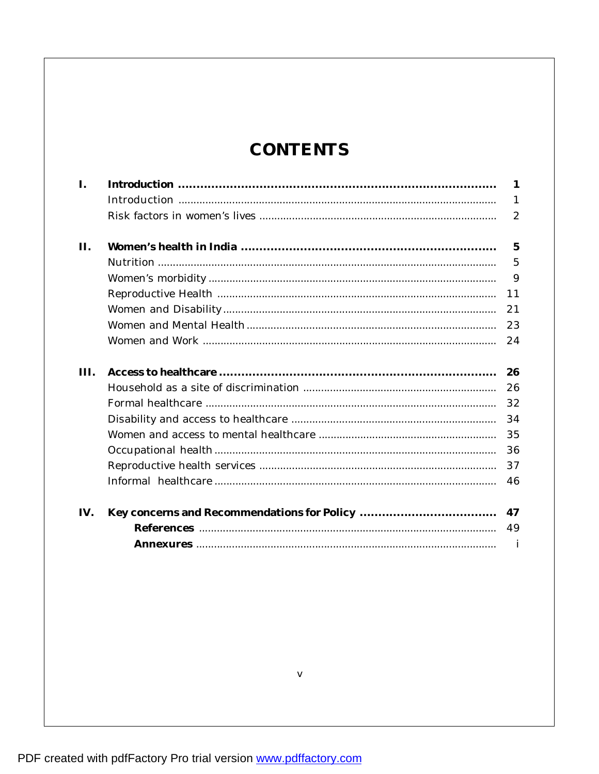# **CONTENTS**

| $\mathbf{I}$ . | $\mathbf{1}$     |
|----------------|------------------|
|                | $\mathbf{1}$     |
|                | $\boldsymbol{2}$ |
| II.            | $\overline{5}$   |
|                | $\overline{5}$   |
|                | 9                |
|                | 11               |
|                | 21               |
|                | 23               |
|                | 24               |
| III.           | 26               |
|                | 26               |
|                | 32               |
|                | 34               |
|                | 35               |
|                | 36               |
|                | 37               |
|                | 46               |
| IV.            | 47               |
|                | 49               |
|                | i                |

 $\mathbf{v}$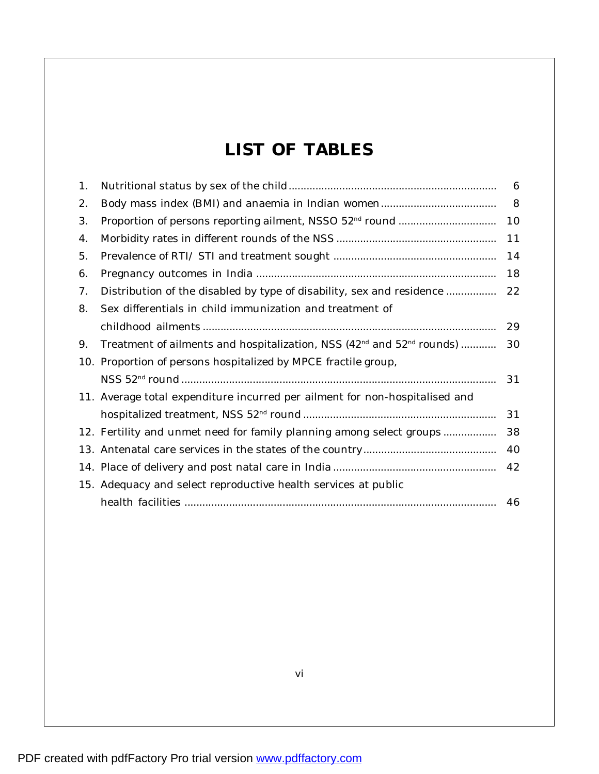# **LIST OF TABLES**

| 1. |                                                                                               | 6  |
|----|-----------------------------------------------------------------------------------------------|----|
| 2. |                                                                                               | 8  |
| 3. |                                                                                               | 10 |
| 4. |                                                                                               | 11 |
| 5. |                                                                                               | 14 |
| 6. |                                                                                               | 18 |
| 7. |                                                                                               |    |
| 8. | Sex differentials in child immunization and treatment of                                      |    |
|    |                                                                                               | 29 |
| 9. | Treatment of ailments and hospitalization, NSS (42 <sup>nd</sup> and 52 <sup>nd</sup> rounds) | 30 |
|    | 10. Proportion of persons hospitalized by MPCE fractile group,                                |    |
|    |                                                                                               | 31 |
|    | 11. Average total expenditure incurred per ailment for non-hospitalised and                   |    |
|    |                                                                                               | 31 |
|    | 12. Fertility and unmet need for family planning among select groups                          | 38 |
|    |                                                                                               | 40 |
|    |                                                                                               | 42 |
|    | 15. Adequacy and select reproductive health services at public                                |    |
|    |                                                                                               | 46 |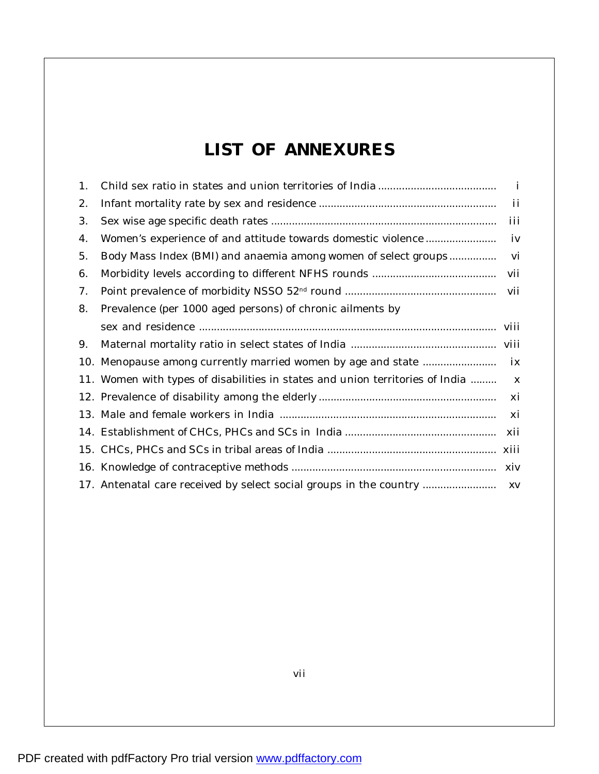# **LIST OF ANNEXURES**

| 1. |                                                                               | $\mathbf{i}$ |
|----|-------------------------------------------------------------------------------|--------------|
| 2. |                                                                               | ii           |
| 3. |                                                                               | iii          |
| 4. | Women's experience of and attitude towards domestic violence                  | iv           |
| 5. | Body Mass Index (BMI) and anaemia among women of select groups                | vi           |
| 6. |                                                                               | vii          |
| 7. |                                                                               |              |
| 8. | Prevalence (per 1000 aged persons) of chronic ailments by                     |              |
|    |                                                                               |              |
| 9. |                                                                               |              |
|    |                                                                               | ix           |
|    | 11. Women with types of disabilities in states and union territories of India | $\mathbf{x}$ |
|    |                                                                               | xi           |
|    |                                                                               | xi           |
|    |                                                                               | xii          |
|    |                                                                               |              |
|    |                                                                               |              |
|    |                                                                               |              |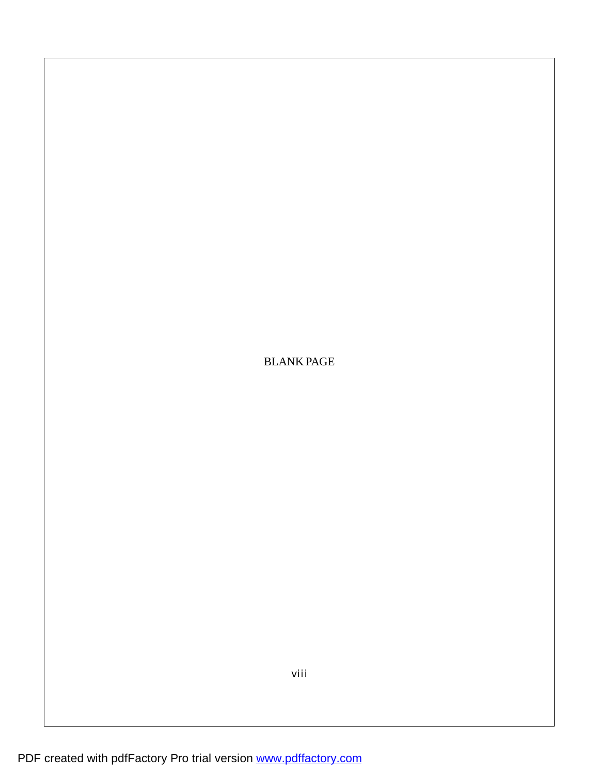BLANK PAGE

viii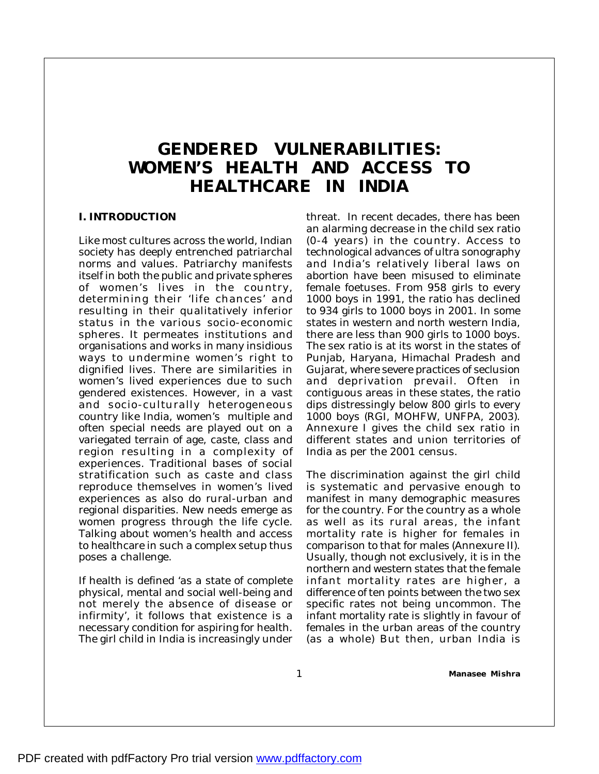### **GENDERED VULNERABILITIES: WOMEN'S HEALTH AND ACCESS TO HEALTHCARE IN INDIA**

#### **I. INTRODUCTION**

Like most cultures across the world, Indian society has deeply entrenched patriarchal norms and values. Patriarchy manifests itself in both the public and private spheres of women's lives in the country, determining their 'life chances' and resulting in their qualitatively inferior status in the various socio-economic spheres. It permeates institutions and organisations and works in many insidious ways to undermine women's right to dignified lives. There are similarities in women's lived experiences due to such gendered existences. However, in a vast and socio-culturally heterogeneous country like India, women's multiple and often special needs are played out on a variegated terrain of age, caste, class and region resulting in a complexity of experiences. Traditional bases of social stratification such as caste and class reproduce themselves in women's lived experiences as also do rural-urban and regional disparities. New needs emerge as women progress through the life cycle. Talking about women's health and access to healthcare in such a complex setup thus poses a challenge.

If health is defined 'as a state of complete physical, mental and social well-being and not merely the absence of disease or infirmity', it follows that existence is a necessary condition for aspiring for health. The girl child in India is increasingly under threat. In recent decades, there has been an alarming decrease in the child sex ratio (0-4 years) in the country. Access to technological advances of ultra sonography and India's relatively liberal laws on abortion have been misused to eliminate female foetuses. From 958 girls to every 1000 boys in 1991, the ratio has declined to 934 girls to 1000 boys in 2001. In some states in western and north western India, there are less than 900 girls to 1000 boys. The sex ratio is at its worst in the states of Punjab, Haryana, Himachal Pradesh and Gujarat, where severe practices of seclusion and deprivation prevail. Often in contiguous areas in these states, the ratio dips distressingly below 800 girls to every 1000 boys (RGI, MOHFW, UNFPA, 2003). Annexure I gives the child sex ratio in different states and union territories of India as per the 2001 census.

The discrimination against the girl child is systematic and pervasive enough to manifest in many demographic measures for the country. For the country as a whole as well as its rural areas, the infant mortality rate is higher for females in comparison to that for males (Annexure II). Usually, though not exclusively, it is in the northern and western states that the female infant mortality rates are higher, a difference of ten points between the two sex specific rates not being uncommon. The infant mortality rate is slightly in favour of females in the urban areas of the country (as a whole) But then, urban India is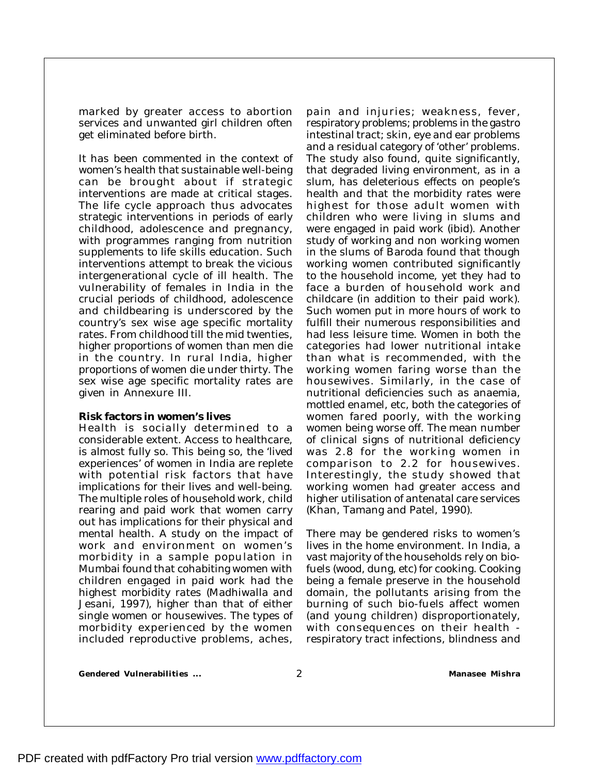marked by greater access to abortion services and unwanted girl children often get eliminated before birth.

It has been commented in the context of women's health that sustainable well-being can be brought about if strategic interventions are made at critical stages. The life cycle approach thus advocates strategic interventions in periods of early childhood, adolescence and pregnancy, with programmes ranging from nutrition supplements to life skills education. Such interventions attempt to break the vicious intergenerational cycle of ill health. The vulnerability of females in India in the crucial periods of childhood, adolescence and childbearing is underscored by the country's sex wise age specific mortality rates. From childhood till the mid twenties, higher proportions of women than men die in the country. In rural India, higher proportions of women die under thirty. The sex wise age specific mortality rates are given in Annexure III.

#### **Risk factors in women's lives**

Health is socially determined to a considerable extent. Access to healthcare, is almost fully so. This being so, the 'lived experiences' of women in India are replete with potential risk factors that have implications for their lives and well-being. The multiple roles of household work, child rearing and paid work that women carry out has implications for their physical and mental health. A study on the impact of work and environment on women's morbidity in a sample population in Mumbai found that cohabiting women with children engaged in paid work had the highest morbidity rates (Madhiwalla and Jesani, 1997), higher than that of either single women or housewives. The types of morbidity experienced by the women included reproductive problems, aches,

pain and injuries; weakness, fever, respiratory problems; problems in the gastro intestinal tract; skin, eye and ear problems and a residual category of 'other' problems. The study also found, quite significantly, that degraded living environment, as in a slum, has deleterious effects on people's health and that the morbidity rates were highest for those adult women with children who were living in slums and were engaged in paid work (ibid). Another study of working and non working women in the slums of Baroda found that though working women contributed significantly to the household income, yet they had to face a burden of household work and childcare (in addition to their paid work). Such women put in more hours of work to fulfill their numerous responsibilities and had less leisure time. Women in both the categories had lower nutritional intake than what is recommended, with the working women faring worse than the housewives. Similarly, in the case of nutritional deficiencies such as anaemia, mottled enamel, etc, both the categories of women fared poorly, with the working women being worse off. The mean number of clinical signs of nutritional deficiency was 2.8 for the working women in comparison to 2.2 for housewives. Interestingly, the study showed that working women had greater access and higher utilisation of antenatal care services (Khan, Tamang and Patel, 1990).

There may be gendered risks to women's lives in the home environment. In India, a vast majority of the households rely on biofuels (wood, dung, etc) for cooking. Cooking being a female preserve in the household domain, the pollutants arising from the burning of such bio-fuels affect women (and young children) disproportionately, with consequences on their health respiratory tract infections, blindness and

**Gendered Vulnerabilities ...** 2 **Manasee Mishra**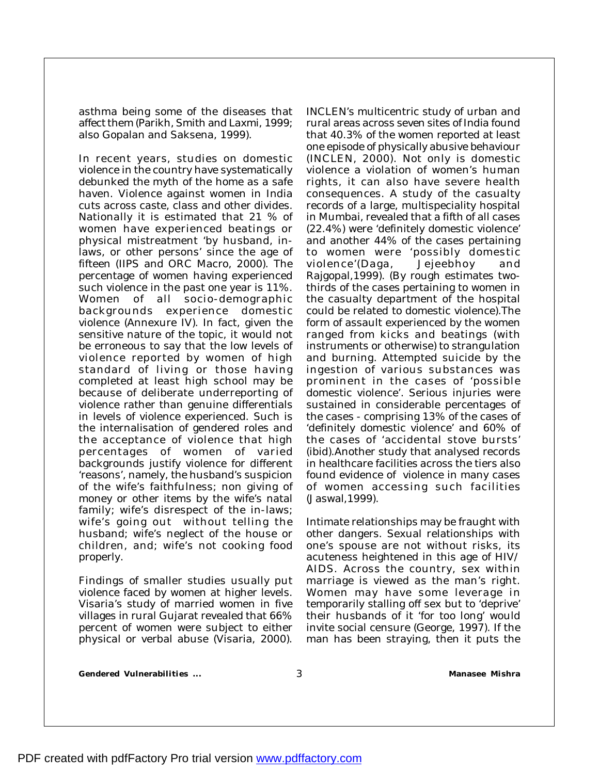asthma being some of the diseases that affect them (Parikh, Smith and Laxmi, 1999; also Gopalan and Saksena, 1999).

In recent years, studies on domestic violence in the country have systematically debunked the myth of the home as a safe haven. Violence against women in India cuts across caste, class and other divides. Nationally it is estimated that 21 % of women have experienced beatings or physical mistreatment 'by husband, inlaws, or other persons' since the age of fifteen (IIPS and ORC Macro, 2000). The percentage of women having experienced such violence in the past one year is 11%. Women of all socio-demographic backgrounds experience domestic violence (Annexure IV). In fact, given the sensitive nature of the topic, it would not be erroneous to say that the low levels of violence reported by women of high standard of living or those having completed at least high school may be because of deliberate underreporting of violence rather than genuine differentials in levels of violence experienced. Such is the internalisation of gendered roles and the acceptance of violence that high percentages of women of varied backgrounds justify violence for different 'reasons', namely, the husband's suspicion of the wife's faithfulness; non giving of money or other items by the wife's natal family; wife's disrespect of the in-laws; wife's going out without telling the husband; wife's neglect of the house or children, and; wife's not cooking food properly.

Findings of smaller studies usually put violence faced by women at higher levels. Visaria's study of married women in five villages in rural Gujarat revealed that 66% percent of women were subject to either physical or verbal abuse (Visaria, 2000).

INCLEN's multicentric study of urban and rural areas across seven sites of India found that 40.3% of the women reported at least one episode of physically abusive behaviour (INCLEN, 2000). Not only is domestic violence a violation of women's human rights, it can also have severe health consequences. A study of the casualty records of a large, multispeciality hospital in Mumbai, revealed that a fifth of all cases (22.4%) were 'definitely domestic violence' and another 44% of the cases pertaining to women were 'possibly domestic violence'(Daga, Jejeebhoy and Rajgopal,1999). (By rough estimates twothirds of the cases pertaining to women in the casualty department of the hospital could be related to domestic violence).The form of assault experienced by the women ranged from kicks and beatings (with instruments or otherwise) to strangulation and burning. Attempted suicide by the ingestion of various substances was prominent in the cases of 'possible domestic violence'. Serious injuries were sustained in considerable percentages of the cases - comprising 13% of the cases of 'definitely domestic violence' and 60% of the cases of 'accidental stove bursts' (ibid).Another study that analysed records in healthcare facilities across the tiers also found evidence of violence in many cases of women accessing such facilities (Jaswal,1999).

Intimate relationships may be fraught with other dangers. Sexual relationships with one's spouse are not without risks, its acuteness heightened in this age of HIV/ AIDS. Across the country, sex within marriage is viewed as the man's right. Women may have some leverage in temporarily stalling off sex but to 'deprive' their husbands of it 'for too long' would invite social censure (George, 1997). If the man has been straying, then it puts the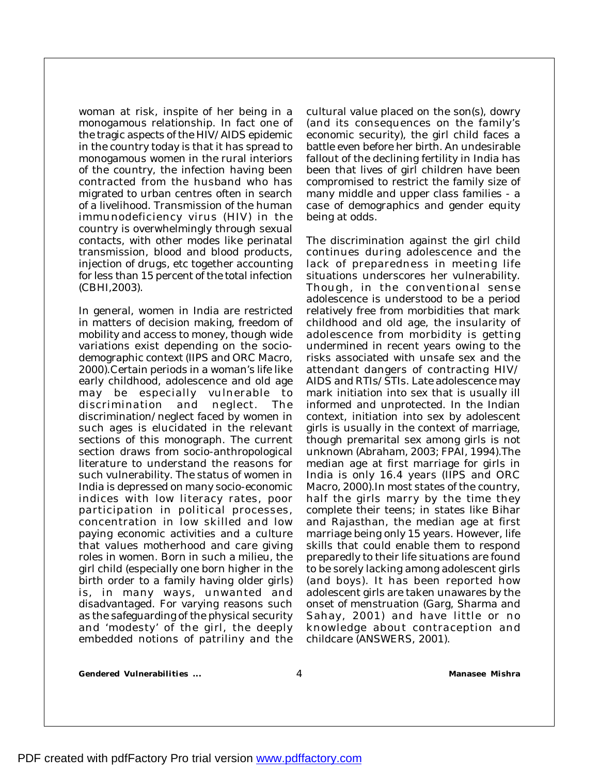woman at risk, inspite of her being in a monogamous relationship. In fact one of the tragic aspects of the HIV/AIDS epidemic in the country today is that it has spread to monogamous women in the rural interiors of the country, the infection having been contracted from the husband who has migrated to urban centres often in search of a livelihood. Transmission of the human immunodeficiency virus (HIV) in the country is overwhelmingly through sexual contacts, with other modes like perinatal transmission, blood and blood products, injection of drugs, etc together accounting for less than 15 percent of the total infection (CBHI,2003).

In general, women in India are restricted in matters of decision making, freedom of mobility and access to money, though wide variations exist depending on the sociodemographic context (IIPS and ORC Macro, 2000).Certain periods in a woman's life like early childhood, adolescence and old age may be especially vulnerable to discrimination and neglect. The discrimination/neglect faced by women in such ages is elucidated in the relevant sections of this monograph. The current section draws from socio-anthropological literature to understand the reasons for such vulnerability. The status of women in India is depressed on many socio-economic indices with low literacy rates, poor participation in political processes, concentration in low skilled and low paying economic activities and a culture that values motherhood and care giving roles in women. Born in such a milieu, the girl child (especially one born higher in the birth order to a family having older girls) is, in many ways, unwanted and disadvantaged. For varying reasons such as the safeguarding of the physical security and 'modesty' of the girl, the deeply embedded notions of patriliny and the

cultural value placed on the son(s), dowry (and its consequences on the family's economic security), the girl child faces a battle even before her birth. An undesirable fallout of the declining fertility in India has been that lives of girl children have been compromised to restrict the family size of many middle and upper class families - a case of demographics and gender equity being at odds.

The discrimination against the girl child continues during adolescence and the lack of preparedness in meeting life situations underscores her vulnerability. Though, in the conventional sense adolescence is understood to be a period relatively free from morbidities that mark childhood and old age, the insularity of adolescence from morbidity is getting undermined in recent years owing to the risks associated with unsafe sex and the attendant dangers of contracting HIV/ AIDS and RTIs/STIs. Late adolescence may mark initiation into sex that is usually ill informed and unprotected. In the Indian context, initiation into sex by adolescent girls is usually in the context of marriage, though premarital sex among girls is not unknown (Abraham, 2003; FPAI, 1994).The median age at first marriage for girls in India is only 16.4 years (IIPS and ORC Macro, 2000).In most states of the country, half the girls marry by the time they complete their teens; in states like Bihar and Rajasthan, the median age at first marriage being only 15 years. However, life skills that could enable them to respond preparedly to their life situations are found to be sorely lacking among adolescent girls (and boys). It has been reported how adolescent girls are taken unawares by the onset of menstruation (Garg, Sharma and Sahay, 2001) and have little or no knowledge about contraception and childcare (ANSWERS, 2001).

**Gendered Vulnerabilities ...** 4 **Manasee Mishra**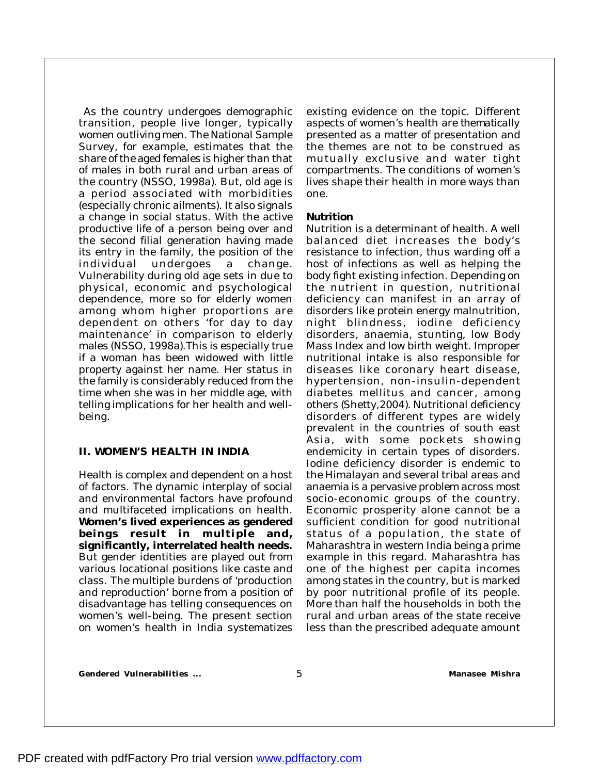As the country undergoes demographic transition, people live longer, typically women outliving men. The National Sample Survey, for example, estimates that the share of the aged females is higher than that of males in both rural and urban areas of the country (NSSO, 1998a). But, old age is a period associated with morbidities (especially chronic ailments). It also signals a change in social status. With the active productive life of a person being over and the second filial generation having made its entry in the family, the position of the individual undergoes a change. Vulnerability during old age sets in due to physical, economic and psychological dependence, more so for elderly women among whom higher proportions are dependent on others 'for day to day maintenance' in comparison to elderly males (NSSO, 1998a).This is especially true if a woman has been widowed with little property against her name. Her status in the family is considerably reduced from the time when she was in her middle age, with telling implications for her health and wellbeing.

#### **II. WOMEN'S HEALTH IN INDIA**

Health is complex and dependent on a host of factors. The dynamic interplay of social and environmental factors have profound and multifaceted implications on health. **Women's lived experiences as gendered beings result** in multiple and, **significantly, interrelated health needs.** But gender identities are played out from various locational positions like caste and class. The multiple burdens of 'production and reproduction' borne from a position of disadvantage has telling consequences on women's well-being. The present section on women's health in India systematizes

existing evidence on the topic. Different aspects of women's health are *thematically* presented as a matter of presentation and the themes are not to be construed as mutually exclusive and water tight compartments. The conditions of women's lives shape their health in more ways than one.

#### **Nutrition**

Nutrition is a determinant of health. A well balanced diet increases the body's resistance to infection, thus warding off a host of infections as well as helping the body fight existing infection. Depending on the nutrient in question, nutritional deficiency can manifest in an array of disorders like protein energy malnutrition, night blindness, iodine deficiency disorders, anaemia, stunting, low Body Mass Index and low birth weight. Improper nutritional intake is also responsible for diseases like coronary heart disease, hypertension, non-insulin-dependent diabetes mellitus and cancer, among others (Shetty,2004). Nutritional deficiency disorders of different types are widely prevalent in the countries of south east Asia, with some pockets showing endemicity in certain types of disorders. Iodine deficiency disorder is endemic to the Himalayan and several tribal areas and anaemia is a pervasive problem across most socio-economic groups of the country. Economic prosperity alone cannot be a sufficient condition for good nutritional status of a population, the state of Maharashtra in western India being a prime example in this regard. Maharashtra has one of the highest per capita incomes among states in the country, but is marked by poor nutritional profile of its people. More than half the households in both the rural and urban areas of the state receive less than the prescribed adequate amount

**Gendered Vulnerabilities ...** 5 **Manasee Mishra**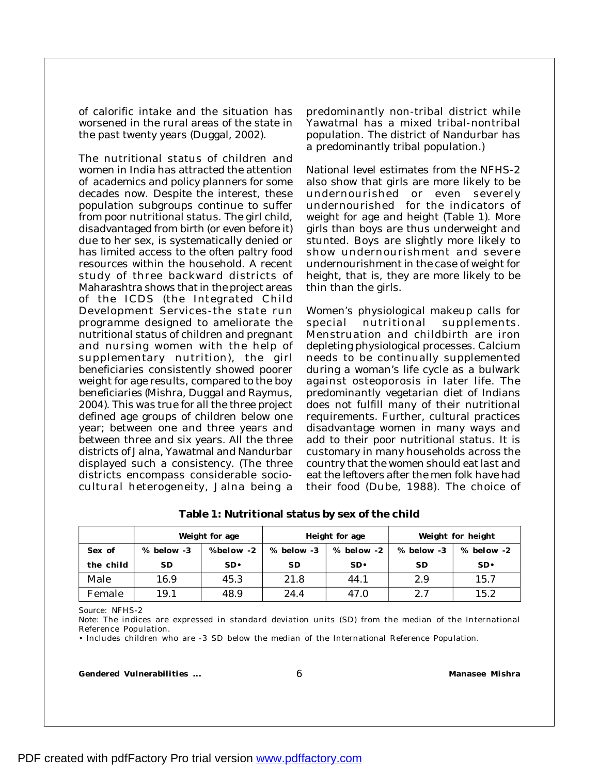of calorific intake and the situation has worsened in the rural areas of the state in the past twenty years (Duggal, 2002).

The nutritional status of children and women in India has attracted the attention of academics and policy planners for some decades now. Despite the interest, these population subgroups continue to suffer from poor nutritional status. The girl child, disadvantaged from birth (or even before it) due to her sex, is systematically denied or has limited access to the often paltry food resources within the household. A recent study of three backward districts of Maharashtra shows that in the project areas of the ICDS (the Integrated Child Development Services-the state run programme designed to ameliorate the nutritional status of children and pregnant and nursing women with the help of supplementary nutrition), the girl beneficiaries consistently showed poorer weight for age results, compared to the boy beneficiaries (Mishra, Duggal and Raymus, 2004). This was true for all the three project defined age groups of children below one year; between one and three years and between three and six years. All the three districts of Jalna, Yawatmal and Nandurbar displayed such a consistency. (The three districts encompass considerable sociocultural heterogeneity, Jalna being a

predominantly non-tribal district while Yawatmal has a mixed tribal-nontribal population. The district of Nandurbar has a predominantly tribal population.)

National level estimates from the NFHS-2 also show that girls are more likely to be undernourished or even severely undernourished for the indicators of weight for age and height (Table 1). More girls than boys are thus underweight and stunted. Boys are slightly more likely to show undernourishment and severe undernourishment in the case of weight for height, that is, they are more likely to be thin than the girls.

Women's physiological makeup calls for special nutritional supplements. Menstruation and childbirth are iron depleting physiological processes. Calcium needs to be continually supplemented during a woman's life cycle as a bulwark against osteoporosis in later life. The predominantly vegetarian diet of Indians does not fulfill many of their nutritional requirements. Further, cultural practices disadvantage women in many ways and add to their poor nutritional status. It is customary in many households across the country that the women should eat last and eat the leftovers after the men folk have had their food (Dube, 1988). The choice of

|           | Weight for age |           | Height for age |                | Weight for height |                |
|-----------|----------------|-----------|----------------|----------------|-------------------|----------------|
| Sex of    | $%$ below $-3$ | %below -2 | $%$ below $-3$ | $%$ below $-2$ | $%$ below $-3$    | $%$ below $-2$ |
| the child | <b>SD</b>      | $SD-$     | <b>SD</b>      | $SD-$          | <b>SD</b>         | $SD-$          |
| Male      | 16.9           | 45.3      | 21.8           | 44.1           | 2.9               | 15.7           |
| Female    | 19.1           | 48.9      | 24.4           | 47.0           | 2.7               | 15.2           |

**Table 1: Nutritional status by sex of the child**

*Source:* NFHS-2

*Note:* The indices are expressed in standard deviation units (SD) from the median of the International Reference Population.

• Includes children who are -3 SD below the median of the International Reference Population.

**Gendered Vulnerabilities ...** 6 **Manasee Mishra**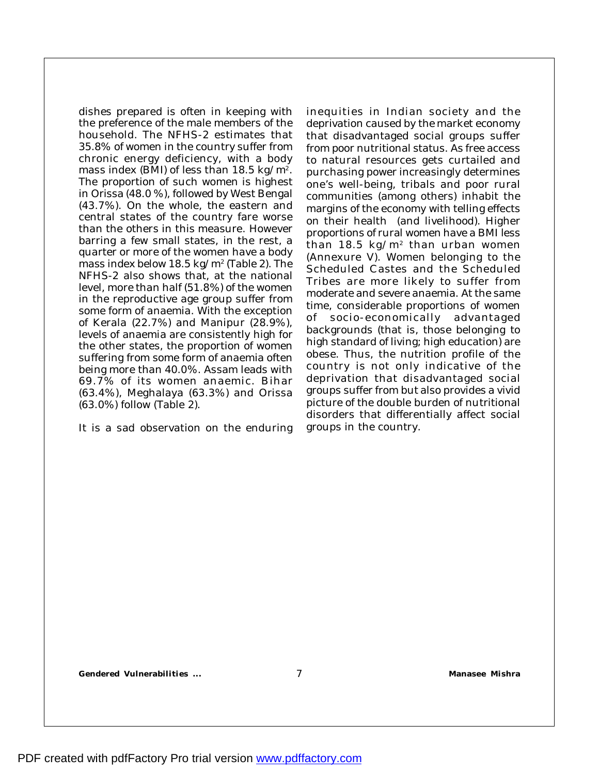dishes prepared is often in keeping with the preference of the male members of the household. The NFHS-2 estimates that 35.8% of women in the country suffer from chronic energy deficiency, with a body mass index (BMI) of less than 18.5 kg/m². The proportion of such women is highest in Orissa (48.0 %), followed by West Bengal (43.7%). On the whole, the eastern and central states of the country fare worse than the others in this measure. However barring a few small states, in the rest, a quarter or more of the women have a body mass index below 18.5 kg/m² (Table 2). The NFHS-2 also shows that, at the national level, more than half (51.8%) of the women in the reproductive age group suffer from some form of anaemia. With the exception of Kerala (22.7%) and Manipur (28.9%), levels of anaemia are consistently high for the other states, the proportion of women suffering from some form of anaemia often being more than 40.0%. Assam leads with 69.7% of its women anaemic. Bihar (63.4%), Meghalaya (63.3%) and Orissa (63.0%) follow (Table 2).

It is a sad observation on the enduring

inequities in Indian society and the deprivation caused by the market economy that disadvantaged social groups suffer from poor nutritional status. As free access to natural resources gets curtailed and purchasing power increasingly determines one's well-being, tribals and poor rural communities (among others) inhabit the margins of the economy with telling effects on their health (and livelihood). Higher proportions of rural women have a BMI less than 18.5 kg/m<sup>2</sup> than urban women (Annexure V). Women belonging to the Scheduled Castes and the Scheduled Tribes are more likely to suffer from moderate and severe anaemia. At the same time, considerable proportions of women of socio-economically advantaged backgrounds (that is, those belonging to high standard of living; high education) are obese. Thus, the nutrition profile of the country is not only indicative of the deprivation that disadvantaged social groups suffer from but also provides a vivid picture of the double burden of nutritional disorders that differentially affect social groups in the country.

**Gendered Vulnerabilities ...** 7 **Manasee Mishra**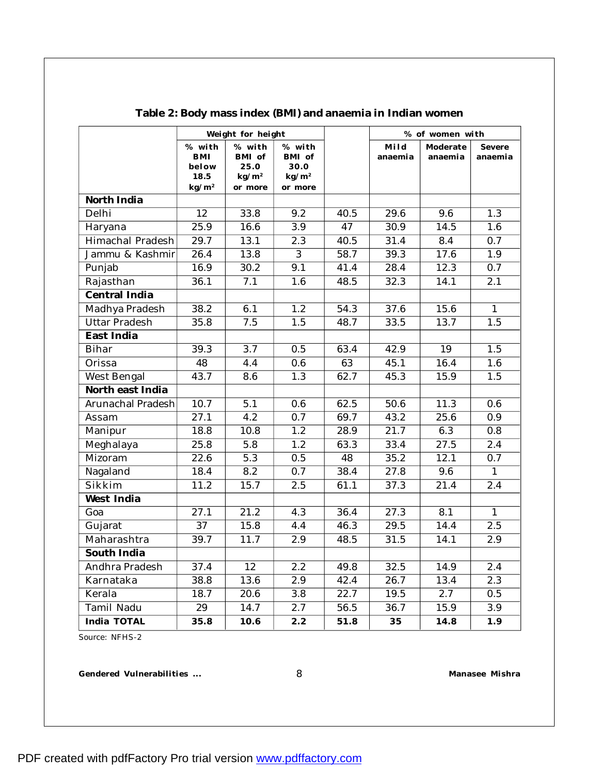|                          | Weight for height              |                                                    |                                                    |                   | % of women with     |                     |                          |
|--------------------------|--------------------------------|----------------------------------------------------|----------------------------------------------------|-------------------|---------------------|---------------------|--------------------------|
|                          | % with<br>BMI<br>below<br>18.5 | % with<br>BMI of<br>25.0<br>$\text{kg}/\text{m}^2$ | % with<br>BMI of<br>30.0<br>$\text{kg}/\text{m}^2$ |                   | Mild<br>anaemia     | Moderate<br>anaemia | <b>Severe</b><br>anaemia |
|                          | kg/m <sup>2</sup>              | or more                                            | or more                                            |                   |                     |                     |                          |
| North India              |                                |                                                    |                                                    |                   |                     |                     |                          |
| Delhi                    | 12                             | 33.8                                               | 9.2                                                | 40.5              | 29.6                | 9.6                 | 1.3                      |
| Haryana                  | 25.9                           | 16.6                                               | 3.9                                                | 47                | 30.9                | 14.5                | 1.6                      |
| <b>Himachal Pradesh</b>  | 29.7                           | $\overline{13.1}$                                  | 2.3                                                | 40.5              | 31.4                | 8.4                 | $\overline{0.7}$         |
| Jammu & Kashmir          | 26.4                           | 13.8                                               | $\overline{3}$                                     | 58.7              | 39.3                | 17.6                | $\overline{1.9}$         |
| Punjab                   | 16.9                           | 30.2                                               | $\overline{9.1}$                                   | $\overline{41.4}$ | $\frac{28.4}{28.4}$ | 12.3                | $\overline{0.7}$         |
| Rajasthan                | 36.1                           | $\overline{7.1}$                                   | 1.6                                                | 48.5              | 32.3                | 14.1                | 2.1                      |
| <b>Central India</b>     |                                |                                                    |                                                    |                   |                     |                     |                          |
| <b>Madhya Pradesh</b>    | 38.2                           | 6.1                                                | 1.2                                                | 54.3              | $\overline{37.6}$   | 15.6                | $\mathbf{1}$             |
| <b>Uttar Pradesh</b>     | 35.8                           | 7.5                                                | 1.5                                                | 48.7              | 33.5                | 13.7                | 1.5                      |
| East India               |                                |                                                    |                                                    |                   |                     |                     |                          |
| <b>Bihar</b>             | 39.3                           | 3.7                                                | 0.5                                                | 63.4              | 42.9                | 19                  | 1.5                      |
| Orissa                   | 48                             | 4.4                                                | 0.6                                                | 63                | 45.1                | 16.4                | 1.6                      |
| <b>West Bengal</b>       | 43.7                           | 8.6                                                | 1.3                                                | 62.7              | 45.3                | 15.9                | 1.5                      |
| North east India         |                                |                                                    |                                                    |                   |                     |                     |                          |
| <b>Arunachal Pradesh</b> | 10.7                           | 5.1                                                | 0.6                                                | $\overline{62.5}$ | 50.6                | 11.3                | 0.6                      |
| Assam                    | $\overline{27.1}$              | $\overline{4.2}$                                   | $\overline{0.7}$                                   | 69.7              | $\overline{43.2}$   | 25.6                | $\overline{0.9}$         |
| <b>Manipur</b>           | 18.8                           | 10.8                                               | $\overline{1.2}$                                   | 28.9              | $\overline{21.7}$   | 6.3                 | 0.8                      |
| Meghalaya                | 25.8                           | $\overline{5.8}$                                   | $\overline{1.2}$                                   | 63.3              | 33.4                | 27.5                | 2.4                      |
| <b>Mizoram</b>           | 22.6                           | 5.3                                                | 0.5                                                | 48                | 35.2                | 12.1                | 0.7                      |
| Nagaland                 | 18.4                           | $\overline{8.2}$                                   | 0.7                                                | 38.4              | 27.8                | 9.6                 | $\mathbf{1}$             |
| Sikkim                   | 11.2                           | 15.7                                               | 2.5                                                | 61.1              | 37.3                | 21.4                | 2.4                      |
| <b>West India</b>        |                                |                                                    |                                                    |                   |                     |                     |                          |
| Goa                      | 27.1                           | 21.2                                               | $\overline{4.3}$                                   | 36.4              | $\overline{27.3}$   | 8.1                 | $\mathbf{1}$             |
| Gujarat                  | $\overline{37}$                | $\overline{15.8}$                                  | 4.4                                                | 46.3              | 29.5                | 14.4                | $\overline{2.5}$         |
| Maharashtra              | 39.7                           | 11.7                                               | 2.9                                                | 48.5              | 31.5                | 14.1                | 2.9                      |
| <b>South India</b>       |                                |                                                    |                                                    |                   |                     |                     |                          |
| <b>Andhra Pradesh</b>    | 37.4                           | 12                                                 | 2.2                                                | 49.8              | 32.5                | 14.9                | 2.4                      |
| Karnataka                | 38.8                           | 13.6                                               | 2.9                                                | 42.4              | 26.7                | 13.4                | 2.3                      |
| <b>Kerala</b>            | 18.7                           | 20.6                                               | 3.8                                                | 22.7              | 19.5                | 2.7                 | 0.5                      |
| <b>Tamil Nadu</b>        | $\overline{29}$                | 14.7                                               | $\overline{2.7}$                                   | 56.5              | 36.7                | 15.9                | $\overline{3.9}$         |
| India TOTAL              | 35.8                           | 10.6                                               | 2.2                                                | 51.8              | 35                  | 14.8                | 1.9                      |

### **Table 2: Body mass index (BMI) and anaemia in Indian women**

*Source:* NFHS-2

**Gendered Vulnerabilities ...** 8 **Manasee Mishra**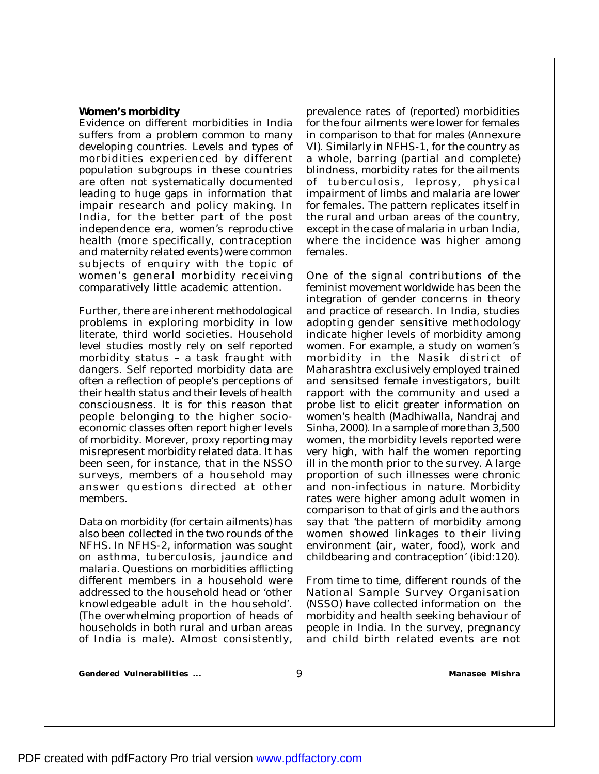#### **Women's morbidity**

Evidence on different morbidities in India suffers from a problem common to many developing countries. Levels and types of morbidities experienced by different population subgroups in these countries are often not systematically documented leading to huge gaps in information that impair research and policy making. In India, for the better part of the post independence era, women's reproductive health (more specifically, contraception and maternity related events) were common subjects of enquiry with the topic of women's general morbidity receiving comparatively little academic attention.

Further, there are inherent methodological problems in exploring morbidity in low literate, third world societies. Household level studies mostly rely on self reported morbidity status – a task fraught with dangers. Self reported morbidity data are often a reflection of people's perceptions of their health status and their levels of health consciousness. It is for this reason that people belonging to the higher socioeconomic classes often report higher levels of morbidity. Morever, proxy reporting may misrepresent morbidity related data. It has been seen, for instance, that in the NSSO surveys, members of a household may answer questions directed at other members.

Data on morbidity (for certain ailments) has also been collected in the two rounds of the NFHS. In NFHS-2, information was sought on asthma, tuberculosis, jaundice and malaria. Questions on morbidities afflicting different members in a household were addressed to the household head or 'other knowledgeable adult in the household'. (The overwhelming proportion of heads of households in both rural and urban areas of India is male). Almost consistently,

prevalence rates of (reported) morbidities for the four ailments were lower for females in comparison to that for males (Annexure VI). Similarly in NFHS-1, for the country as a whole, barring (partial and complete) blindness, morbidity rates for the ailments of tuberculosis, leprosy, physical impairment of limbs and malaria are lower for females. The pattern replicates itself in the rural and urban areas of the country, except in the case of malaria in urban India, where the incidence was higher among females.

One of the signal contributions of the feminist movement worldwide has been the integration of gender concerns in theory and practice of research. In India, studies adopting gender sensitive methodology indicate higher levels of morbidity among women. For example, a study on women's morbidity in the Nasik district of Maharashtra exclusively employed trained and sensitsed female investigators, built rapport with the community and used a probe list to elicit greater information on women's health (Madhiwalla, Nandraj and Sinha, 2000). In a sample of more than 3,500 women, the morbidity levels reported were very high, with half the women reporting ill in the month prior to the survey. A large proportion of such illnesses were chronic and non-infectious in nature. Morbidity rates were higher among adult women in comparison to that of girls and the authors say that 'the pattern of morbidity among women showed linkages to their living environment (air, water, food), work and childbearing and contraception' (ibid:120).

From time to time, different rounds of the National Sample Survey Organisation (NSSO) have collected information on the morbidity and health seeking behaviour of people in India. In the survey, pregnancy and child birth related events are not

**Gendered Vulnerabilities ...** 9 **Manasee Mishra**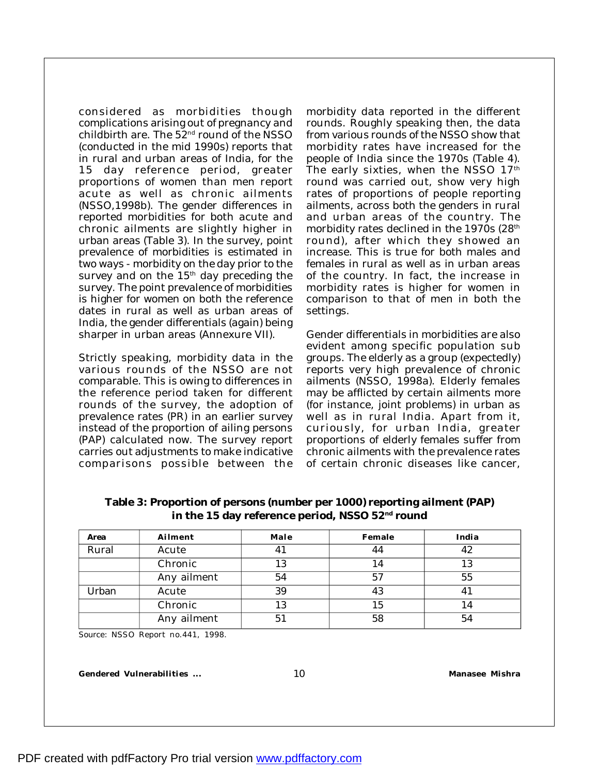considered as morbidities though complications arising out of pregnancy and childbirth are. The 52nd round of the NSSO (conducted in the mid 1990s) reports that in rural and urban areas of India, for the 15 day reference period, greater proportions of women than men report acute as well as chronic ailments (NSSO,1998b). The gender differences in reported morbidities for both acute and chronic ailments are slightly higher in urban areas (Table 3). In the survey, point prevalence of morbidities is estimated in two ways - morbidity on the day prior to the survey and on the  $15<sup>th</sup>$  day preceding the survey. The point prevalence of morbidities is higher for women on both the reference dates in rural as well as urban areas of India, the gender differentials (again) being sharper in urban areas (Annexure VII).

Strictly speaking, morbidity data in the various rounds of the NSSO are not comparable. This is owing to differences in the reference period taken for different rounds of the survey, the adoption of prevalence rates (PR) in an earlier survey instead of the proportion of ailing persons (PAP) calculated now. The survey report carries out adjustments to make indicative comparisons possible between the

morbidity data reported in the different rounds. Roughly speaking then, the data from various rounds of the NSSO show that morbidity rates have increased for the people of India since the 1970s (Table 4). The early sixties, when the NSSO 17<sup>th</sup> round was carried out, show very high rates of proportions of people reporting ailments, across both the genders in rural and urban areas of the country. The morbidity rates declined in the 1970s (28<sup>th</sup>) round), after which they showed an increase. This is true for both males and females in rural as well as in urban areas of the country. In fact, the increase in morbidity rates is higher for women in comparison to that of men in both the settings.

Gender differentials in morbidities are also evident among specific population sub groups. The elderly as a group (expectedly) reports very high prevalence of chronic ailments (NSSO, 1998a). Elderly females may be afflicted by certain ailments more (for instance, joint problems) in urban as well as in rural India. Apart from it, curiously, for urban India, greater proportions of elderly females suffer from chronic ailments with the prevalence rates of certain chronic diseases like cancer,

|       | in the 15 day reference period, NSSO $52nd$ round |      |        |       |  |  |  |  |  |  |
|-------|---------------------------------------------------|------|--------|-------|--|--|--|--|--|--|
| Area  | Ailment                                           | Male | Female | India |  |  |  |  |  |  |
| Rural | Acute                                             |      | 44     | 42    |  |  |  |  |  |  |
|       | Chronic                                           |      |        |       |  |  |  |  |  |  |

Urban | Acute | 39 | 43 | 41

Any ailment 1 54 1 57 1 55

Chronic 13 15 14 Any ailment 1 51 58 54

| Table 3: Proportion of persons (number per 1000) reporting ailment (PAP) |
|--------------------------------------------------------------------------|
| in the 15 day reference period, NSSO $52nd$ round                        |

*Source*: NSSO Report no.441, 1998.

**Gendered Vulnerabilities ...** 10 **Manasee Mishra**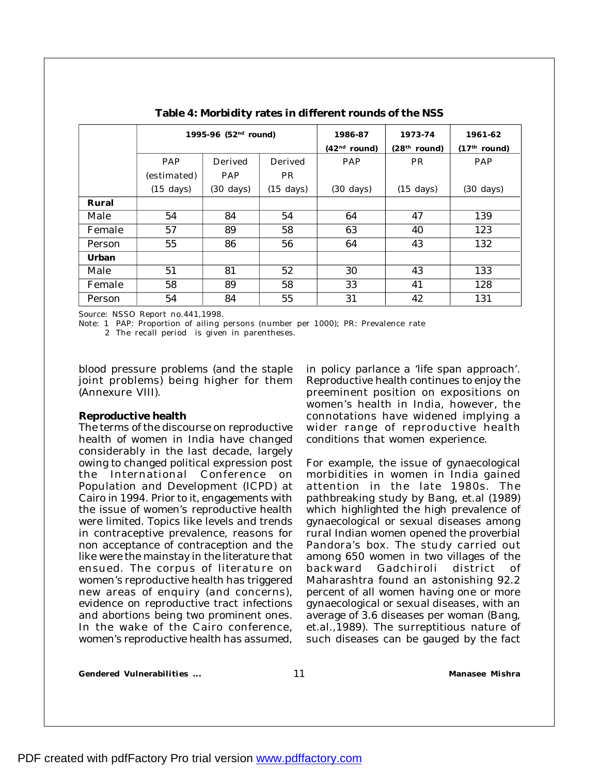|        |                                                                                          | 1995-96 $(52nd$ round) |                     | 1986-87<br>$(42nd$ round) | 1973-74<br>$(28th$ round) | 1961-62<br>$(17th$ round) |
|--------|------------------------------------------------------------------------------------------|------------------------|---------------------|---------------------------|---------------------------|---------------------------|
|        | <b>PAP</b><br><b>Derived</b><br><b>Derived</b><br><b>PAP</b><br><b>PR</b><br>(estimated) |                        |                     | <b>PAP</b>                | PR                        | <b>PAP</b>                |
|        | $(15 \text{ days})$                                                                      | $(30 \text{ days})$    | $(15 \text{ days})$ | $(30 \text{ days})$       | $(15 \text{ days})$       | $(30 \text{ days})$       |
| Rural  |                                                                                          |                        |                     |                           |                           |                           |
| Male   | 54                                                                                       | 84                     | 54                  | 64                        | 47                        | 139                       |
| Female | 57                                                                                       | 89                     | 58                  | 63                        | 40                        | 123                       |
| Person | 55                                                                                       | 86                     | 56                  | 64                        | 43                        | 132                       |
| Urban  |                                                                                          |                        |                     |                           |                           |                           |
| Male   | 51                                                                                       | 81                     | 52                  | 30                        | 43                        | 133                       |
| Female | 58                                                                                       | 89                     | 58                  | 33                        | 41                        | 128                       |
| Person | 54                                                                                       | 84                     | 55                  | 31                        | 42                        | 131                       |

**Table 4: Morbidity rates in different rounds of the NSS**

*Source*: NSSO Report no.441,1998.

Note: 1 PAP: Proportion of ailing persons (number per 1000); PR: Prevalence rate

2 The recall period is given in parentheses.

blood pressure problems (and the staple joint problems) being higher for them (Annexure VIII).

#### **Reproductive health**

The terms of the discourse on reproductive health of women in India have changed considerably in the last decade, largely owing to changed political expression post the International Conference on Population and Development (ICPD) at Cairo in 1994. Prior to it, engagements with the issue of women's reproductive health were limited. Topics like levels and trends in contraceptive prevalence, reasons for non acceptance of contraception and the like were the mainstay in the literature that ensued. The corpus of literature on women's reproductive health has triggered new areas of enquiry (and concerns), evidence on reproductive tract infections and abortions being two prominent ones. In the wake of the Cairo conference, women's reproductive health has assumed,

in policy parlance a 'life span approach'. Reproductive health continues to enjoy the preeminent position on expositions on women's health in India, however, the connotations have widened implying a wider range of reproductive health conditions that women experience.

For example, the issue of gynaecological morbidities in women in India gained attention in the late 1980s. The pathbreaking study by Bang, et.al (1989) which highlighted the high prevalence of gynaecological or sexual diseases among rural Indian women opened the proverbial Pandora's box. The study carried out among 650 women in two villages of the backward Gadchiroli district of Maharashtra found an astonishing 92.2 percent of all women having one or more gynaecological or sexual diseases, with an average of 3.6 diseases per woman (Bang, et.al.,1989). The surreptitious nature of such diseases can be gauged by the fact

**Gendered Vulnerabilities ...** 11 **Manasee Mishra**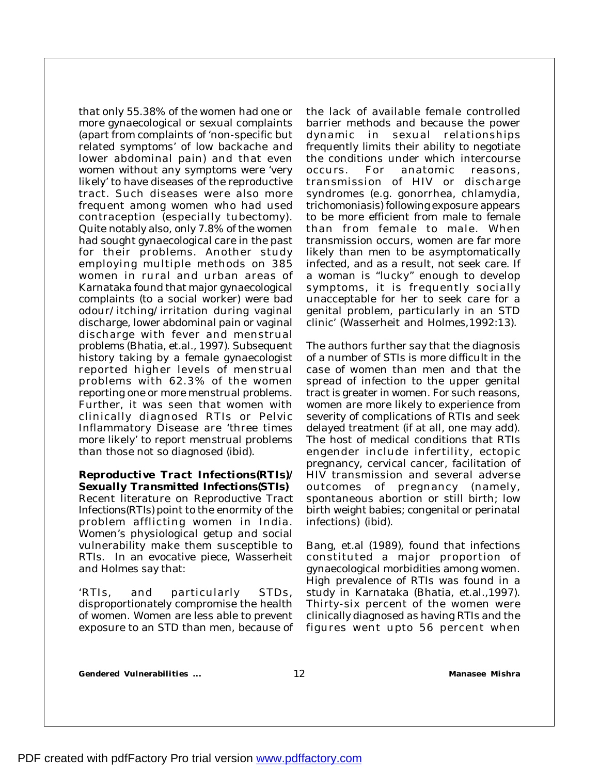that only 55.38% of the women had one or more gynaecological or sexual complaints (apart from complaints of 'non-specific but related symptoms' of low backache and lower abdominal pain) and that even women without any symptoms were 'very likely' to have diseases of the reproductive tract. Such diseases were also more frequent among women who had used contraception (especially tubectomy). Quite notably also, only 7.8% of the women had sought gynaecological care in the past for their problems. Another study employing multiple methods on 385 women in rural and urban areas of Karnataka found that major gynaecological complaints (to a social worker) were bad odour/itching/irritation during vaginal discharge, lower abdominal pain or vaginal discharge with fever and menstrual problems (Bhatia, et.al., 1997). Subsequent history taking by a female gynaecologist reported higher levels of menstrual problems with 62.3% of the women reporting one or more menstrual problems. Further, it was seen that women with clinically diagnosed RTIs or Pelvic Inflammatory Disease are 'three times more likely' to report menstrual problems than those not so diagnosed (ibid).

*Reproductive Tract Infections(RTIs)/ Sexually Transmitted Infections(STIs)* Recent literature on *Reproductive Tract Infections(RTIs)* point to the enormity of the problem afflicting women in India. Women's physiological getup and social vulnerability make them susceptible to RTIs. In an evocative piece, Wasserheit and Holmes say that:

'RTIs, and particularly STDs, disproportionately compromise the health of women. Women are less able to prevent exposure to an STD than men, because of the lack of available female controlled barrier methods and because the power dynamic in sexual relationships frequently limits their ability to negotiate the conditions under which intercourse occurs. For anatomic reasons, transmission of HIV or discharge syndromes (e.g. gonorrhea, chlamydia, trichomoniasis) following exposure appears to be more efficient from male to female than from female to male. When transmission occurs, women are far more likely than men to be asymptomatically infected, and as a result, not seek care. If a woman is "lucky" enough to develop symptoms, it is frequently socially unacceptable for her to seek care for a genital problem, particularly in an STD clinic' (Wasserheit and Holmes,1992:13).

The authors further say that the diagnosis of a number of STIs is more difficult in the case of women than men and that the spread of infection to the upper genital tract is greater in women. For such reasons, women are more likely to experience from severity of complications of RTIs and seek delayed treatment (if at all, one may add). The host of medical conditions that RTIs engender include infertility, ectopic pregnancy, cervical cancer, facilitation of HIV transmission and several adverse outcomes of pregnancy (namely, spontaneous abortion or still birth; low birth weight babies; congenital or perinatal infections) (ibid)*.*

Bang, et.al (1989), found that infections constituted a major proportion of gynaecological morbidities among women. High prevalence of RTIs was found in a study in Karnataka (Bhatia, et.al.,1997). Thirty-six percent of the women were clinically diagnosed as having RTIs and the figures went upto 56 percent when

**Gendered Vulnerabilities ...** 12 **Manasee Mishra**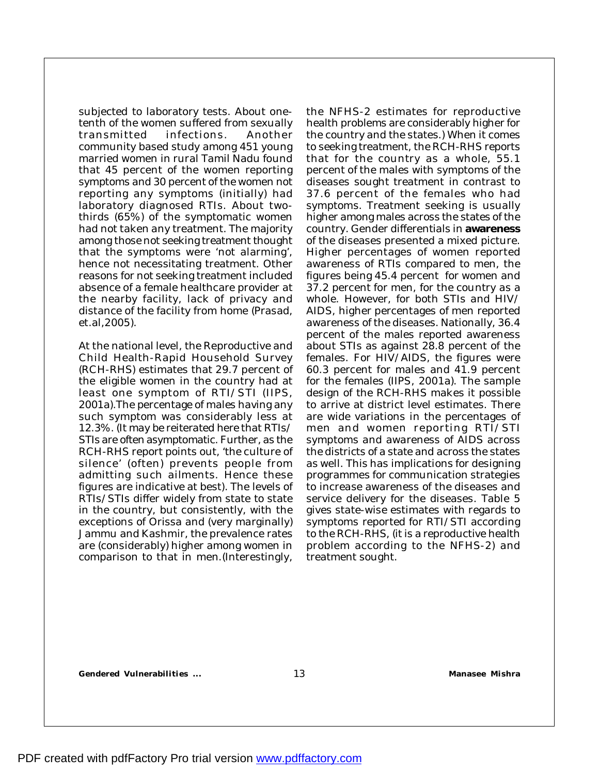subjected to laboratory tests. About onetenth of the women suffered from sexually transmitted infections. Another community based study among 451 young married women in rural Tamil Nadu found that 45 percent of the women reporting symptoms and 30 percent of the women not reporting any symptoms (initially) had laboratory diagnosed RTIs. About twothirds (65%) of the symptomatic women had not taken any treatment. The majority among those not seeking treatment thought that the symptoms were 'not alarming', hence not necessitating treatment. Other reasons for not seeking treatment included absence of a female healthcare provider at the nearby facility, lack of privacy and distance of the facility from home (Prasad, et.al,2005).

At the national level, the Reproductive and Child Health-Rapid Household Survey (RCH-RHS) estimates that 29.7 percent of the eligible women in the country had at least one symptom of RTI/STI (IIPS, 2001a).The percentage of males having any such symptom was considerably less at 12.3%. (It may be reiterated here that RTIs/ STIs are often asymptomatic. Further, as the RCH-RHS report points out, 'the culture of silence' (often) prevents people from admitting such ailments. Hence these figures are indicative at best). The levels of RTIs/STIs differ widely from state to state in the country, but consistently, with the exceptions of Orissa and (very marginally) Jammu and Kashmir, the prevalence rates are (considerably) higher among women in comparison to that in men.(Interestingly,

the NFHS-2 estimates for reproductive health problems are considerably higher for the country and the states.) When it comes to seeking treatment, the RCH-RHS reports that for the country as a whole, 55.1 percent of the males with symptoms of the diseases sought treatment in contrast to 37.6 percent of the females who had symptoms. Treatment seeking is usually higher among males across the states of the country. Gender differentials in **awareness** of the diseases presented a mixed picture. Higher percentages of women reported awareness of RTIs compared to men, the figures being 45.4 percent for women and 37.2 percent for men, for the country as a whole. However, for both STIs and HIV/ AIDS, higher percentages of men reported awareness of the diseases. Nationally, 36.4 percent of the males reported awareness about STIs as against 28.8 percent of the females. For HIV/AIDS, the figures were 60.3 percent for males and 41.9 percent for the females (IIPS, 2001a). The sample design of the RCH-RHS makes it possible to arrive at district level estimates. There are wide variations in the percentages of men and women reporting RTI/STI symptoms and awareness of AIDS across the districts of a state and across the states as well. This has implications for designing programmes for communication strategies to increase awareness of the diseases and service delivery for the diseases. Table 5 gives state-wise estimates with regards to symptoms reported for RTI/STI according to the RCH-RHS, (it is a reproductive health problem according to the NFHS-2) and treatment sought.

**Gendered Vulnerabilities ...** 13 **Manasee Mishra**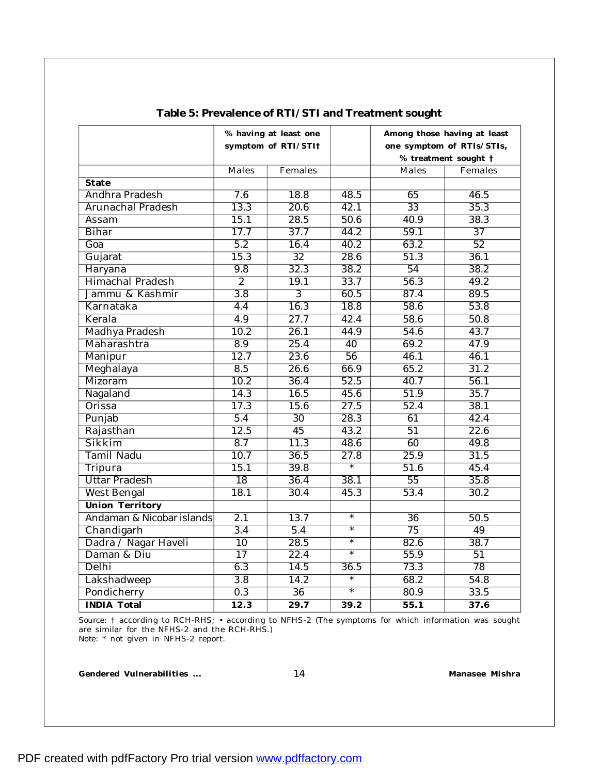|                           |                   | % having at least one |                   | Among those having at least |                              |  |  |  |
|---------------------------|-------------------|-----------------------|-------------------|-----------------------------|------------------------------|--|--|--|
|                           |                   | symptom of RTI/STI†   |                   | one symptom of RTIs/STIs,   |                              |  |  |  |
|                           |                   |                       |                   |                             | % treatment sought $\dagger$ |  |  |  |
|                           | <b>Males</b>      | <b>Females</b>        |                   | <b>Males</b>                | <b>Females</b>               |  |  |  |
| <b>State</b>              |                   |                       |                   |                             |                              |  |  |  |
| <b>Andhra Pradesh</b>     | 7.6               | 18.8                  | 48.5              | 65                          | 46.5                         |  |  |  |
| <b>Arunachal Pradesh</b>  | 13.3              | 20.6                  | 42.1              | 33                          | 35.3                         |  |  |  |
| Assam                     | 15.1              | 28.5                  | 50.6              | $\overline{40.9}$           | 38.3                         |  |  |  |
| <b>Bihar</b>              | 17.7              | 37.7                  | 44.2              | 59.1                        | $\overline{37}$              |  |  |  |
| Goa                       | $\overline{5.2}$  | 16.4                  | $\overline{40.2}$ | 63.2                        | 52                           |  |  |  |
| Gujarat                   | 15.3              | 32                    | 28.6              | 51.3                        | 36.1                         |  |  |  |
| Haryana                   | 9.8               | 32.3                  | 38.2              | 54                          | 38.2                         |  |  |  |
| <b>Himachal Pradesh</b>   | $\overline{2}$    | 19.1                  | 33.7              | 56.3                        | 49.2                         |  |  |  |
| Jammu & Kashmir           | $\overline{3.8}$  | $\overline{3}$        | 60.5              | 87.4                        | 89.5                         |  |  |  |
| Karnataka                 | 4.4               | 16.3                  | 18.8              | 58.6                        | 53.8                         |  |  |  |
| Kerala                    | 4.9               | 27.7                  | 42.4              | 58.6                        | 50.8                         |  |  |  |
| <b>Madhya Pradesh</b>     | $\overline{10.2}$ | 26.1                  | 44.9              | 54.6                        | 43.7                         |  |  |  |
| Maharashtra               | 8.9               | 25.4                  | 40                | 69.2                        | 47.9                         |  |  |  |
| <b>Manipur</b>            | 12.7              | 23.6                  | 56                | 46.1                        | 46.1                         |  |  |  |
| Meghalaya                 | 8.5               | 26.6                  | 66.9              | 65.2                        | 31.2                         |  |  |  |
| <b>Mizoram</b>            | $\overline{10.2}$ | 36.4                  | 52.5              | 40.7                        | 56.1                         |  |  |  |
| Nagaland                  | 14.3              | 16.5                  | $\overline{45.6}$ | 51.9                        | 35.7                         |  |  |  |
| <b>Orissa</b>             | 17.3              | 15.6                  | 27.5              | 52.4                        | 38.1                         |  |  |  |
| Punjab                    | 5.4               | 30                    | 28.3              | 61                          | 42.4                         |  |  |  |
| Rajasthan                 | 12.5              | 45                    | 43.2              | $\overline{51}$             | 22.6                         |  |  |  |
| Sikkim                    | 8.7               | 11.3                  | 48.6              | 60                          | 49.8                         |  |  |  |
| <b>Tamil Nadu</b>         | 10.7              | 36.5                  | $\overline{27.8}$ | 25.9                        | 31.5                         |  |  |  |
| <b>Tripura</b>            | 15.1              | 39.8                  | $\ast$            | 51.6                        | 45.4                         |  |  |  |
| <b>Uttar Pradesh</b>      | 18                | 36.4                  | 38.1              | 55                          | 35.8                         |  |  |  |
| <b>West Bengal</b>        | 18.1              | 30.4                  | 45.3              | 53.4                        | 30.2                         |  |  |  |
| <b>Union Territory</b>    |                   |                       |                   |                             |                              |  |  |  |
| Andaman & Nicobar islands | $\overline{2.1}$  | 13.7                  | $\ast$            | 36                          | 50.5                         |  |  |  |
| Chandigarh                | $\overline{3.4}$  | 5.4                   | $\ast$            | 75                          | 49                           |  |  |  |
| Dadra / Nagar Haveli      | 10                | 28.5                  | $\ast$            | 82.6                        | 38.7                         |  |  |  |
| Daman & Diu               | $\overline{17}$   | 22.4                  | $\ast$            | 55.9                        | $\overline{51}$              |  |  |  |
| Delhi                     | 6.3               | 14.5                  | $\overline{36.5}$ | 73.3                        | 78                           |  |  |  |
| Lakshadweep               | 3.8               | 14.2                  | $\ast$            | 68.2                        | 54.8                         |  |  |  |
| Pondicherry               | 0.3               | 36                    | $\ast$            | 80.9                        | 33.5                         |  |  |  |
| <b>INDIA Total</b>        | 12.3              | 29.7                  | $\overline{3}9.2$ | 55.1                        | 37.6                         |  |  |  |

#### **Table 5: Prevalence of RTI/STI and Treatment sought**

*Source:* † according to RCH-RHS; • according to NFHS-2 (The symptoms for which information was sought are similar for the NFHS-2 and the RCH-RHS.) *Note*: \* not given in NFHS-2 report.

**Gendered Vulnerabilities ...** 14 **Manasee Mishra**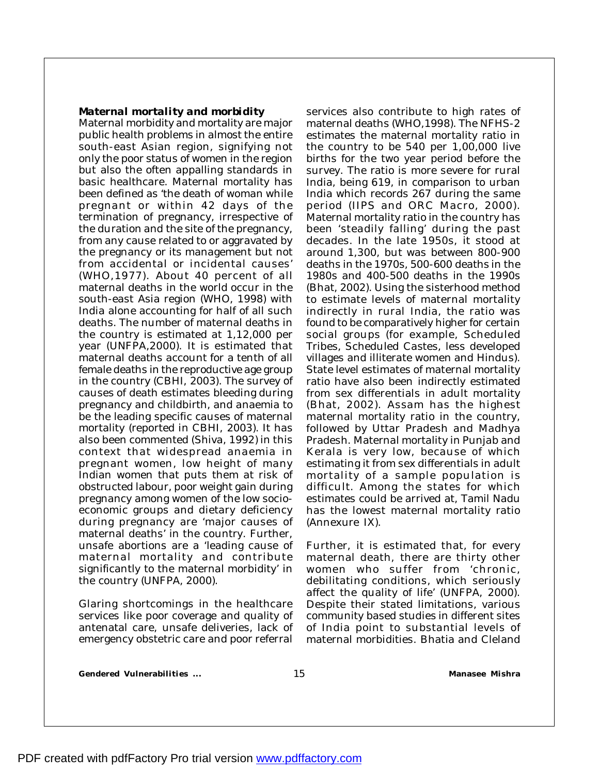*Maternal mortality and morbidity* Maternal morbidity and mortality are major public health problems in almost the entire south-east Asian region, signifying not only the poor status of women in the region but also the often appalling standards in basic healthcare. Maternal mortality has been defined as 'the death of woman while pregnant or within 42 days of the termination of pregnancy, irrespective of the duration and the site of the pregnancy, from any cause related to or aggravated by the pregnancy or its management but not from accidental or incidental causes' (WHO,1977). About 40 percent of all maternal deaths in the world occur in the south-east Asia region (WHO, 1998) with India alone accounting for half of all such deaths. The number of maternal deaths in the country is estimated at 1,12,000 per year (UNFPA,2000). It is estimated that maternal deaths account for a tenth of all female deaths in the reproductive age group in the country (CBHI, 2003). The survey of causes of death estimates bleeding during pregnancy and childbirth, and anaemia to be the leading specific causes of maternal mortality (reported in CBHI, 2003). It has also been commented (Shiva, 1992) in this context that widespread anaemia in pregnant women, low height of many Indian women that puts them at risk of obstructed labour, poor weight gain during pregnancy among women of the low socioeconomic groups and dietary deficiency during pregnancy are 'major causes of maternal deaths' in the country. Further, unsafe abortions are a 'leading cause of maternal mortality and contribute significantly to the maternal morbidity' in the country (UNFPA, 2000).

Glaring shortcomings in the healthcare services like poor coverage and quality of antenatal care, unsafe deliveries, lack of emergency obstetric care and poor referral services also contribute to high rates of maternal deaths (WHO,1998). The NFHS-2 estimates the maternal mortality ratio in the country to be 540 per 1,00,000 live births for the two year period before the survey. The ratio is more severe for rural India, being 619, in comparison to urban India which records 267 during the same period (IIPS and ORC Macro, 2000). Maternal mortality ratio in the country has been 'steadily falling' during the past decades. In the late 1950s, it stood at around 1,300, but was between 800-900 deaths in the 1970s, 500-600 deaths in the 1980s and 400-500 deaths in the 1990s (Bhat, 2002). Using the sisterhood method to estimate levels of maternal mortality indirectly in rural India, the ratio was found to be comparatively higher for certain social groups (for example, Scheduled Tribes, Scheduled Castes, less developed villages and illiterate women and Hindus). State level estimates of maternal mortality ratio have also been indirectly estimated from sex differentials in adult mortality (Bhat, 2002). Assam has the highest maternal mortality ratio in the country, followed by Uttar Pradesh and Madhya Pradesh. Maternal mortality in Punjab and Kerala is very low, because of which estimating it from sex differentials in adult mortality of a sample population is difficult. Among the states for which estimates could be arrived at, Tamil Nadu has the lowest maternal mortality ratio (Annexure IX).

Further, it is estimated that, for every maternal death, there are thirty other women who suffer from 'chronic, debilitating conditions, which seriously affect the quality of life' (UNFPA, 2000). Despite their stated limitations, various community based studies in different sites of India point to substantial levels of maternal morbidities. Bhatia and Cleland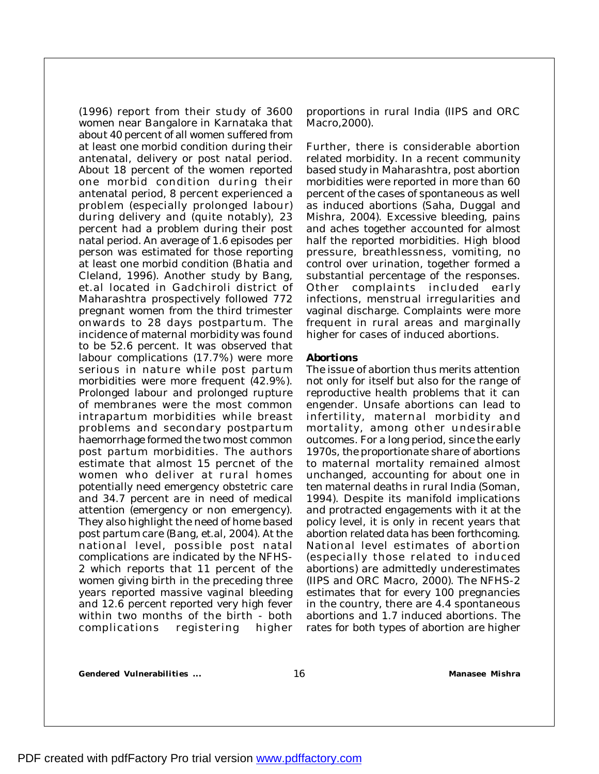(1996) report from their study of 3600 women near Bangalore in Karnataka that about 40 percent of all women suffered from at least one morbid condition during their antenatal, delivery or post natal period. About 18 percent of the women reported one morbid condition during their antenatal period, 8 percent experienced a problem (especially prolonged labour) during delivery and (quite notably), 23 percent had a problem during their post natal period. An average of 1.6 episodes per person was estimated for those reporting at least one morbid condition (Bhatia and Cleland, 1996). Another study by Bang, et.al located in Gadchiroli district of Maharashtra prospectively followed 772 pregnant women from the third trimester onwards to 28 days postpartum. The incidence of maternal morbidity was found to be 52.6 percent. It was observed that labour complications (17.7%) were more serious in nature while post partum morbidities were more frequent (42.9%). Prolonged labour and prolonged rupture of membranes were the most common intrapartum morbidities while breast problems and secondary postpartum haemorrhage formed the two most common post partum morbidities. The authors estimate that almost 15 percnet of the women who deliver at rural homes potentially need emergency obstetric care and 34.7 percent are in need of medical attention (emergency or non emergency). They also highlight the need of home based post partum care (Bang, et.al, 2004). At the national level, possible post natal complications are indicated by the NFHS-2 which reports that 11 percent of the women giving birth in the preceding three years reported massive vaginal bleeding and 12.6 percent reported very high fever within two months of the birth - both complications registering higher proportions in rural India (IIPS and ORC Macro,2000).

Further, there is considerable abortion related morbidity. In a recent community based study in Maharashtra, post abortion morbidities were reported in more than 60 percent of the cases of spontaneous as well as induced abortions (Saha, Duggal and Mishra, 2004). Excessive bleeding, pains and aches together accounted for almost half the reported morbidities. High blood pressure, breathlessness, vomiting, no control over urination, together formed a substantial percentage of the responses. Other complaints included early infections, menstrual irregularities and vaginal discharge. Complaints were more frequent in rural areas and marginally higher for cases of induced abortions.

#### *Abortions*

The issue of abortion thus merits attention not only for itself but also for the range of reproductive health problems that it can engender. Unsafe abortions can lead to infertility, maternal morbidity and mortality, among other undesirable outcomes. For a long period, since the early 1970s, the proportionate share of abortions to maternal mortality remained almost unchanged, accounting for about one in ten maternal deaths in rural India (Soman, 1994). Despite its manifold implications and protracted engagements with it at the policy level, it is only in recent years that abortion related data has been forthcoming. National level estimates of abortion (especially those related to induced abortions) are admittedly underestimates (IIPS and ORC Macro, 2000). The NFHS-2 estimates that for every 100 pregnancies in the country, there are 4.4 spontaneous abortions and 1.7 induced abortions. The rates for both types of abortion are higher

**Gendered Vulnerabilities ...** 16 **Manasee Mishra**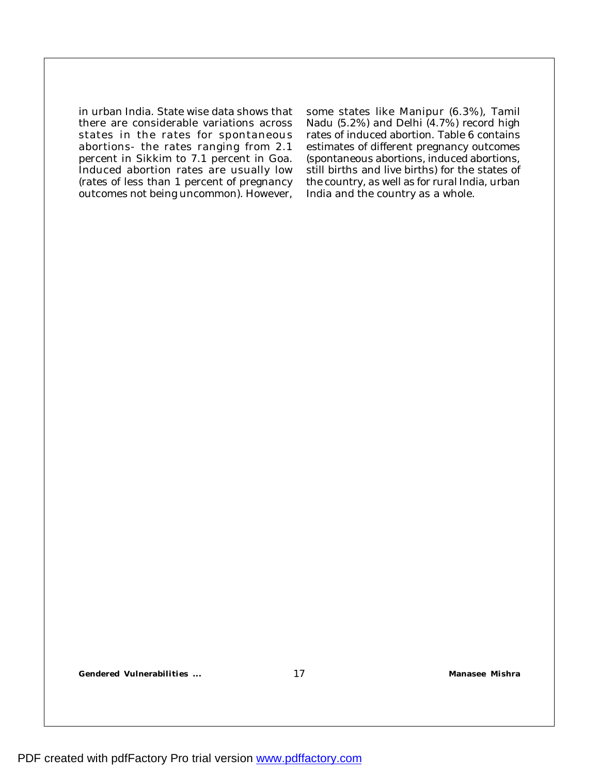in urban India. State wise data shows that there are considerable variations across states in the rates for spontaneous abortions- the rates ranging from 2.1 percent in Sikkim to 7.1 percent in Goa. Induced abortion rates are usually low (rates of less than 1 percent of pregnancy outcomes not being uncommon). However, some states like Manipur (6.3%), Tamil Nadu (5.2%) and Delhi (4.7%) record high rates of induced abortion. Table 6 contains estimates of different pregnancy outcomes (spontaneous abortions, induced abortions, still births and live births) for the states of the country, as well as for rural India, urban India and the country as a whole.

**Gendered Vulnerabilities ...** 17 **Manasee Mishra**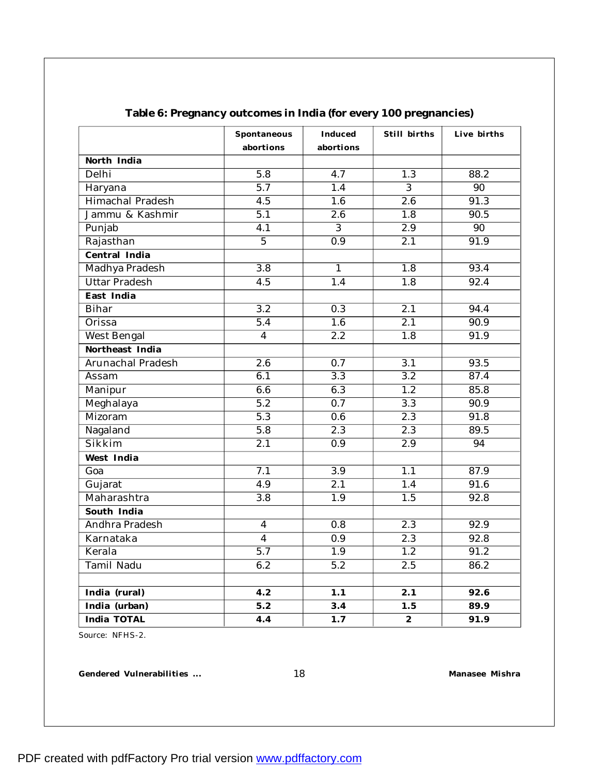|                          | Spontaneous             | Induced          | Still births     | Live births     |
|--------------------------|-------------------------|------------------|------------------|-----------------|
|                          | abortions               | abortions        |                  |                 |
| North India              |                         |                  |                  |                 |
| Delhi                    | 5.8                     | $\overline{4.7}$ | $\overline{1.3}$ | 88.2            |
| Haryana                  | $\overline{5.7}$        | 1.4              | $\overline{3}$   | 90              |
| <b>Himachal Pradesh</b>  | $\overline{4.5}$        | $\overline{1.6}$ | $\overline{2.6}$ | 91.3            |
| Jammu & Kashmir          | $\overline{5.1}$        | $\overline{2.6}$ | $\overline{1.8}$ | 90.5            |
| Punjab                   | $\overline{4.1}$        | $\overline{3}$   | $\overline{2.9}$ | $\overline{90}$ |
| Rajasthan                | $\overline{5}$          | $\overline{0.9}$ | $\overline{2.1}$ | 91.9            |
| Central India            |                         |                  |                  |                 |
| <b>Madhya Pradesh</b>    | $\overline{3.8}$        | $\mathbf{1}$     | $\overline{1.8}$ | 93.4            |
| <b>Uttar Pradesh</b>     | $\overline{4.5}$        | 1.4              | $\overline{1.8}$ | 92.4            |
| East India               |                         |                  |                  |                 |
| <b>Bihar</b>             | $\overline{3.2}$        | $\overline{0.3}$ | $\overline{2.1}$ | 94.4            |
| Orissa                   | $\overline{5.4}$        | $\overline{1.6}$ | $\overline{2.1}$ | 90.9            |
| <b>West Bengal</b>       | $\overline{\mathbf{4}}$ | $\overline{2.2}$ | $\overline{1.8}$ | 91.9            |
| Northeast India          |                         |                  |                  |                 |
| <b>Arunachal Pradesh</b> | $\overline{2.6}$        | $\overline{0.7}$ | $\overline{3.1}$ | 93.5            |
| Assam                    | 6.1                     | $\overline{3.3}$ | $\overline{3.2}$ | 87.4            |
| Manipur                  | 6.6                     | 6.3              | $\overline{1.2}$ | 85.8            |
| Meghalaya                | $\overline{5.2}$        | $\overline{0.7}$ | $\overline{3.3}$ | 90.9            |
| <b>Mizoram</b>           | $\overline{5.3}$        | 0.6              | $\overline{2.3}$ | 91.8            |
| Nagaland                 | $\overline{5.8}$        | $\overline{2.3}$ | 2.3              | 89.5            |
| Sikkim                   | $\overline{2.1}$        | 0.9              | $\overline{2.9}$ | 94              |
| West India               |                         |                  |                  |                 |
| Goa                      | 7.1                     | $\overline{3.9}$ | $\overline{1.1}$ | 87.9            |
| Gujarat                  | 4.9                     | $\overline{2.1}$ | $\overline{1.4}$ | 91.6            |
| Maharashtra              | $\overline{3.8}$        | $\overline{1.9}$ | $\overline{1.5}$ | 92.8            |
| South India              |                         |                  |                  |                 |
| <b>Andhra Pradesh</b>    | $\overline{4}$          | $\overline{0.8}$ | $\overline{2.3}$ | 92.9            |
| Karnataka                | $\overline{4}$          | $\overline{0.9}$ | $\overline{2.3}$ | 92.8            |
| Kerala                   | $\overline{5.7}$        | $\overline{1.9}$ | $\overline{1.2}$ | 91.2            |
| <b>Tamil Nadu</b>        | 6.2                     | $\overline{5.2}$ | $\overline{2.5}$ | 86.2            |
|                          |                         |                  |                  |                 |
| India (rural)            | 4.2                     | 1.1              | 2.1              | 92.6            |
| India (urban)            | 5.2                     | 3.4              | 1.5              | 89.9            |
| <b>India TOTAL</b>       | 4.4                     | 1.7              | $\boldsymbol{2}$ | 91.9            |

### **Table 6: Pregnancy outcomes in India (for every 100 pregnancies)**

*Source*: NFHS-2.

**Gendered Vulnerabilities ...** 18 **Manasee Mishra**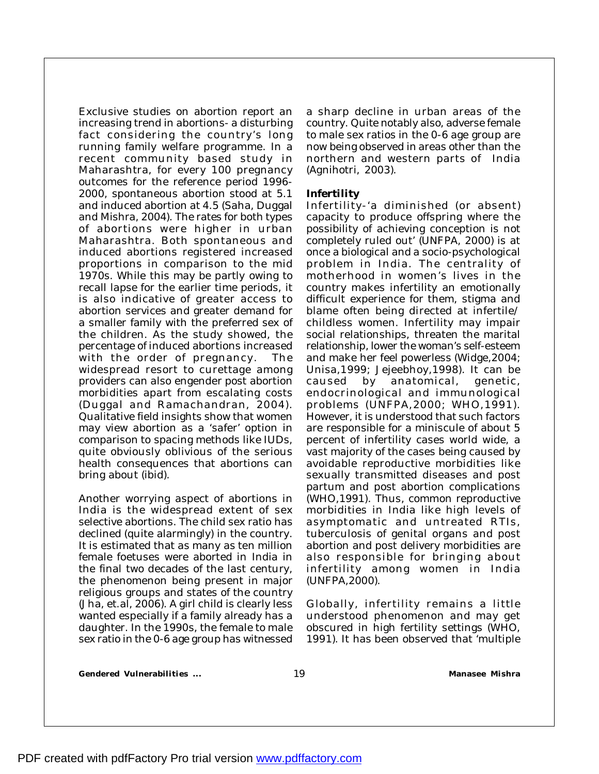Exclusive studies on abortion report an increasing trend in abortions- a disturbing fact considering the country's long running family welfare programme. In a recent community based study in Maharashtra, for every 100 pregnancy outcomes for the reference period 1996- 2000, spontaneous abortion stood at 5.1 and induced abortion at 4.5 (Saha, Duggal and Mishra, 2004). The rates for both types of abortions were higher in urban Maharashtra. Both spontaneous and induced abortions registered increased proportions in comparison to the mid 1970s. While this may be partly owing to recall lapse for the earlier time periods, it is also indicative of greater access to abortion services and greater demand for a smaller family with the preferred sex of the children. As the study showed, the percentage of induced abortions increased with the order of pregnancy. The widespread resort to curettage among providers can also engender post abortion morbidities apart from escalating costs (Duggal and Ramachandran, 2004). Qualitative field insights show that women may view abortion as a 'safer' option in comparison to spacing methods like IUDs, quite obviously oblivious of the serious health consequences that abortions can bring about (ibid).

Another worrying aspect of abortions in India is the widespread extent of sex selective abortions. The child sex ratio has declined (quite alarmingly) in the country. It is estimated that as many as ten million female foetuses were aborted in India in the final two decades of the last century, the phenomenon being present in major religious groups and states of the country (Jha, et.al, 2006). A girl child is clearly less wanted especially if a family already has a daughter. In the 1990s, the female to male sex ratio in the 0-6 age group has witnessed a sharp decline in urban areas of the country. Quite notably also, adverse female to male sex ratios in the 0-6 age group are now being observed in areas other than the northern and western parts of India (Agnihotri, 2003).

#### *Infertility*

Infertility-'a diminished (or absent) capacity to produce offspring where the possibility of achieving conception is not completely ruled out' (UNFPA, 2000) is at once a biological and a socio-psychological problem in India. The centrality of motherhood in women's lives in the country makes infertility an emotionally difficult experience for them, stigma and blame often being directed at infertile/ childless women. Infertility may impair social relationships, threaten the marital relationship, lower the woman's self-esteem and make her feel powerless (Widge,2004; Unisa,1999; Jejeebhoy,1998). It can be caused by anatomical, genetic, endocrinological and immunological problems (UNFPA,2000; WHO,1991). However, it is understood that such factors are responsible for a miniscule of about 5 percent of infertility cases world wide, a vast majority of the cases being caused by avoidable reproductive morbidities like sexually transmitted diseases and post partum and post abortion complications (WHO,1991). Thus, common reproductive morbidities in India like high levels of asymptomatic and untreated RTIs, tuberculosis of genital organs and post abortion and post delivery morbidities are also responsible for bringing about infertility among women in India (UNFPA,2000).

Globally, infertility remains a little understood phenomenon and may get obscured in high fertility settings (WHO, 1991). It has been observed that 'multiple

**Gendered Vulnerabilities ...** 19 **Manasee Mishra**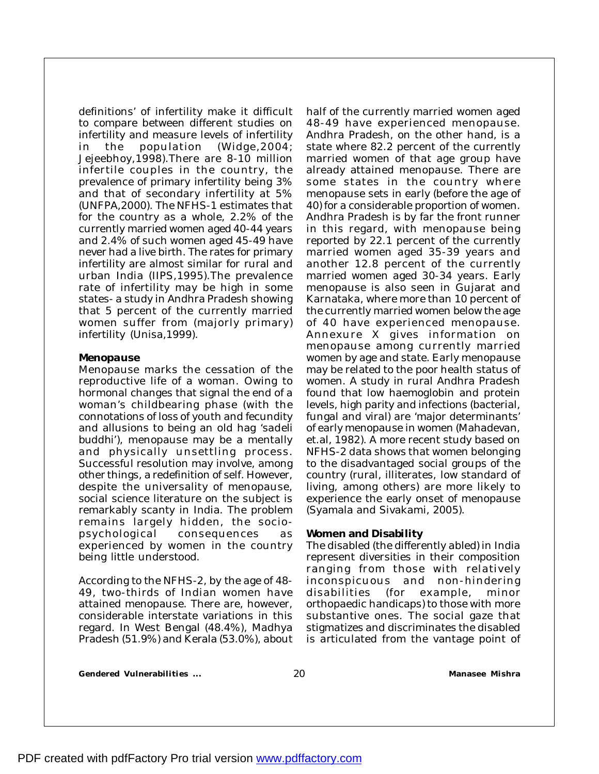definitions' of infertility make it difficult to compare between different studies on infertility and measure levels of infertility in the population (Widge,2004; Jejeebhoy,1998).There are 8-10 million infertile couples in the country, the prevalence of primary infertility being 3% and that of secondary infertility at 5% (UNFPA,2000). The NFHS-1 estimates that for the country as a whole, 2.2% of the currently married women aged 40-44 years and 2.4% of such women aged 45-49 have never had a live birth. The rates for primary infertility are almost similar for rural and urban India (IIPS,1995).The prevalence rate of infertility may be high in some states- a study in Andhra Pradesh showing that 5 percent of the currently married women suffer from (majorly primary) infertility (Unisa,1999).

#### *Menopause*

Menopause marks the cessation of the reproductive life of a woman. Owing to hormonal changes that signal the end of a woman's childbearing phase (with the connotations of loss of youth and fecundity and allusions to being an old hag '*sadeli buddhi'*), menopause may be a mentally and physically unsettling process. Successful resolution may involve, among other things, a redefinition of self. However, despite the universality of menopause, social science literature on the subject is remarkably scanty in India. The problem remains largely hidden, the sociopsychological consequences as experienced by women in the country being little understood.

According to the NFHS-2, by the age of 48- 49, two-thirds of Indian women have attained menopause. There are, however, considerable interstate variations in this regard. In West Bengal (48.4%), Madhya Pradesh (51.9%) and Kerala (53.0%), about half of the currently married women aged 48-49 have experienced menopause. Andhra Pradesh, on the other hand, is a state where 82.2 percent of the currently married women of that age group have already attained menopause. There are some states in the country where menopause sets in early (before the age of 40) for a considerable proportion of women. Andhra Pradesh is by far the front runner in this regard, with menopause being reported by 22.1 percent of the currently married women aged 35-39 years and another 12.8 percent of the currently married women aged 30-34 years. Early menopause is also seen in Gujarat and Karnataka, where more than 10 percent of the currently married women below the age of 40 have experienced menopause. Annexure X gives information on menopause among currently married women by age and state. Early menopause may be related to the poor health status of women. A study in rural Andhra Pradesh found that low haemoglobin and protein levels, high parity and infections (bacterial, fungal and viral) are 'major determinants' of early menopause in women (Mahadevan, et.al, 1982). A more recent study based on NFHS-2 data shows that women belonging to the disadvantaged social groups of the country (rural, illiterates, low standard of living, among others) are more likely to experience the early onset of menopause (Syamala and Sivakami, 2005).

#### **Women and Disability**

The disabled (the differently abled) in India represent diversities in their composition ranging from those with relatively inconspicuous and non-hindering disabilities (for example, minor orthopaedic handicaps) to those with more substantive ones. The social gaze that stigmatizes and discriminates the disabled is articulated from the vantage point of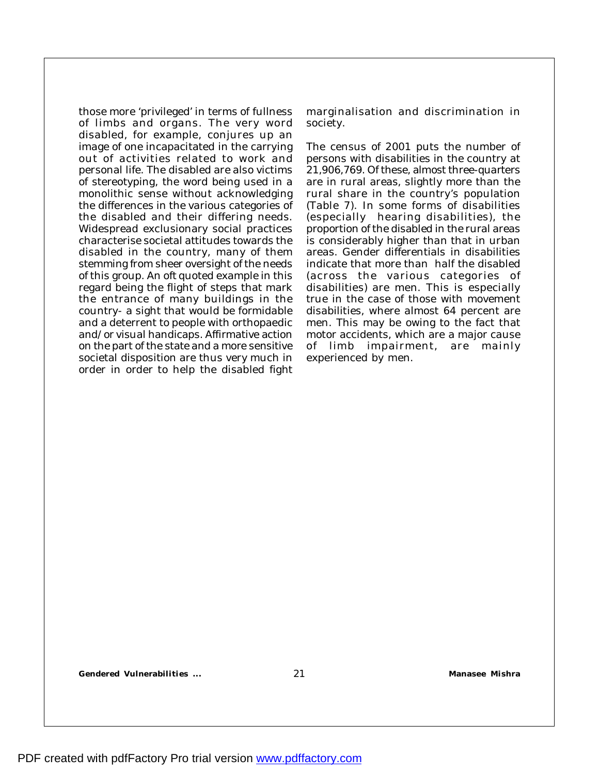those more 'privileged' in terms of fullness of limbs and organs. The very word disabled, for example, conjures up an image of one incapacitated in the carrying out of activities related to work and personal life. The disabled are also victims of stereotyping, the word being used in a monolithic sense without acknowledging the differences in the various categories of the disabled and their differing needs. Widespread exclusionary social practices characterise societal attitudes towards the disabled in the country, many of them stemming from sheer oversight of the needs of this group. An oft quoted example in this regard being the flight of steps that mark the entrance of many buildings in the country- a sight that would be formidable and a deterrent to people with orthopaedic and/or visual handicaps. Affirmative action on the part of the state and a more sensitive societal disposition are thus very much in order in order to help the disabled fight

marginalisation and discrimination in society.

The census of 2001 puts the number of persons with disabilities in the country at 21,906,769. Of these, almost three-quarters are in rural areas, slightly more than the rural share in the country's population (Table 7). In some forms of disabilities (especially hearing disabilities), the proportion of the disabled in the rural areas is considerably higher than that in urban areas. Gender differentials in disabilities indicate that more than half the disabled (across the various categories of disabilities) are men. This is especially true in the case of those with movement disabilities, where almost 64 percent are men. This may be owing to the fact that motor accidents, which are a major cause of limb impairment, are mainly experienced by men.

**Gendered Vulnerabilities ...** 21 **Manasee Mishra**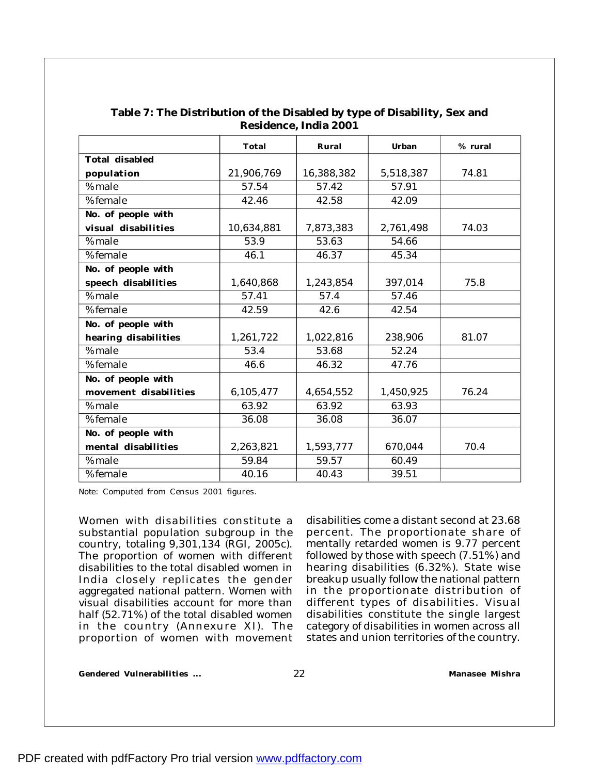|                       | Total      | Rural      | Urban     | % rural |
|-----------------------|------------|------------|-----------|---------|
| Total disabled        |            |            |           |         |
| population            | 21,906,769 | 16,388,382 | 5,518,387 | 74.81   |
| % male                | 57.54      | 57.42      | 57.91     |         |
| %female               | 42.46      | 42.58      | 42.09     |         |
| No. of people with    |            |            |           |         |
| visual disabilities   | 10,634,881 | 7,873,383  | 2,761,498 | 74.03   |
| % male                | 53.9       | 53.63      | 54.66     |         |
| %female               | 46.1       | 46.37      | 45.34     |         |
| No. of people with    |            |            |           |         |
| speech disabilities   | 1,640,868  | 1,243,854  | 397,014   | 75.8    |
| % male                | 57.41      | 57.4       | 57.46     |         |
| %female               | 42.59      | 42.6       | 42.54     |         |
| No. of people with    |            |            |           |         |
| hearing disabilities  | 1,261,722  | 1,022,816  | 238,906   | 81.07   |
| % male                | 53.4       | 53.68      | 52.24     |         |
| %female               | 46.6       | 46.32      | 47.76     |         |
| No. of people with    |            |            |           |         |
| movement disabilities | 6,105,477  | 4,654,552  | 1,450,925 | 76.24   |
| % male                | 63.92      | 63.92      | 63.93     |         |
| %female               | 36.08      | 36.08      | 36.07     |         |
| No. of people with    |            |            |           |         |
| mental disabilities   | 2,263,821  | 1,593,777  | 670,044   | 70.4    |
| % male                | 59.84      | 59.57      | 60.49     |         |
| %female               | 40.16      | 40.43      | 39.51     |         |

**Table 7: The Distribution of the Disabled by type of Disability, Sex and Residence, India 2001**

*Note*: Computed from Census 2001 figures.

Women with disabilities constitute a substantial population subgroup in the country, totaling 9,301,134 (RGI, 2005c). The proportion of women with different disabilities to the total disabled women in India closely replicates the gender aggregated national pattern. Women with visual disabilities account for more than half (52.71%) of the total disabled women in the country (Annexure XI). The proportion of women with movement

disabilities come a distant second at 23.68 percent. The proportionate share of mentally retarded women is 9.77 percent followed by those with speech (7.51%) and hearing disabilities (6.32%). State wise breakup *usually* follow the national pattern in the proportionate distribution of different types of disabilities. Visual disabilities constitute the single largest category of disabilities in women across all states and union territories of the country.

**Gendered Vulnerabilities ...** 22 **Manasee Mishra**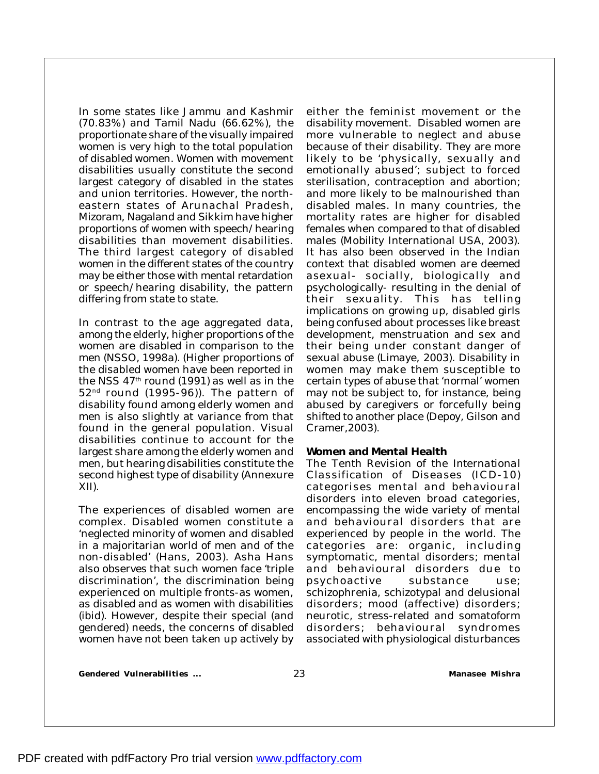In some states like Jammu and Kashmir (70.83%) and Tamil Nadu (66.62%), the proportionate share of the visually impaired women is very high to the total population of disabled women. Women with movement disabilities usually constitute the second largest category of disabled in the states and union territories. However, the northeastern states of Arunachal Pradesh, Mizoram, Nagaland and Sikkim have higher proportions of women with speech/hearing disabilities than movement disabilities. The third largest category of disabled women in the different states of the country may be either those with mental retardation or speech/hearing disability, the pattern differing from state to state.

In contrast to the age aggregated data, among the elderly, higher proportions of the women are disabled in comparison to the men (NSSO, 1998a). (Higher proportions of the disabled women have been reported in the NSS  $47<sup>th</sup>$  round (1991) as well as in the  $52<sup>nd</sup>$  round (1995-96)). The pattern of disability found among elderly women and men is also slightly at variance from that found in the general population. Visual disabilities continue to account for the largest share among the elderly women and men, but hearing disabilities constitute the second highest type of disability (Annexure XII).

The experiences of disabled women are complex. Disabled women constitute a 'neglected minority of women and disabled in a majoritarian world of men and of the non-disabled' (Hans, 2003). Asha Hans also observes that such women face 'triple discrimination', the discrimination being experienced on multiple fronts-as women, as disabled and as women with disabilities (ibid). However, despite their special (and gendered) needs, the concerns of disabled women have not been taken up actively by

either the feminist movement or the disability movement. Disabled women are more vulnerable to neglect and abuse because of their disability. They are more likely to be 'physically, sexually and emotionally abused'; subject to forced sterilisation, contraception and abortion; and more likely to be malnourished than disabled males. In many countries, the mortality rates are higher for disabled females when compared to that of disabled males (Mobility International USA, 2003). It has also been observed in the Indian context that disabled women are deemed asexual- socially, biologically and psychologically- resulting in the denial of their sexuality. This has telling implications on growing up, disabled girls being confused about processes like breast development, menstruation and sex and their being under constant danger of sexual abuse (Limaye, 2003). Disability in women may make them susceptible to certain types of abuse that 'normal' women may not be subject to, for instance, being abused by caregivers or forcefully being shifted to another place (Depoy, Gilson and Cramer,2003).

#### **Women and Mental Health**

The *Tenth Revision of the International Classification of Diseases* (ICD-10) categorises mental and behavioural disorders into eleven broad categories, encompassing the wide variety of mental and behavioural disorders that are experienced by people in the world. The categories are: organic, including symptomatic, mental disorders; mental and behavioural disorders due to psychoactive substance use; schizophrenia, schizotypal and delusional disorders; mood (affective) disorders; neurotic, stress-related and somatoform disorders; behavioural syndromes associated with physiological disturbances

**Gendered Vulnerabilities ...** 23 **Manasee Mishra**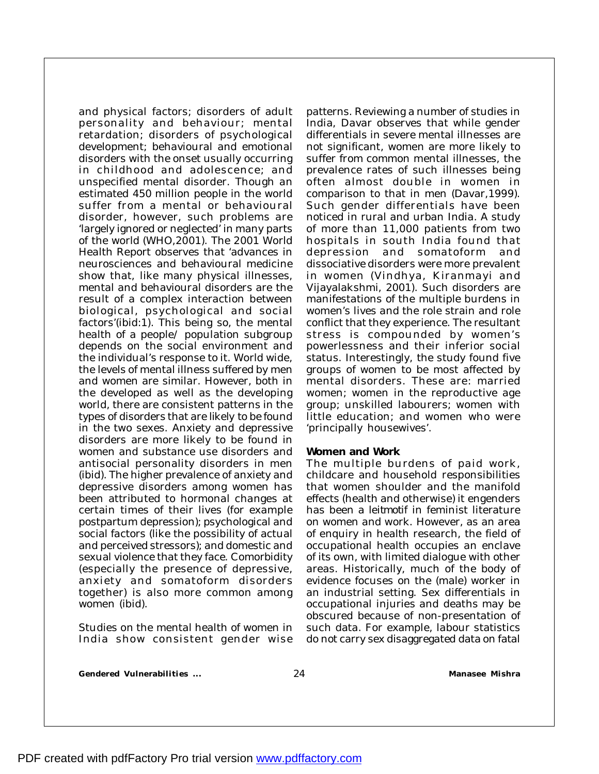and physical factors; disorders of adult personality and behaviour; mental retardation; disorders of psychological development; behavioural and emotional disorders with the onset usually occurring in childhood and adolescence; and unspecified mental disorder. Though an estimated 450 million people in the world suffer from a mental or behavioural disorder, however, such problems are 'largely ignored or neglected' in many parts of the world (WHO,2001). The 2001 World Health Report observes that 'advances in neurosciences and behavioural medicine show that, like many physical illnesses, mental and behavioural disorders are the result of a complex interaction between biological, psychological and social factors'(ibid:1). This being so, the mental health of a people/ population subgroup depends on the social environment and the individual's response to it. World wide, the levels of mental illness suffered by men and women are similar. However, both in the developed as well as the developing world, there are consistent patterns in the types of disorders that are *likely* to be found in the two sexes. Anxiety and depressive disorders are more likely to be found in women and substance use disorders and antisocial personality disorders in men (ibid). The higher prevalence of anxiety and depressive disorders among women has been attributed to hormonal changes at certain times of their lives (for example postpartum depression); psychological and social factors (like the possibility of actual and perceived stressors); and domestic and sexual violence that they face. Comorbidity (especially the presence of depressive, anxiety and somatoform disorders together) is also more common among women (ibid).

Studies on the mental health of women in India show consistent gender wise patterns. Reviewing a number of studies in India, Davar observes that while gender differentials in severe mental illnesses are not significant, women are more likely to suffer from common mental illnesses, the prevalence rates of such illnesses being often almost double in women in comparison to that in men (Davar,1999). Such gender differentials have been noticed in rural and urban India. A study of more than 11,000 patients from two hospitals in south India found that depression and somatoform and dissociative disorders were more prevalent in women (Vindhya, Kiranmayi and Vijayalakshmi, 2001). Such disorders are manifestations of the multiple burdens in women's lives and the role strain and role conflict that they experience. The resultant stress is compounded by women's powerlessness and their inferior social status. Interestingly, the study found five groups of women to be most affected by mental disorders. These are: married women; women in the reproductive age group; unskilled labourers; women with little education; and women who were 'principally housewives'.

#### **Women and Work**

The multiple burdens of paid work, childcare and household responsibilities that women shoulder and the manifold effects (health and otherwise) it engenders has been a *leitmotif* in feminist literature on women and work. However, as an area of enquiry in health research, the field of occupational health occupies an enclave of its own, with limited dialogue with other areas. Historically, much of the body of evidence focuses on the (male) worker in an industrial setting. Sex differentials in occupational injuries and deaths may be obscured because of non-presentation of such data. For example, labour statistics do not carry sex disaggregated data on fatal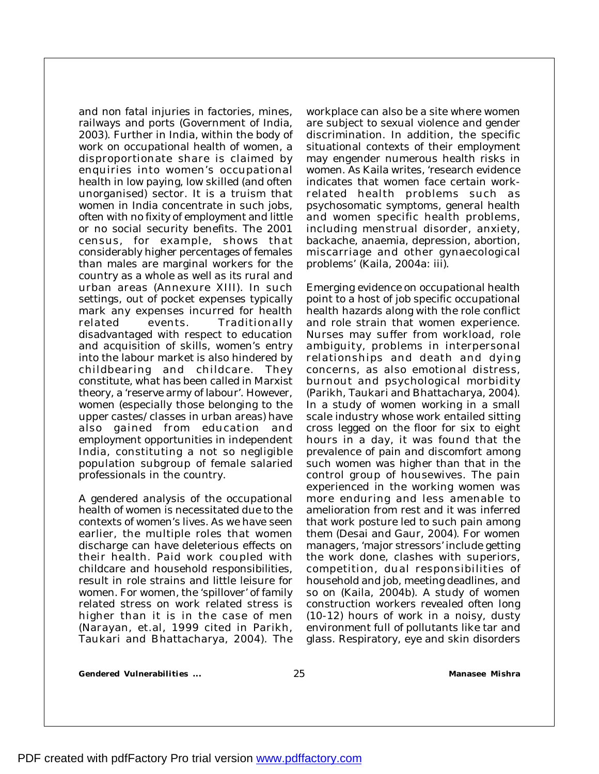and non fatal injuries in factories, mines, railways and ports (Government of India, 2003). Further in India, within the body of work on occupational health of women, a disproportionate share is claimed by enquiries into women's occupational health in low paying, low skilled (and often unorganised) sector. It is a truism that women in India concentrate in such jobs, often with no fixity of employment and little or no social security benefits. The 2001 census, for example, shows that considerably higher percentages of females than males are marginal workers for the country as a whole as well as its rural and urban areas (Annexure XIII). In such settings, out of pocket expenses typically mark any expenses incurred for health related events. Traditionally disadvantaged with respect to education and acquisition of skills, women's entry into the labour market is also hindered by childbearing and childcare. They constitute, what has been called in Marxist theory, a 'reserve army of labour'. However, women (especially those belonging to the upper castes/classes in urban areas) have also gained from education and employment opportunities in independent India, constituting a not so negligible population subgroup of female salaried professionals in the country.

A gendered analysis of the occupational health of women is necessitated due to the contexts of women's lives. As we have seen earlier, the multiple roles that women discharge can have deleterious effects on their health. Paid work coupled with childcare and household responsibilities, result in role strains and little leisure for women. For women, the 'spillover' of family related stress on work related stress is higher than it is in the case of men (Narayan, et.al, 1999 cited in Parikh, Taukari and Bhattacharya, 2004). The workplace can also be a site where women are subject to sexual violence and gender discrimination. In addition, the specific situational contexts of their employment may engender numerous health risks in women. As Kaila writes, 'research evidence indicates that women face certain workrelated health problems such as psychosomatic symptoms, general health and women specific health problems, including menstrual disorder, anxiety, backache, anaemia, depression, abortion, miscarriage and other gynaecological problems' (Kaila, 2004a: iii).

Emerging evidence on occupational health point to a host of job specific occupational health hazards along with the role conflict and role strain that women experience. Nurses may suffer from workload, role ambiguity, problems in interpersonal relationships and death and dying concerns, as also emotional distress, burnout and psychological morbidity (Parikh, Taukari and Bhattacharya, 2004). In a study of women working in a small scale industry whose work entailed sitting cross legged on the floor for six to eight hours in a day, it was found that the prevalence of pain and discomfort among such women was higher than that in the control group of housewives. The pain experienced in the working women was more enduring and less amenable to amelioration from rest and it was inferred that work posture led to such pain among them (Desai and Gaur, 2004). For women managers, 'major stressors' include getting the work done, clashes with superiors, competition, dual responsibilities of household and job, meeting deadlines, and so on (Kaila, 2004b). A study of women construction workers revealed often long (10-12) hours of work in a noisy, dusty environment full of pollutants like tar and glass. Respiratory, eye and skin disorders

**Gendered Vulnerabilities ...** 25 **Manasee Mishra**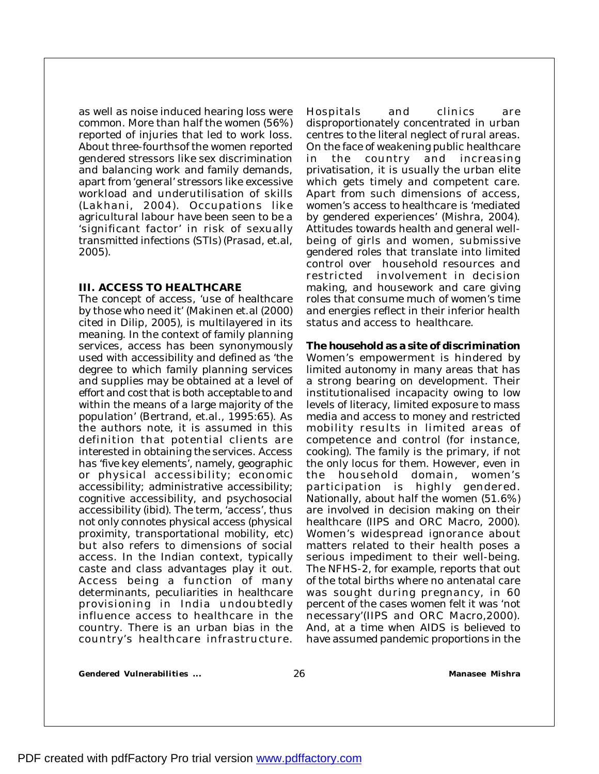as well as noise induced hearing loss were common. More than half the women (56%) reported of injuries that led to work loss. About three-fourthsof the women reported gendered stressors like sex discrimination and balancing work and family demands, apart from 'general' stressors like excessive workload and underutilisation of skills (Lakhani, 2004). Occupations like agricultural labour have been seen to be a 'significant factor' in risk of sexually transmitted infections (STIs) (Prasad, et.al, 2005).

#### **III. ACCESS TO HEALTHCARE**

The concept of access, 'use of healthcare by those who need it' (Makinen et.al (2000) cited in Dilip, 2005), is multilayered in its meaning. In the context of family planning services, access has been synonymously used with accessibility and defined as 'the degree to which family planning services and supplies may be obtained at a level of effort and cost that is both acceptable to and within the means of a large majority of the population' (Bertrand, et.al., 1995:65). As the authors note, it is assumed in this definition that potential clients are interested in obtaining the services. Access has 'five key elements', namely, geographic or physical accessibility; economic accessibility; administrative accessibility; cognitive accessibility, and psychosocial accessibility (ibid). The term, 'access', thus not only connotes physical access (physical proximity, transportational mobility, etc) but also refers to dimensions of social access. In the Indian context, typically caste and class advantages play it out. Access being a function of many determinants, peculiarities in healthcare provisioning in India undoubtedly influence access to healthcare in the country. There is an urban bias in the country's healthcare infrastructure.

Hospitals and clinics are disproportionately concentrated in urban centres to the literal neglect of rural areas. On the face of weakening public healthcare in the country and increasing privatisation, it is usually the urban elite which gets timely and competent care. Apart from such dimensions of access, women's access to healthcare is 'mediated by gendered experiences' (Mishra, 2004). Attitudes towards health and general wellbeing of girls and women, submissive gendered roles that translate into limited control over household resources and restricted involvement in decision making, and housework and care giving roles that consume much of women's time and energies reflect in their inferior health status and access to healthcare.

**The household as a site of discrimination** Women's empowerment is hindered by limited autonomy in many areas that has a strong bearing on development. Their institutionalised incapacity owing to low levels of literacy, limited exposure to mass media and access to money and restricted mobility results in limited areas of competence and control (for instance, cooking). The family is the primary, if not the only locus for them. However, even in the household domain, women's participation is highly gendered. Nationally, about half the women (51.6%) are involved in decision making on their healthcare (IIPS and ORC Macro, 2000). Women's widespread ignorance about matters related to their health poses a serious impediment to their well-being. The NFHS-2, for example, reports that out of the total births where no antenatal care was sought during pregnancy, in 60 percent of the cases women felt it was 'not necessary'(IIPS and ORC Macro,2000). And, at a time when AIDS is believed to have assumed pandemic proportions in the

**Gendered Vulnerabilities ...** 26 **Manasee Mishra**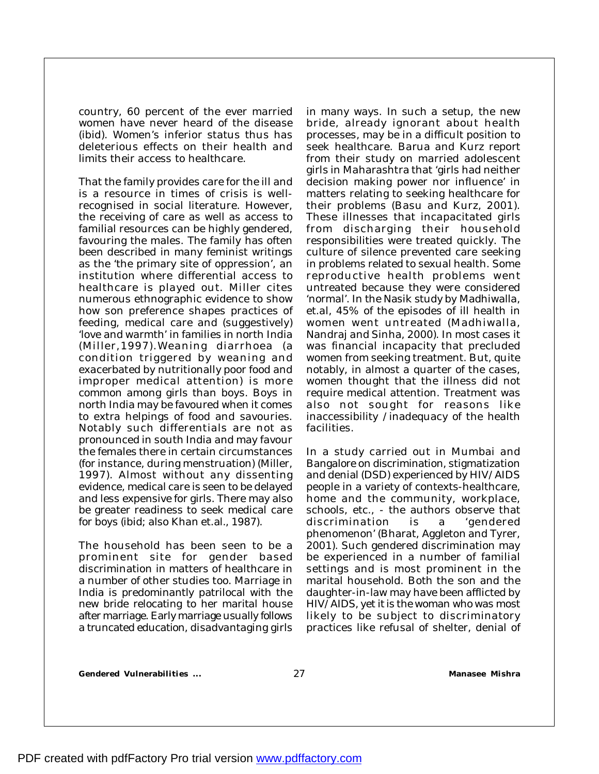country, 60 percent of the ever married women have never heard of the disease (ibid). Women's inferior status thus has deleterious effects on their health and limits their access to healthcare.

That the family provides care for the ill and is a resource in times of crisis is wellrecognised in social literature. However, the receiving of care as well as access to familial resources can be highly gendered, favouring the males. The family has often been described in many feminist writings as the 'the primary site of oppression', an institution where differential access to healthcare is played out. Miller cites numerous ethnographic evidence to show how son preference shapes practices of feeding, medical care and (suggestively) 'love and warmth' in families in north India (Miller,1997).Weaning diarrhoea (a condition triggered by weaning and exacerbated by nutritionally poor food and improper medical attention) is more common among girls than boys. Boys in north India may be favoured when it comes to extra helpings of food and savouries. Notably such differentials are not as pronounced in south India and may favour the females there in certain circumstances (for instance, during menstruation) (Miller, 1997). Almost without any dissenting evidence, medical care is seen to be delayed and less expensive for girls. There may also be greater readiness to seek medical care for boys (ibid; also Khan et.al*.,* 1987).

The household has been seen to be a prominent site for gender based discrimination in matters of healthcare in a number of other studies too. Marriage in India is predominantly patrilocal with the new bride relocating to her marital house after marriage. Early marriage usually follows a truncated education, disadvantaging girls in many ways. In such a setup, the new bride, already ignorant about health processes, may be in a difficult position to seek healthcare. Barua and Kurz report from their study on married adolescent girls in Maharashtra that 'girls had neither decision making power nor influence' in matters relating to seeking healthcare for their problems (Basu and Kurz, 2001). These illnesses that incapacitated girls from discharging their household responsibilities were treated quickly. The culture of silence prevented care seeking in problems related to sexual health. Some reproductive health problems went untreated because they were considered 'normal'. In the Nasik study by Madhiwalla, et.al, 45% of the episodes of ill health in women went untreated (Madhiwalla, Nandraj and Sinha, 2000). In most cases it was financial incapacity that precluded women from seeking treatment. But, quite notably, in almost a quarter of the cases, women thought that the illness did not require medical attention. Treatment was also not sought for reasons like inaccessibility /inadequacy of the health facilities.

In a study carried out in Mumbai and Bangalore on discrimination, stigmatization and denial (DSD) experienced by HIV/AIDS people in a variety of contexts-healthcare, home and the community, workplace, schools, etc., - the authors observe that discrimination is a 'gendered phenomenon' (Bharat, Aggleton and Tyrer, 2001). Such gendered discrimination may be experienced in a number of familial settings and is most prominent in the marital household. Both the son and the daughter-in-law may have been afflicted by  $HIV/AIDS$ , yet it is the woman who was most likely to be subject to discriminatory practices like refusal of shelter, denial of

**Gendered Vulnerabilities ...** 27 **Manasee Mishra**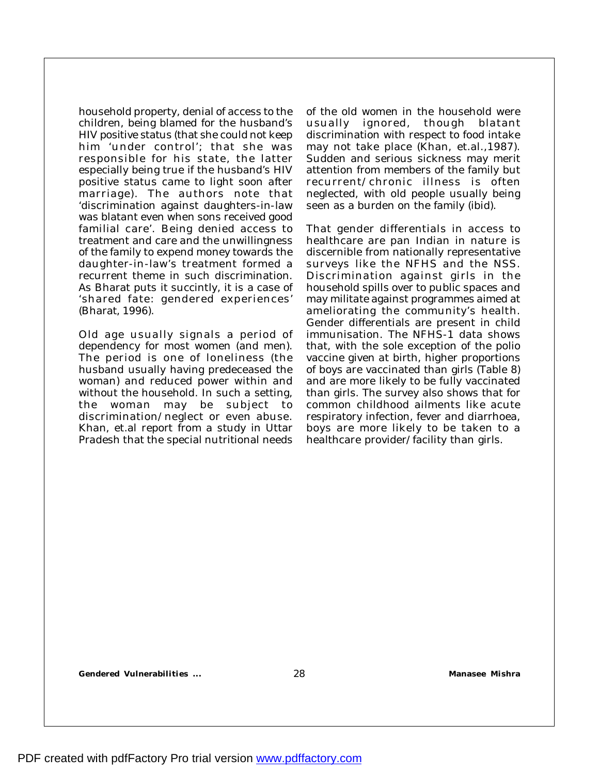household property, denial of access to the children, being blamed for the husband's HIV positive status (that she could not keep him 'under control'; that she was responsible for his state, the latter especially being true if the husband's HIV positive status came to light soon after marriage). The authors note that 'discrimination against daughters-in-law was blatant even when sons received good familial care'. Being denied access to treatment and care and the unwillingness of the family to expend money towards the daughter-in-law's treatment formed a recurrent theme in such discrimination. As Bharat puts it succintly, it is a case of 'shared fate: gendered experiences' (Bharat, 1996).

Old age usually signals a period of dependency for most women (and men). The period is one of loneliness (the husband usually having predeceased the woman) and reduced power within and without the household. In such a setting, the woman may be subject to discrimination/neglect or even abuse. Khan, et.al report from a study in Uttar Pradesh that the special nutritional needs

of the old women in the household were usually ignored, though blatant discrimination with respect to food intake may not take place (Khan, et.al.,1987). Sudden and serious sickness may merit attention from members of the family but recurrent/chronic illness is often neglected, with old people usually being seen as a burden on the family (ibid).

That gender differentials in access to healthcare are pan Indian in nature is discernible from nationally representative surveys like the NFHS and the NSS. Discrimination against girls in the household spills over to public spaces and may militate against programmes aimed at ameliorating the community's health. Gender differentials are present in child immunisation. The NFHS-1 data shows that, with the sole exception of the polio vaccine given at birth, higher proportions of boys are vaccinated than girls (Table 8) and are more likely to be fully vaccinated than girls. The survey also shows that for common childhood ailments like acute respiratory infection, fever and diarrhoea, boys are more likely to be taken to a healthcare provider/facility than girls.

**Gendered Vulnerabilities ...** 28 **Manasee Mishra**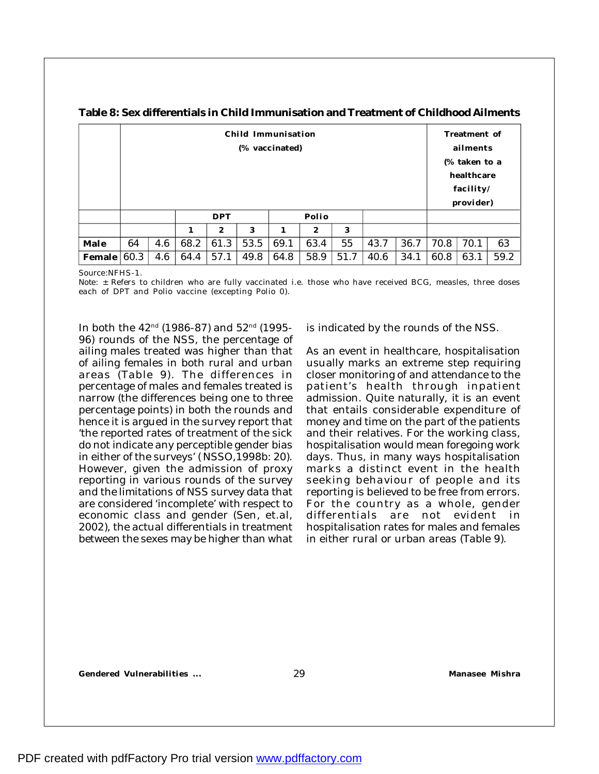| Child Immunisation<br>(% vaccinated) |    |     |      |                  |      |      |                  |      | Treatment of<br>ailments |      |           |      |      |
|--------------------------------------|----|-----|------|------------------|------|------|------------------|------|--------------------------|------|-----------|------|------|
|                                      |    |     |      |                  |      |      |                  |      | (% taken to a            |      |           |      |      |
|                                      |    |     |      |                  |      |      |                  |      | healthcare               |      |           |      |      |
|                                      |    |     |      |                  |      |      |                  |      | facility/                |      |           |      |      |
|                                      |    |     |      |                  |      |      |                  |      |                          |      | provider) |      |      |
|                                      |    |     |      | <b>DPT</b>       |      |      | Polio            |      |                          |      |           |      |      |
|                                      |    |     |      | $\boldsymbol{2}$ | 3    |      | $\boldsymbol{2}$ | 3    |                          |      |           |      |      |
| Male                                 | 64 | 4.6 | 68.2 | 61.3             | 53.5 | 69.1 | 63.4             | 55   | 43.7                     | 36.7 | 70.8      | 70.1 | 63   |
| Female 60.3                          |    | 4.6 | 64.4 | 57.1             | 49.8 | 64.8 | 58.9             | 51.7 | 40.6                     | 34.1 | 60.8      | 63.1 | 59.2 |

### **Table 8: Sex differentials in Child Immunisation and Treatment of Childhood Ailments**

*Source:*NFHS-1.

*Note*:  $\pm$  Refers to children who are fully vaccinated i.e. those who have received BCG, measles, three doses each of DPT and Polio vaccine (excepting Polio 0).

In both the 42nd (1986-87) and 52nd (1995- 96) rounds of the NSS, the percentage of ailing males treated was higher than that of ailing females in both rural and urban areas (Table 9). The differences in percentage of males and females treated is narrow (the differences being one to three percentage points) in both the rounds and hence it is argued in the survey report that 'the reported rates of treatment of the sick do not indicate any perceptible gender bias in either of the surveys' ( NSSO,1998b: 20). However, given the admission of proxy reporting in various rounds of the survey and the limitations of NSS survey data that are considered 'incomplete' with respect to economic class and gender (Sen, et.al, 2002), the actual differentials in treatment between the sexes may be higher than what

is indicated by the rounds of the NSS.

As an event in healthcare, hospitalisation usually marks an extreme step requiring closer monitoring of and attendance to the patient's health through inpatient admission. Quite naturally, it is an event that entails considerable expenditure of money and time on the part of the patients and their relatives. For the working class, hospitalisation would mean foregoing work days. Thus, in many ways hospitalisation marks a distinct event in the health seeking behaviour of people and its reporting is believed to be free from errors. For the country as a whole, gender differentials are not evident in hospitalisation rates for males and females in either rural or urban areas (Table 9).

**Gendered Vulnerabilities ...** 29 **Manasee Mishra**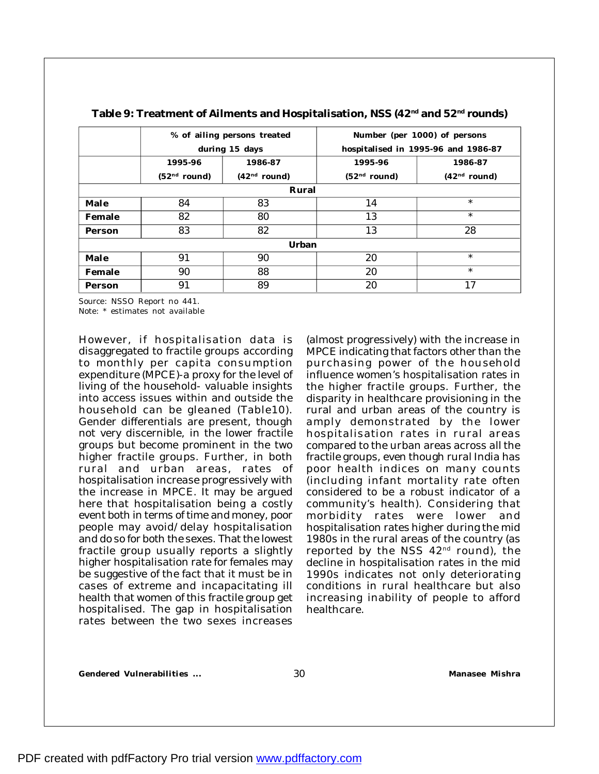|        |                | % of ailing persons treated | Number (per 1000) of persons        |                |  |  |  |  |
|--------|----------------|-----------------------------|-------------------------------------|----------------|--|--|--|--|
|        |                | during 15 days              | hospitalised in 1995-96 and 1986-87 |                |  |  |  |  |
|        | 1995-96        | 1986-87                     | 1995-96                             | 1986-87        |  |  |  |  |
|        | $(52nd$ round) | $(42nd$ round)              | $(52nd$ round)                      | $(42nd$ round) |  |  |  |  |
| Rural  |                |                             |                                     |                |  |  |  |  |
| Male   | 84             | 83                          | 14                                  | $\ast$         |  |  |  |  |
| Female | 82             | 80                          | 13                                  | *              |  |  |  |  |
| Person | 83             | 82                          | 13                                  | 28             |  |  |  |  |
|        |                | Urban                       |                                     |                |  |  |  |  |
| Male   | 91             | 90                          | 20                                  | $\ast$         |  |  |  |  |
| Female | 90             | 88                          | 20                                  | $\ast$         |  |  |  |  |
| Person | 91             | 89                          |                                     | 17             |  |  |  |  |

### **Table 9: Treatment of Ailments and Hospitalisation, NSS (42nd and 52nd rounds)**

*Source*: NSSO Report no 441.

Note: \* estimates not available

However, if hospitalisation data is disaggregated to fractile groups according to monthly per capita consumption expenditure (MPCE)-a proxy for the level of living of the household- valuable insights into access issues within and outside the household can be gleaned (Table10). Gender differentials are present, though not very discernible, in the lower fractile groups but become prominent in the two higher fractile groups. Further, in both rural and urban areas, rates of hospitalisation increase progressively with the increase in MPCE. It may be argued here that hospitalisation being a costly event both in terms of time and money, poor people may avoid/delay hospitalisation and do so for both the sexes. That the lowest fractile group usually reports a slightly higher hospitalisation rate for females may be suggestive of the fact that it must be in cases of extreme and incapacitating ill health that women of this fractile group get hospitalised. The gap in hospitalisation rates between the two sexes increases

(almost progressively) with the increase in MPCE indicating that factors other than the purchasing power of the household influence women's hospitalisation rates in the higher fractile groups. Further, the disparity in healthcare provisioning in the rural and urban areas of the country is amply demonstrated by the lower hospitalisation rates in rural areas compared to the urban areas across *all* the fractile groups, even though rural India has poor health indices on many counts (including infant mortality rate often considered to be a robust indicator of a community's health). Considering that morbidity rates were lower and hospitalisation rates higher during the mid 1980s in the rural areas of the country (as reported by the NSS 42nd round), the decline in hospitalisation rates in the mid 1990s indicates not only deteriorating conditions in rural healthcare but also increasing inability of people to afford healthcare.

**Gendered Vulnerabilities ...** 30 **Manasee Mishra**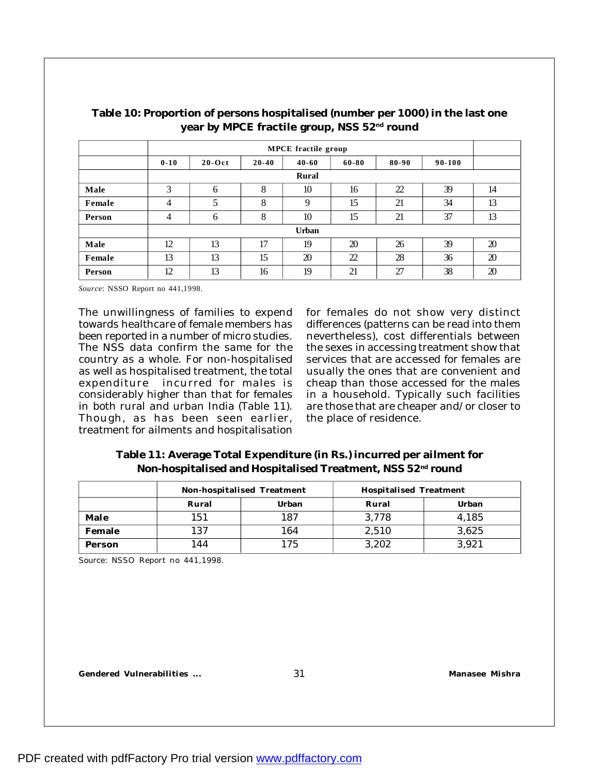|        | <b>MPCE</b> fractile group |          |           |              |       |       |            |    |  |
|--------|----------------------------|----------|-----------|--------------|-------|-------|------------|----|--|
|        | $0 - 10$                   | $20-Oct$ | $20 - 40$ | $40 - 60$    | 60-80 | 80-90 | $90 - 100$ |    |  |
|        | Rural                      |          |           |              |       |       |            |    |  |
| Male   | 3                          | 6        | 8         | 10           | 16    | 22    | 39         | 14 |  |
| Female | 4                          | 5        | 8         | 9            | 15    | 21    | 34         | 13 |  |
| Person | 4                          | 6        | 8         | 10           | 15    | 21    | 37         | 13 |  |
|        |                            |          |           | <b>Urban</b> |       |       |            |    |  |
| Male   | 12                         | 13       | 17        | 19           | 20    | 26    | 39         | 20 |  |
| Female | 13                         | 13       | 15        | 20           | 22    | 28    | 36         | 20 |  |
| Person | 12                         | 13       | 16        | 19           | 21    | 27    | 38         | 20 |  |

## **Table 10: Proportion of persons hospitalised (number per 1000) in the last one year by MPCE fractile group, NSS 52nd round**

*Source*: NSSO Report no 441,1998.

The unwillingness of families to expend towards healthcare of female members has been reported in a number of micro studies. The NSS data confirm the same for the country as a whole. For non-hospitalised as well as hospitalised treatment, the total expenditure incurred for males is considerably higher than that for females in both rural and urban India (Table 11). Though, as has been seen earlier, treatment for ailments and hospitalisation

for females do not show very distinct differences (patterns can be read into them nevertheless), cost differentials between the sexes in accessing treatment show that services that are accessed for females are usually the ones that are convenient and cheap than those accessed for the males in a household. Typically such facilities are those that are cheaper and/or closer to the place of residence.

**Table 11: Average Total Expenditure (in Rs.) incurred per ailment for Non-hospitalised and Hospitalised Treatment, NSS 52nd round**

|        |       | Non-hospitalised Treatment | <b>Hospitalised Treatment</b> |       |  |
|--------|-------|----------------------------|-------------------------------|-------|--|
|        | Rural | Urban                      | Rural                         | Urban |  |
| Male   | 151   | 187                        | 3,778                         | 4,185 |  |
| Female | 137   | 164                        | 2,510                         | 3,625 |  |
| Person | 144   | 175                        | 3,202                         | 3.921 |  |

*Source*: NSSO Report no 441,1998.

**Gendered Vulnerabilities ...** 31 **Manasee Mishra**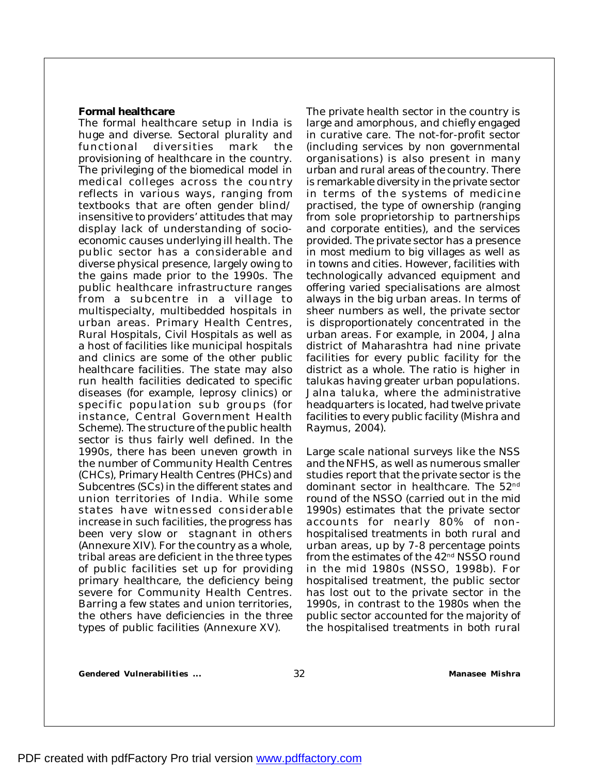### **Formal healthcare**

The formal healthcare setup in India is huge and diverse. Sectoral plurality and functional diversities mark the provisioning of healthcare in the country. The privileging of the biomedical model in medical colleges across the country reflects in various ways, ranging from textbooks that are often gender blind/ insensitive to providers' attitudes that may display lack of understanding of socioeconomic causes underlying ill health. The public sector has a considerable and diverse physical presence, largely owing to the gains made prior to the 1990s. The public healthcare infrastructure ranges from a subcentre in a village to multispecialty, multibedded hospitals in urban areas. Primary Health Centres, Rural Hospitals, Civil Hospitals as well as a host of facilities like municipal hospitals and clinics are some of the other public healthcare facilities. The state may also run health facilities dedicated to specific diseases (for example, leprosy clinics) or specific population sub groups (for instance, Central Government Health Scheme). The structure of the public health sector is thus fairly well defined. In the 1990s, there has been uneven growth in the number of Community Health Centres (CHCs), Primary Health Centres (PHCs) and Subcentres (SCs) in the different states and union territories of India. While some states have witnessed considerable increase in such facilities, the progress has been very slow or stagnant in others (Annexure XIV). For the country as a whole, tribal areas are deficient in the three types of public facilities set up for providing primary healthcare, the deficiency being severe for Community Health Centres. Barring a few states and union territories, the others have deficiencies in the three types of public facilities (Annexure XV).

The private health sector in the country is large and amorphous, and chiefly engaged in curative care. The not-for-profit sector (including services by non governmental organisations) is also present in many urban and rural areas of the country. There is remarkable diversity in the private sector in terms of the systems of medicine practised, the type of ownership (ranging from sole proprietorship to partnerships and corporate entities), and the services provided. The private sector has a presence in most medium to big villages as well as in towns and cities. However, facilities with technologically advanced equipment and offering varied specialisations are almost always in the big urban areas. In terms of sheer numbers as well, the private sector is disproportionately concentrated in the urban areas. For example, in 2004, Jalna district of Maharashtra had nine private facilities for every public facility for the district as a whole. The ratio is higher in talukas having greater urban populations. Jalna taluka, where the administrative headquarters is located, had twelve private facilities to every public facility (Mishra and Raymus, 2004).

Large scale national surveys like the NSS and the NFHS, as well as numerous smaller studies report that the private sector is the dominant sector in healthcare. The 52nd round of the NSSO (carried out in the mid 1990s) estimates that the private sector accounts for nearly 80% of nonhospitalised treatments in both rural and urban areas, up by 7-8 percentage points from the estimates of the 42nd NSSO round in the mid 1980s (NSSO, 1998b). For hospitalised treatment, the public sector has lost out to the private sector in the 1990s, in contrast to the 1980s when the public sector accounted for the majority of the hospitalised treatments in both rural

**Gendered Vulnerabilities ...** 32 **Manasee Mishra**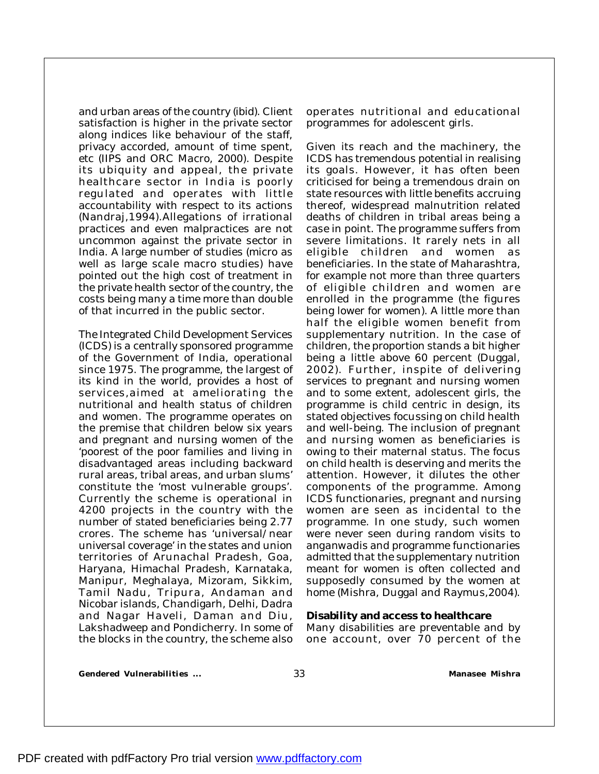and urban areas of the country (ibid). Client satisfaction is higher in the private sector along indices like behaviour of the staff, privacy accorded, amount of time spent, etc (IIPS and ORC Macro, 2000). Despite its ubiquity and appeal, the private healthcare sector in India is poorly regulated and operates with little accountability with respect to its actions (Nandraj,1994).Allegations of irrational practices and even malpractices are not uncommon against the private sector in India. A large number of studies (micro as well as large scale macro studies) have pointed out the high cost of treatment in the private health sector of the country, the costs being many a time more than double of that incurred in the public sector.

The Integrated Child Development Services (ICDS) is a centrally sponsored programme of the Government of India, operational since 1975. The programme, the largest of its kind in the world, provides a host of services*,*aimed at ameliorating the nutritional and health status of children and women. The programme operates on the premise that children below six years and pregnant and nursing women of the 'poorest of the poor families and living in disadvantaged areas including backward rural areas, tribal areas, and urban slums' constitute the 'most vulnerable groups'. Currently the scheme is operational in 4200 projects in the country with the number of stated beneficiaries being 2.77 crores. The scheme has 'universal/near universal coverage' in the states and union territories of Arunachal Pradesh, Goa, Haryana, Himachal Pradesh, Karnataka, Manipur, Meghalaya, Mizoram, Sikkim, Tamil Nadu, Tripura, Andaman and Nicobar islands, Chandigarh, Delhi, Dadra and Nagar Haveli, Daman and Diu, Lakshadweep and Pondicherry. In some of the blocks in the country, the scheme also

operates nutritional and educational programmes for adolescent girls.

Given its reach and the machinery, the ICDS has tremendous potential in realising its goals. However, it has often been criticised for being a tremendous drain on state resources with little benefits accruing thereof, widespread malnutrition related deaths of children in tribal areas being a case in point. The programme suffers from severe limitations. It rarely nets in all eligible children and women as beneficiaries. In the state of Maharashtra, for example not more than three quarters of eligible children and women are enrolled in the programme (the figures being lower for women). A little more than half the eligible women benefit from supplementary nutrition. In the case of children, the proportion stands a bit higher being a little above 60 percent (Duggal, 2002). Further, inspite of delivering services to pregnant and nursing women and to some extent, adolescent girls, the programme is child centric in design, its stated objectives focussing on child health and well-being. The inclusion of pregnant and nursing women as beneficiaries is owing to their maternal status. The focus on child health is deserving and merits the attention. However, it dilutes the other components of the programme. Among ICDS functionaries, pregnant and nursing women are seen as incidental to the programme. In one study, such women were never seen during random visits to *anganwadis* and programme functionaries admitted that the supplementary nutrition meant for women is often collected and supposedly consumed by the women at home (Mishra, Duggal and Raymus,2004).

**Disability and access to healthcare** Many disabilities are preventable and by one account, over 70 percent of the

**Gendered Vulnerabilities ...** 33 **Manasee Mishra**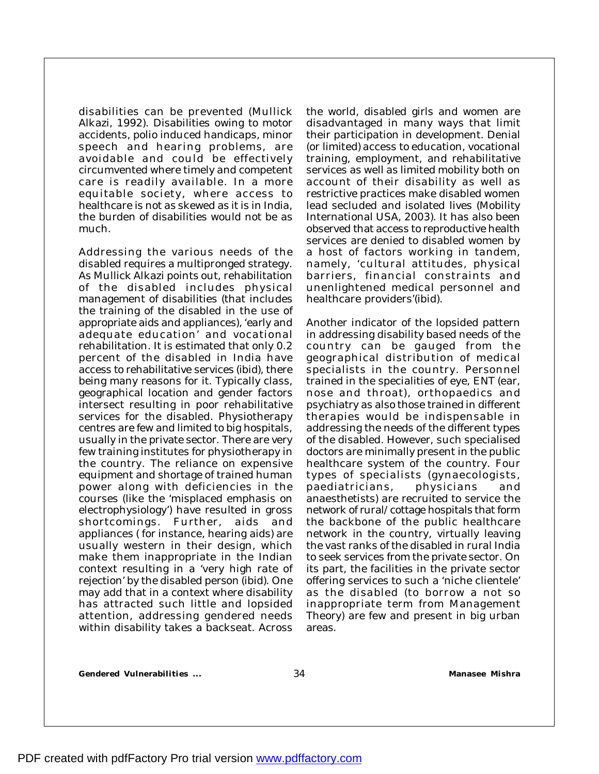disabilities can be prevented (Mullick Alkazi, 1992). Disabilities owing to motor accidents, polio induced handicaps, minor speech and hearing problems, are avoidable and could be effectively circumvented where timely and competent care is readily available. In a more equitable society, where access to healthcare is not as skewed as it is in India, the burden of disabilities would not be as much.

Addressing the various needs of the disabled requires a multipronged strategy. As Mullick Alkazi points out, rehabilitation of the disabled includes physical management of disabilities (that includes the training of the disabled in the use of appropriate aids and appliances), 'early and adequate education' and vocational rehabilitation. It is estimated that only 0.2 percent of the disabled in India have access to rehabilitative services (ibid), there being many reasons for it. Typically class, geographical location and gender factors intersect resulting in poor rehabilitative services for the disabled. Physiotherapy centres are few and limited to big hospitals, usually in the private sector. There are very few training institutes for physiotherapy in the country. The reliance on expensive equipment and shortage of trained human power along with deficiencies in the courses (like the 'misplaced emphasis on electrophysiology') have resulted in gross shortcomings. Further, aids and appliances ( for instance, hearing aids) are usually western in their design, which make them inappropriate in the Indian context resulting in a 'very high rate of rejection' by the disabled person (ibid). One may add that in a context where disability has attracted such little and lopsided attention, addressing gendered needs within disability takes a backseat. Across

the world, disabled girls and women are disadvantaged in many ways that limit their participation in development. Denial (or limited) access to education, vocational training, employment, and rehabilitative services as well as limited mobility both on account of their disability as well as restrictive practices make disabled women lead secluded and isolated lives (Mobility International USA, 2003). It has also been observed that access to reproductive health services are denied to disabled women by a host of factors working in tandem, namely, 'cultural attitudes, physical barriers, financial constraints and unenlightened medical personnel and healthcare providers'(ibid).

Another indicator of the lopsided pattern in addressing disability based needs of the country can be gauged from the geographical distribution of medical specialists in the country. Personnel trained in the specialities of eye, ENT (ear, nose and throat), orthopaedics and psychiatry as also those trained in different therapies would be indispensable in addressing the needs of the different types of the disabled. However, such specialised doctors are minimally present in the public healthcare system of the country. Four types of specialists (gynaecologists, paediatricians, physicians and anaesthetists) are recruited to service the network of rural/cottage hospitals that form the backbone of the public healthcare network in the country, virtually leaving the vast ranks of the disabled in rural India to seek services from the private sector. On its part, the facilities in the private sector offering services to such a 'niche clientele' as the disabled (to borrow a not so inappropriate term from Management Theory) are few and present in big urban areas.

**Gendered Vulnerabilities ...** 34 **Manasee Mishra**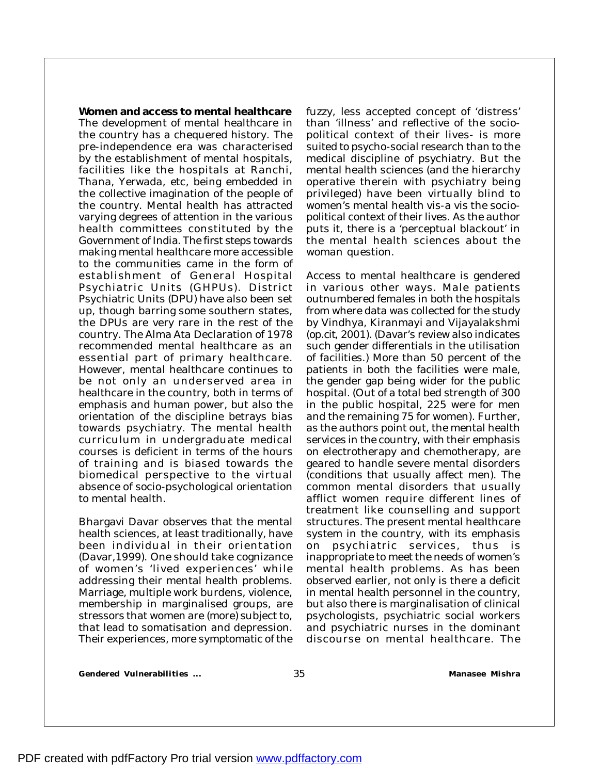**Women and access to mental healthcare** The development of mental healthcare in the country has a chequered history. The pre-independence era was characterised by the establishment of mental hospitals, facilities like the hospitals at Ranchi, Thana, Yerwada, etc, being embedded in the collective imagination of the people of the country. Mental health has attracted varying degrees of attention in the various health committees constituted by the Government of India. The first steps towards making mental healthcare more accessible to the communities came in the form of establishment of General Hospital Psychiatric Units (GHPUs). District Psychiatric Units (DPU) have also been set up, though barring some southern states, the DPUs are very rare in the rest of the country. The Alma Ata Declaration of 1978 recommended mental healthcare as an essential part of primary healthcare. However, mental healthcare continues to be not only an underserved area in healthcare in the country, both in terms of emphasis and human power, but also the orientation of the discipline betrays bias towards psychiatry. The mental health curriculum in undergraduate medical courses is deficient in terms of the hours of training and is biased towards the biomedical perspective to the virtual absence of socio-psychological orientation to mental health.

Bhargavi Davar observes that the mental health sciences, at least traditionally, have been individual in their orientation (Davar,1999). One should take cognizance of women's 'lived experiences' while addressing their mental health problems. Marriage, multiple work burdens, violence, membership in marginalised groups, are stressors that women are (more) subject to, that lead to somatisation and depression. Their experiences, more symptomatic of the fuzzy, less accepted concept of 'distress' than 'illness' and reflective of the sociopolitical context of their lives- is more suited to psycho-social research than to the medical discipline of psychiatry. But the mental health sciences (and the hierarchy operative therein with psychiatry being privileged) have been virtually blind to women's mental health vis-a vis the sociopolitical context of their lives. As the author puts it, there is a 'perceptual blackout' in the mental health sciences about the woman question.

Access to mental healthcare is gendered in various other ways. Male patients outnumbered females in both the hospitals from where data was collected for the study by Vindhya, Kiranmayi and Vijayalakshmi (*op.cit*, 2001). (Davar's review also indicates such gender differentials in the utilisation of facilities.) More than 50 percent of the patients in both the facilities were male, the gender gap being wider for the public hospital. (Out of a total bed strength of 300 in the public hospital, 225 were for men and the remaining 75 for women). Further, as the authors point out, the mental health services in the country, with their emphasis on electrotherapy and chemotherapy, are geared to handle severe mental disorders (conditions that usually affect men). The common mental disorders that usually afflict women require different lines of treatment like counselling and support structures. The present mental healthcare system in the country, with its emphasis on psychiatric services, thus is inappropriate to meet the needs of women's mental health problems. As has been observed earlier, not only is there a deficit in mental health personnel in the country, but also there is marginalisation of clinical psychologists, psychiatric social workers and psychiatric nurses in the dominant discourse on mental healthcare. The

**Gendered Vulnerabilities ...** 35 **Manasee Mishra**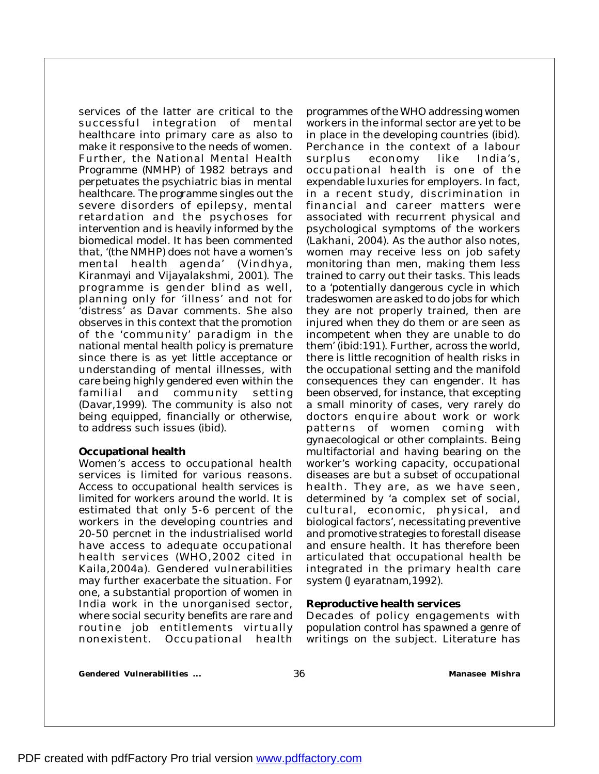services of the latter are critical to the successful integration of mental healthcare into primary care as also to make it responsive to the needs of women. Further, the National Mental Health Programme (NMHP) of 1982 betrays and perpetuates the psychiatric bias in mental healthcare. The programme singles out the severe disorders of epilepsy, mental retardation and the psychoses for intervention and is heavily informed by the biomedical model. It has been commented that, '(the NMHP) does not have a women's mental health agenda' (Vindhya, Kiranmayi and Vijayalakshmi, 2001). The programme is gender blind as well, planning only for 'illness' and not for 'distress' as Davar comments. She also observes in this context that the promotion of the 'community' paradigm in the national mental health policy is premature since there is as yet little acceptance or understanding of mental illnesses, with care being highly gendered even within the familial and community setting (Davar,1999). The community is also not being equipped, financially or otherwise, to address such issues (ibid).

### **Occupational health**

Women's access to occupational health services is limited for various reasons. Access to occupational health services is limited for workers around the world. It is estimated that only 5-6 percent of the workers in the developing countries and 20-50 percnet in the industrialised world have access to adequate occupational health services (WHO,2002 cited in Kaila,2004a). Gendered vulnerabilities may further exacerbate the situation. For one, a substantial proportion of women in India work in the unorganised sector, where social security benefits are rare and routine job entitlements virtually nonexistent. Occupational health programmes ofthe WHO addressing women workers in the informal sector are yet to be in place in the developing countries (ibid). Perchance in the context of a labour surplus economy like India's, occupational health is one of the expendable luxuries for employers. In fact, in a recent study, discrimination in financial and career matters were associated with recurrent physical and psychological symptoms of the workers (Lakhani, 2004). As the author also notes, women may receive less on job safety monitoring than men, making them less trained to carry out their tasks. This leads to a 'potentially dangerous cycle in which tradeswomen are asked to do jobs for which they are not properly trained, then are injured when they do them or are seen as incompetent when they are unable to do them' (ibid:191). Further, across the world, there is little recognition of health risks in the occupational setting and the manifold consequences they can engender. It has been observed, for instance, that excepting a small minority of cases, very rarely do doctors enquire about work or work patterns of women coming with gynaecological or other complaints. Being multifactorial and having bearing on the worker's working capacity, occupational diseases are but a subset of occupational health. They are, as we have seen, determined by 'a complex set of social, cultural, economic, physical, and biological factors', necessitating preventive and promotive strategies to forestall disease and ensure health. It has therefore been articulated that occupational health be integrated in the primary health care system (Jeyaratnam,1992).

### **Reproductive health services**

Decades of policy engagements with population control has spawned a genre of writings on the subject. Literature has

**Gendered Vulnerabilities ...** 36 **Manasee Mishra**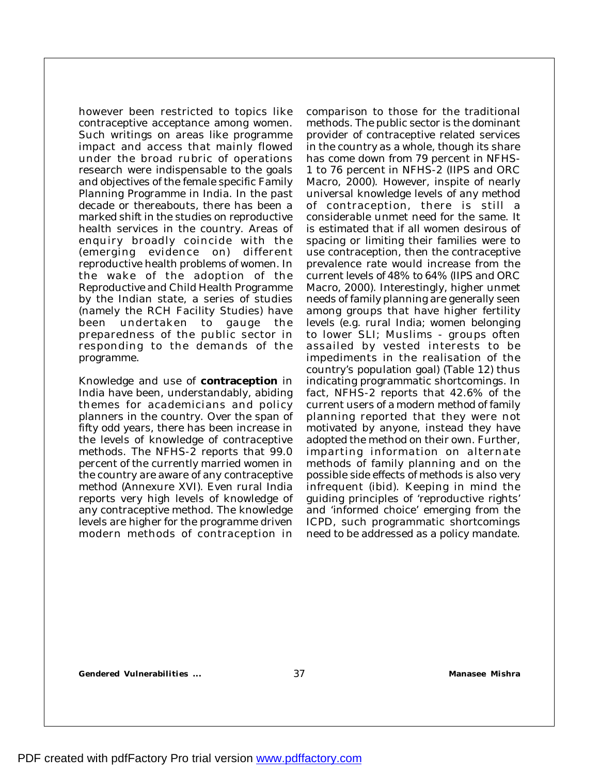however been restricted to topics like contraceptive acceptance among women. Such writings on areas like programme impact and access that mainly flowed under the broad rubric of operations research were indispensable to the goals and objectives of the female specific Family Planning Programme in India. In the past decade or thereabouts, there has been a marked shift in the studies on reproductive health services in the country. Areas of enquiry broadly coincide with the (emerging evidence on) different reproductive health problems of women. In the wake of the adoption of the Reproductive and Child Health Programme by the Indian state, a series of studies (namely the RCH Facility Studies) have been undertaken to gauge the preparedness of the public sector in responding to the demands of the programme.

Knowledge and use of **contraception** in India have been, understandably, abiding themes for academicians and policy planners in the country. Over the span of fifty odd years, there has been increase in the levels of knowledge of contraceptive methods. The NFHS-2 reports that 99.0 percent of the currently married women in the country are aware of any contraceptive method (Annexure XVI). Even rural India reports very high levels of knowledge of any contraceptive method. The knowledge levels are higher for the programme driven modern methods of contraception in

comparison to those for the traditional methods. The public sector is the dominant provider of contraceptive related services in the country as a whole, though its share has come down from 79 percent in NFHS-1 to 76 percent in NFHS-2 (IIPS and ORC Macro, 2000). However, inspite of nearly universal knowledge levels of any method of contraception, there is still a considerable unmet need for the same. It is estimated that if all women desirous of spacing or limiting their families were to use contraception, then the contraceptive prevalence rate would increase from the current levels of 48% to 64% (IIPS and ORC Macro, 2000). Interestingly, higher unmet needs of family planning are *generally* seen among groups that have higher fertility levels (e.g. rural India; women belonging to lower SLI; Muslims - groups often assailed by vested interests to be impediments in the realisation of the country's population goal) (Table 12) thus indicating programmatic shortcomings. In fact, NFHS-2 reports that 42.6% of the current users of a modern method of family planning reported that they were not motivated by anyone, instead they have adopted the method on their own. Further, imparting information on alternate methods of family planning and on the possible side effects of methods is also very infrequent (ibid). Keeping in mind the guiding principles of 'reproductive rights' and 'informed choice' emerging from the ICPD, such programmatic shortcomings need to be addressed as a policy mandate.

**Gendered Vulnerabilities ...** 37 **Manasee Mishra**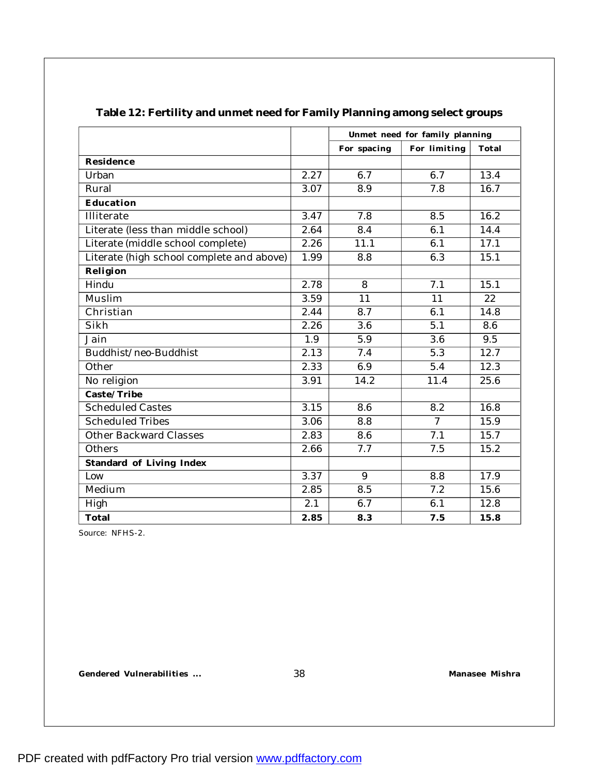|                                           |      | Unmet need for family planning |              |       |
|-------------------------------------------|------|--------------------------------|--------------|-------|
|                                           |      | For spacing                    | For limiting | Total |
| Residence                                 |      |                                |              |       |
| <b>Urban</b>                              | 2.27 | 6.7                            | 6.7          | 13.4  |
| <b>Rural</b>                              | 3.07 | 8.9                            | 7.8          | 16.7  |
| Education                                 |      |                                |              |       |
| Illiterate                                | 3.47 | 7.8                            | 8.5          | 16.2  |
| Literate (less than middle school)        | 2.64 | 8.4                            | 6.1          | 14.4  |
| Literate (middle school complete)         | 2.26 | 11.1                           | 6.1          | 17.1  |
| Literate (high school complete and above) | 1.99 | 8.8                            | 6.3          | 15.1  |
| Religion                                  |      |                                |              |       |
| Hindu                                     | 2.78 | 8                              | 7.1          | 15.1  |
| <b>Muslim</b>                             | 3.59 | 11                             | 11           | 22    |
| Christian                                 | 2.44 | 8.7                            | 6.1          | 14.8  |
| Sikh                                      | 2.26 | 3.6                            | 5.1          | 8.6   |
| Jain                                      | 1.9  | 5.9                            | 3.6          | 9.5   |
| Buddhist/neo-Buddhist                     | 2.13 | 7.4                            | 5.3          | 12.7  |
| Other                                     | 2.33 | 6.9                            | 5.4          | 12.3  |
| No religion                               | 3.91 | 14.2                           | 11.4         | 25.6  |
| Caste/Tribe                               |      |                                |              |       |
| <b>Scheduled Castes</b>                   | 3.15 | 8.6                            | 8.2          | 16.8  |
| <b>Scheduled Tribes</b>                   | 3.06 | 8.8                            | 7            | 15.9  |
| <b>Other Backward Classes</b>             | 2.83 | 8.6                            | 7.1          | 15.7  |
| <b>Others</b>                             | 2.66 | $\overline{7.7}$               | 7.5          | 15.2  |
| Standard of Living Index                  |      |                                |              |       |
| Low                                       | 3.37 | $\boldsymbol{9}$               | 8.8          | 17.9  |
| Medium                                    | 2.85 | 8.5                            | 7.2          | 15.6  |
| High                                      | 2.1  | 6.7                            | 6.1          | 12.8  |
| <b>Total</b>                              | 2.85 | 8.3                            | 7.5          | 15.8  |

## **Table 12: Fertility and unmet need for Family Planning among select groups**

*Source:* NFHS-2.

**Gendered Vulnerabilities ...** 38 **Manasee Mishra**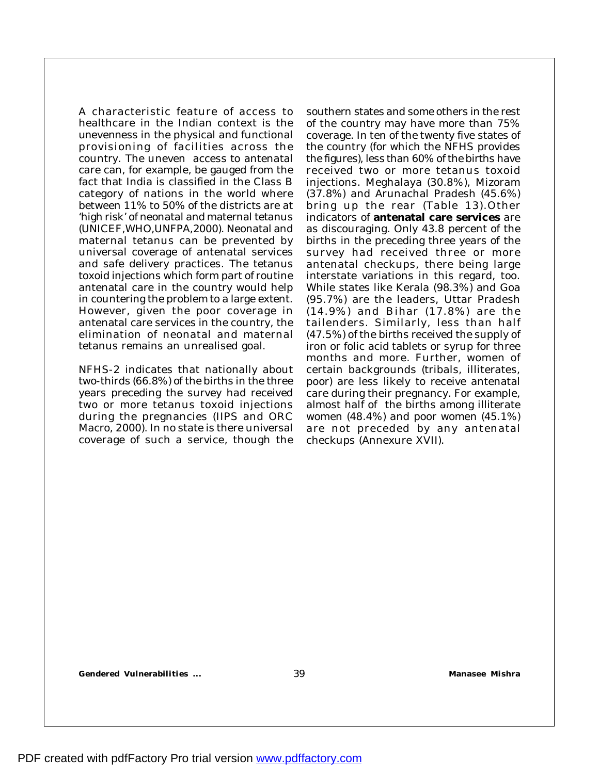A characteristic feature of access to healthcare in the Indian context is the *unevenness* in the physical and functional provisioning of facilities across the country. The uneven access to antenatal care can, for example, be gauged from the fact that India is classified in the Class B category of nations in the world where between 11% to 50% of the districts are at 'high risk' of neonatal and maternal tetanus (UNICEF,WHO,UNFPA,2000). Neonatal and maternal tetanus can be prevented by universal coverage of antenatal services and safe delivery practices. The tetanus toxoid injections which form part of routine antenatal care in the country would help in countering the problem to a large extent. However, given the poor coverage in antenatal care services in the country, the elimination of neonatal and maternal tetanus remains an unrealised goal.

NFHS-2 indicates that nationally about two-thirds (66.8%) of the births in the three years preceding the survey had received two or more tetanus toxoid injections during the pregnancies (IIPS and ORC Macro, 2000). In no state is there universal coverage of such a service, though the

southern states and some others in the rest of the country may have more than 75% coverage. In ten of the twenty five states of the country (for which the NFHS provides the figures), less than 60% of the births have received two or more tetanus toxoid injections. Meghalaya (30.8%), Mizoram (37.8%) and Arunachal Pradesh (45.6%) bring up the rear (Table 13).Other indicators of **antenatal care services** are as discouraging. Only 43.8 percent of the births in the preceding three years of the survey had received three or more antenatal checkups, there being large interstate variations in this regard, too. While states like Kerala (98.3%) and Goa (95.7%) are the leaders, Uttar Pradesh  $(14.9\%)$  and Bihar  $(17.8\%)$  are the tailenders. Similarly, less than half (47.5%) of the births received the supply of iron or folic acid tablets or syrup for three months and more. Further, women of certain backgrounds (tribals, illiterates, poor) are less likely to receive antenatal care during their pregnancy. For example, almost half of the births among illiterate women (48.4%) and poor women (45.1%) are not preceded by any antenatal checkups (Annexure XVII).

**Gendered Vulnerabilities ...** 39 **Manasee Mishra**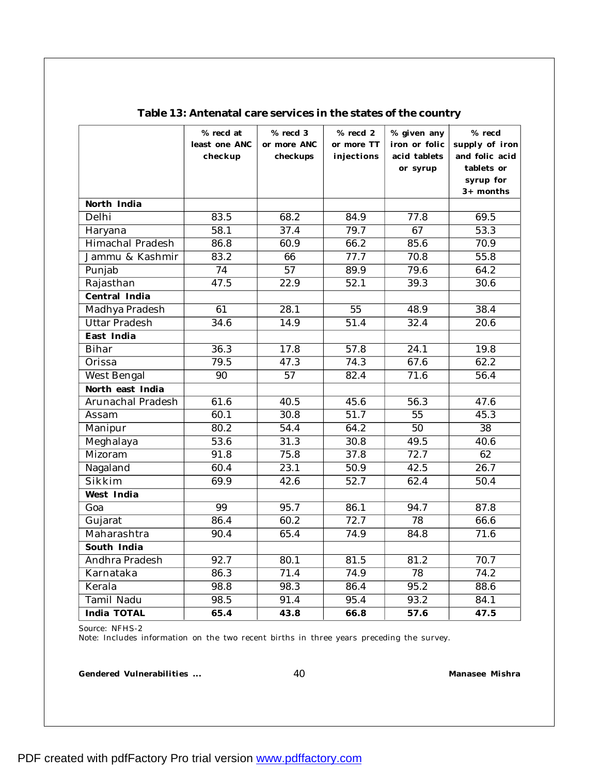|                          | % recd at         | $%$ recd 3        | $%$ recd $2$      | % given any     | % recd            |
|--------------------------|-------------------|-------------------|-------------------|-----------------|-------------------|
|                          | least one ANC     | or more ANC       | or more TT        | iron or folic   | supply of iron    |
|                          | checkup           | checkups          | injections        | acid tablets    | and folic acid    |
|                          |                   |                   |                   | or syrup        | tablets or        |
|                          |                   |                   |                   |                 | syrup for         |
|                          |                   |                   |                   |                 | $3+$ months       |
| North India              |                   |                   |                   | 77.8            |                   |
| Delhi                    | 83.5              | 68.2              | 84.9              |                 | 69.5              |
| Haryana                  | $\overline{58.1}$ | 37.4              | 79.7              | $\overline{67}$ | 53.3              |
| <b>Himachal Pradesh</b>  | 86.8              | 60.9              | 66.2              | 85.6            | 70.9              |
| Jammu & Kashmir          | 83.2              | 66                | 77.7              | 70.8            | 55.8              |
| Punjab                   | $\overline{74}$   | $\overline{57}$   | 89.9              | 79.6            | 64.2              |
| Rajasthan                | $\overline{47.5}$ | 22.9              | $\overline{52.1}$ | 39.3            | 30.6              |
| Central India            |                   |                   |                   |                 |                   |
| <b>Madhya Pradesh</b>    | 61                | 28.1              | 55                | 48.9            | 38.4              |
| <b>Uttar Pradesh</b>     | 34.6              | 14.9              | $\overline{51.4}$ | 32.4            | 20.6              |
| East India               |                   |                   |                   |                 |                   |
| <b>Bihar</b>             | 36.3              | 17.8              | 57.8              | 24.1            | 19.8              |
| <b>Orissa</b>            | 79.5              | 47.3              | 74.3              | 67.6            | 62.2              |
| <b>West Bengal</b>       | 90                | $\overline{57}$   | 82.4              | 71.6            | $\overline{56.4}$ |
| North east India         |                   |                   |                   |                 |                   |
| <b>Arunachal Pradesh</b> | 61.6              | 40.5              | 45.6              | 56.3            | 47.6              |
| Assam                    | 60.1              | 30.8              | $\overline{51.7}$ | 55              | $\overline{45.3}$ |
| <b>Manipur</b>           | $\overline{80.2}$ | 54.4              | 64.2              | 50              | 38                |
| Meghalaya                | 53.6              | $\overline{31.3}$ | 30.8              | 49.5            | 40.6              |
| <b>Mizoram</b>           | 91.8              | 75.8              | 37.8              | 72.7            | 62                |
| Nagaland                 | 60.4              | 23.1              | $\overline{50.9}$ | 42.5            | 26.7              |
| Sikkim                   | 69.9              | 42.6              | 52.7              | 62.4            | $\overline{50.4}$ |
| West India               |                   |                   |                   |                 |                   |
| Goa                      | 99                | 95.7              | 86.1              | 94.7            | 87.8              |
| Gujarat                  | 86.4              | 60.2              | 72.7              | $\overline{78}$ | 66.6              |
| <b>Maharashtra</b>       | 90.4              | 65.4              | 74.9              | 84.8            | 71.6              |
| South India              |                   |                   |                   |                 |                   |
| <b>Andhra Pradesh</b>    | 92.7              | 80.1              | $\overline{81.5}$ | 81.2            | 70.7              |
| Karnataka                | 86.3              | 71.4              | 74.9              | $\overline{78}$ | 74.2              |
| Kerala                   | 98.8              | 98.3              | 86.4              | 95.2            | 88.6              |
| <b>Tamil Nadu</b>        | 98.5              | 91.4              | 95.4              | 93.2            | 84.1              |
| India TOTAL              | 65.4              | 43.8              | 66.8              | 57.6            | 47.5              |
|                          |                   |                   |                   |                 |                   |

**Table 13: Antenatal care services in the states of the country**

*Source:* NFHS-2

Note: Includes information on the two recent births in three years preceding the survey.

**Gendered Vulnerabilities ...** 40 **Manasee Mishra**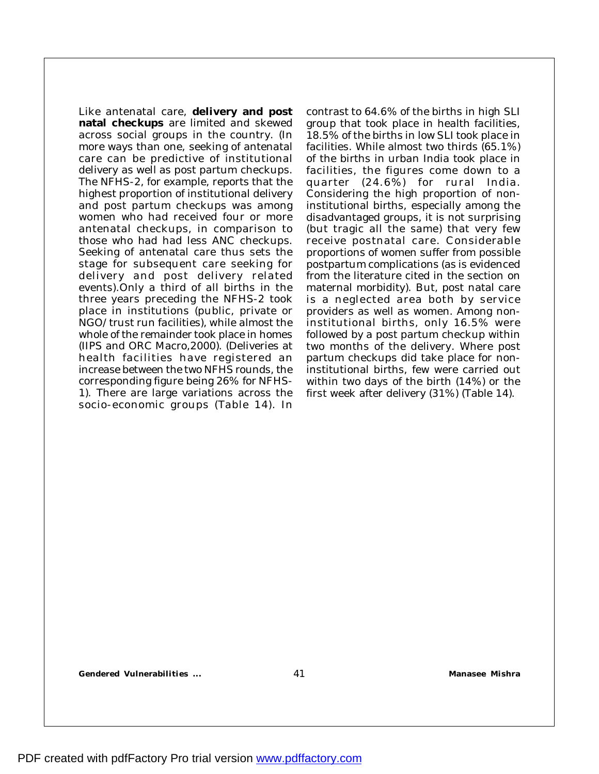Like antenatal care, **delivery and post natal checkups** are limited and skewed across social groups in the country. (In more ways than one, seeking of antenatal care can be predictive of institutional delivery as well as post partum checkups. The NFHS-2, for example, reports that the highest proportion of institutional delivery and post partum checkups was among women who had received four or more antenatal checkups, in comparison to those who had had less ANC checkups. Seeking of antenatal care thus sets the stage for subsequent care seeking for delivery and post delivery related events).Only a third of all births in the three years preceding the NFHS-2 took place in institutions (public, private or NGO/trust run facilities), while almost the whole of the remainder took place in homes (IIPS and ORC Macro,2000). (Deliveries at health facilities have registered an increase between the two NFHS rounds, the corresponding figure being 26% for NFHS-1). There are large variations across the socio-economic groups (Table 14). In

contrast to 64.6% of the births in high SLI group that took place in health facilities, 18.5% of the births in low SLI took place in facilities. While almost two thirds (65.1%) of the births in urban India took place in facilities, the figures come down to a quarter  $(24.6\%)$  for rural India. Considering the high proportion of noninstitutional births, especially among the disadvantaged groups, it is not surprising (but tragic all the same) that very few receive postnatal care. Considerable proportions of women suffer from possible postpartum complications (as is evidenced from the literature cited in the section on maternal morbidity). But, post natal care is a neglected area both by service providers as well as women. Among noninstitutional births, only 16.5% were followed by a post partum checkup within two months of the delivery. Where post partum checkups did take place for noninstitutional births, few were carried out within two days of the birth (14%) or the first week after delivery (31%) (Table 14).

**Gendered Vulnerabilities ...** 41 **Manasee Mishra**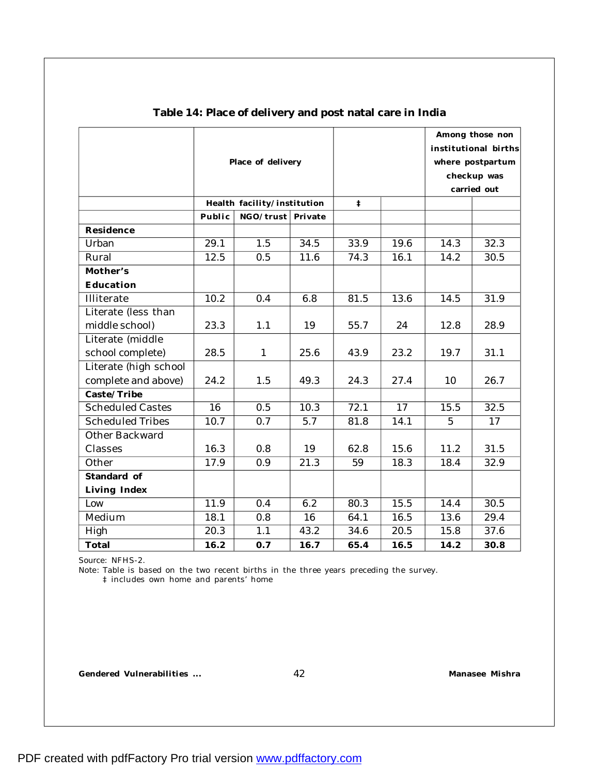|                         | Place of delivery |                             |         |            |      | Among those non<br>institutional births<br>where postpartum<br>checkup was<br>carried out |      |
|-------------------------|-------------------|-----------------------------|---------|------------|------|-------------------------------------------------------------------------------------------|------|
|                         |                   | Health facility/institution |         | $\ddagger$ |      |                                                                                           |      |
|                         | Public            | NGO/trust                   | Private |            |      |                                                                                           |      |
| Residence               |                   |                             |         |            |      |                                                                                           |      |
| <b>Urban</b>            | 29.1              | 1.5                         | 34.5    | 33.9       | 19.6 | 14.3                                                                                      | 32.3 |
| <b>Rural</b>            | 12.5              | 0.5                         | 11.6    | 74.3       | 16.1 | 14.2                                                                                      | 30.5 |
| Mother's                |                   |                             |         |            |      |                                                                                           |      |
| Education               |                   |                             |         |            |      |                                                                                           |      |
| Illiterate              | 10.2              | 0.4                         | 6.8     | 81.5       | 13.6 | 14.5                                                                                      | 31.9 |
| Literate (less than     |                   |                             |         |            |      |                                                                                           |      |
| middle school)          | 23.3              | 1.1                         | 19      | 55.7       | 24   | 12.8                                                                                      | 28.9 |
| Literate (middle        |                   |                             |         |            |      |                                                                                           |      |
| school complete)        | 28.5              | $\mathbf{1}$                | 25.6    | 43.9       | 23.2 | 19.7                                                                                      | 31.1 |
| Literate (high school   |                   |                             |         |            |      |                                                                                           |      |
| complete and above)     | 24.2              | 1.5                         | 49.3    | 24.3       | 27.4 | 10                                                                                        | 26.7 |
| Caste/Tribe             |                   |                             |         |            |      |                                                                                           |      |
| <b>Scheduled Castes</b> | 16                | 0.5                         | 10.3    | 72.1       | 17   | 15.5                                                                                      | 32.5 |
| <b>Scheduled Tribes</b> | 10.7              | 0.7                         | 5.7     | 81.8       | 14.1 | $\overline{5}$                                                                            | 17   |
| <b>Other Backward</b>   |                   |                             |         |            |      |                                                                                           |      |
| <b>Classes</b>          | 16.3              | 0.8                         | 19      | 62.8       | 15.6 | 11.2                                                                                      | 31.5 |
| Other                   | 17.9              | 0.9                         | 21.3    | 59         | 18.3 | 18.4                                                                                      | 32.9 |
| Standard of             |                   |                             |         |            |      |                                                                                           |      |
| Living Index            |                   |                             |         |            |      |                                                                                           |      |
| Low                     | 11.9              | 0.4                         | 6.2     | 80.3       | 15.5 | 14.4                                                                                      | 30.5 |
| Medium                  | 18.1              | 0.8                         | 16      | 64.1       | 16.5 | 13.6                                                                                      | 29.4 |
| High                    | 20.3              | 1.1                         | 43.2    | 34.6       | 20.5 | 15.8                                                                                      | 37.6 |
| <b>Total</b>            | 16.2              | 0.7                         | 16.7    | 65.4       | 16.5 | 14.2                                                                                      | 30.8 |

### **Table 14: Place of delivery and post natal care in India**

*Source:* NFHS-2.

*Note*: Table is based on the two recent births in the three years preceding the survey.

‡ includes own home and parents' home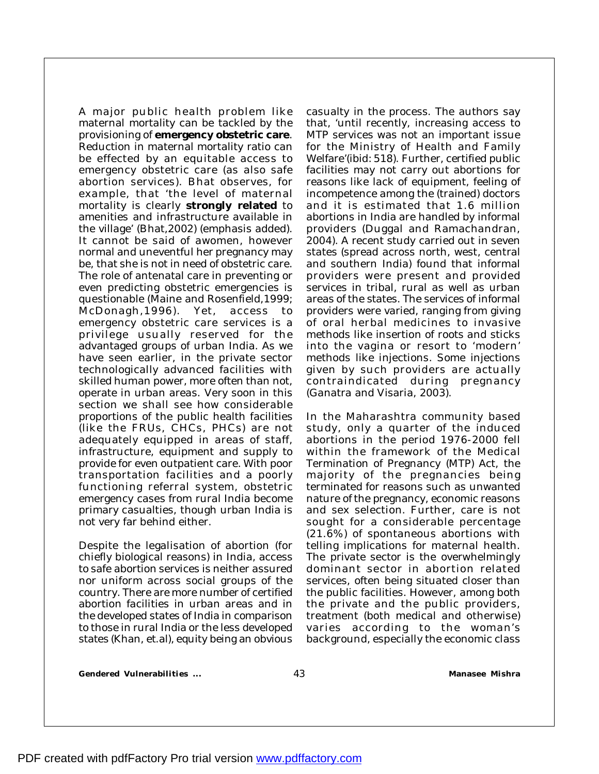A major public health problem like maternal mortality can be tackled by the provisioning of **emergency obstetric care**. Reduction in maternal mortality ratio can be effected by an equitable access to emergency obstetric care (as also safe abortion services). Bhat observes, for example, that 'the level of maternal mortality is clearly **strongly related** to amenities and infrastructure available in the village' (Bhat,2002) (emphasis added). It cannot be said of awomen, however normal and uneventful her pregnancy may be, that she is not in need of obstetric care. The role of antenatal care in preventing or even predicting obstetric emergencies is questionable (Maine and Rosenfield,1999; McDonagh,1996). Yet, access to emergency obstetric care services is a privilege usually reserved for the advantaged groups of urban India. As we have seen earlier, in the private sector technologically advanced facilities with skilled human power, more often than not, operate in urban areas. Very soon in this section we shall see how considerable proportions of the public health facilities (like the FRUs, CHCs, PHCs) are not adequately equipped in areas of staff, infrastructure, equipment and supply to provide for even outpatient care. With poor transportation facilities and a poorly functioning referral system, obstetric emergency cases from rural India become primary casualties, though urban India is not very far behind either.

Despite the legalisation of abortion (for chiefly biological reasons) in India, access to safe abortion services is neither assured nor uniform across social groups of the country. There are more number of certified abortion facilities in urban areas and in the developed states of India in comparison to those in rural India or the less developed states (Khan, et.al), equity being an obvious casualty in the process. The authors say that, 'until recently, increasing access to MTP services was not an important issue for the Ministry of Health and Family Welfare'(ibid: 518). Further, certified public facilities may not carry out abortions for reasons like lack of equipment, feeling of incompetence among the (trained) doctors and it is estimated that 1.6 million abortions in India are handled by informal providers (Duggal and Ramachandran, 2004). A recent study carried out in seven states (spread across north, west, central and southern India) found that informal providers were present and provided services in tribal, rural as well as urban areas of the states. The services of informal providers were varied, ranging from giving of oral herbal medicines to invasive methods like insertion of roots and sticks into the vagina or resort to 'modern' methods like injections. Some injections given by such providers are actually contraindicated during pregnancy (Ganatra and Visaria, 2003).

In the Maharashtra community based study, only a quarter of the induced abortions in the period 1976-2000 fell within the framework of the Medical Termination of Pregnancy (MTP) Act, the majority of the pregnancies being terminated for reasons such as unwanted nature of the pregnancy, economic reasons and sex selection. Further, care is not sought for a considerable percentage (21.6%) of spontaneous abortions with telling implications for maternal health. The private sector is the overwhelmingly dominant sector in abortion related services, often being situated closer than the public facilities. However, among both the private and the public providers, treatment (both medical and otherwise) varies according to the woman's background, especially the economic class

**Gendered Vulnerabilities ...** 43 **Manasee Mishra**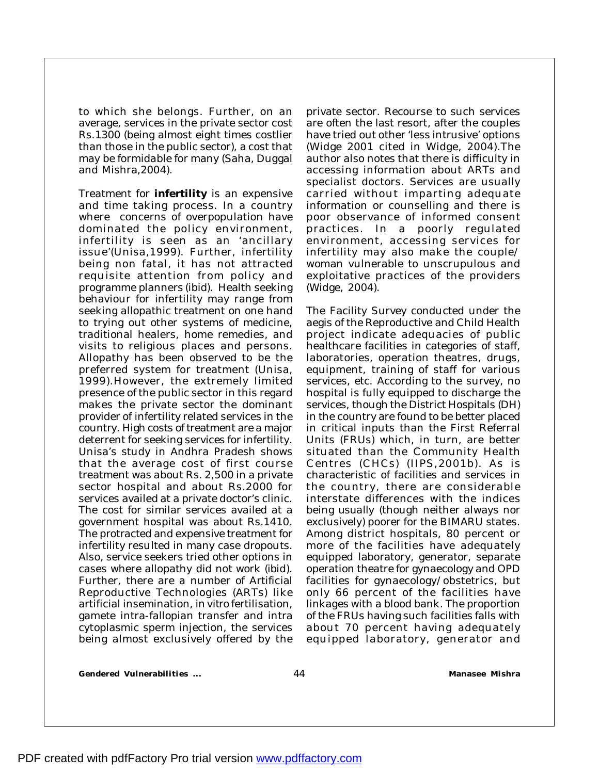to which she belongs. Further, on an average, services in the private sector cost Rs.1300 (being almost eight times costlier than those in the public sector), a cost that may be formidable for many (Saha, Duggal and Mishra,2004).

Treatment for **infertility** is an expensive and time taking process. In a country where concerns of overpopulation have dominated the policy environment, infertility is seen as an 'ancillary issue'(Unisa,1999). Further, infertility being non fatal, it has not attracted requisite attention from policy and programme planners (ibid). Health seeking behaviour for infertility may range from seeking allopathic treatment on one hand to trying out other systems of medicine, traditional healers, home remedies, and visits to religious places and persons. Allopathy has been observed to be the preferred system for treatment (Unisa, 1999).However, the extremely limited presence of the public sector in this regard makes the private sector the dominant provider of infertility related services in the country. High costs of treatment are a major deterrent for seeking services for infertility. Unisa's study in Andhra Pradesh shows that the average cost of first course treatment was about Rs. 2,500 in a private sector hospital and about Rs.2000 for services availed at a private doctor's clinic. The cost for similar services availed at a government hospital was about Rs.1410. The protracted and expensive treatment for infertility resulted in many case dropouts. Also, service seekers tried other options in cases where allopathy did not work (*ibid*). Further, there are a number of Artificial Reproductive Technologies (ARTs) like artificial insemination, *in vitro* fertilisation, gamete intra-fallopian transfer and intra cytoplasmic sperm injection, the services being almost exclusively offered by the private sector. Recourse to such services are often the last resort, after the couples have tried out other 'less intrusive' options (Widge 2001 cited in Widge, 2004).The author also notes that there is difficulty in accessing information about ARTs and specialist doctors. Services are usually carried without imparting adequate information or counselling and there is poor observance of informed consent practices. In a poorly regulated environment, accessing services for infertility may also make the couple/ woman vulnerable to unscrupulous and exploitative practices of the providers (Widge, 2004).

The Facility Survey conducted under the aegis of the Reproductive and Child Health project indicate adequacies of public healthcare facilities in categories of staff, laboratories, operation theatres, drugs, equipment, training of staff for various services, etc. According to the survey, no hospital is fully equipped to discharge the services, though the District Hospitals (DH) in the country are found to be better placed in critical inputs than the First Referral Units (FRUs) which, in turn, are better situated than the Community Health Centres (CHCs) (IIPS,2001b). As is characteristic of facilities and services in the country, there are considerable interstate differences with the indices being *usually* (though neither always nor exclusively) poorer for the BIMARU states. Among district hospitals, 80 percent or more of the facilities have adequately equipped laboratory, generator, separate operation theatre for gynaecology and OPD facilities for gynaecology/obstetrics, but only 66 percent of the facilities have linkages with a blood bank. The proportion of the FRUs having such facilities falls with about 70 percent having adequately equipped laboratory, generator and

**Gendered Vulnerabilities ...** 44 **Manasee Mishra**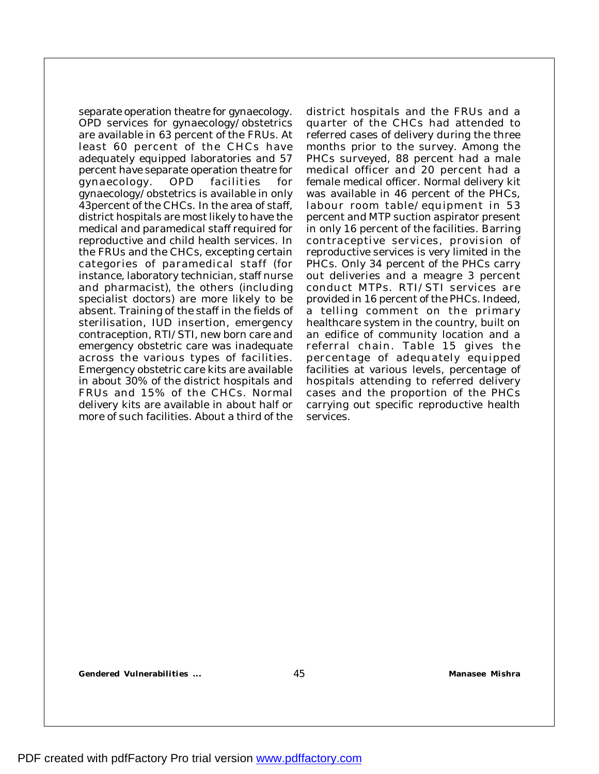separate operation theatre for gynaecology. OPD services for gynaecology/obstetrics are available in 63 percent of the FRUs. At least 60 percent of the CHCs have adequately equipped laboratories and 57 percent have separate operation theatre for gynaecology. OPD facilities for gynaecology/obstetrics is available in only 43percent of the CHCs. In the area of staff, district hospitals are most likely to have the medical and paramedical staff required for reproductive and child health services. In the FRUs and the CHCs, excepting certain categories of paramedical staff (for instance, laboratory technician, staff nurse and pharmacist), the others (including specialist doctors) are more likely to be absent. Training of the staff in the fields of sterilisation, IUD insertion, emergency contraception, RTI/STI, new born care and emergency obstetric care was inadequate across the various types of facilities. Emergency obstetric care kits are available in about 30% of the district hospitals and FRUs and 15% of the CHCs. Normal delivery kits are available in about half or more of such facilities. About a third of the

district hospitals and the FRUs and a quarter of the CHCs had attended to referred cases of delivery during the three months prior to the survey. Among the PHCs surveyed, 88 percent had a male medical officer and 20 percent had a female medical officer. Normal delivery kit was available in 46 percent of the PHCs, labour room table/equipment in 53 percent and MTP suction aspirator present in only 16 percent of the facilities. Barring contraceptive services, provision of reproductive services is very limited in the PHCs. Only 34 percent of the PHCs carry out deliveries and a meagre 3 percent conduct MTPs. RTI/STI services are provided in 16 percent of the PHCs. Indeed, a telling comment on the primary healthcare system in the country, built on an edifice of community location and a referral chain. Table 15 gives the percentage of adequately equipped facilities at various levels, percentage of hospitals attending to referred delivery cases and the proportion of the PHCs carrying out specific reproductive health services.

**Gendered Vulnerabilities ...** 45 **Manasee Mishra**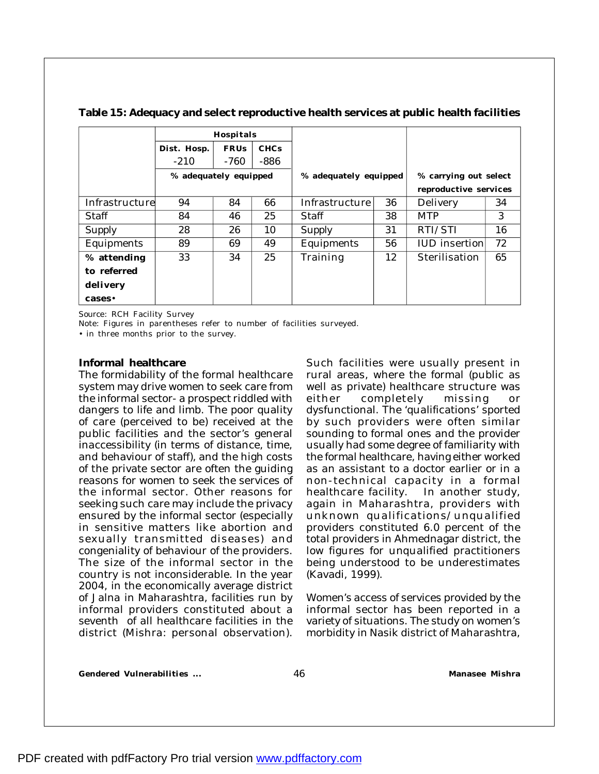|                |                       | Hospitals   |             |                       |    |                       |    |  |
|----------------|-----------------------|-------------|-------------|-----------------------|----|-----------------------|----|--|
|                | Dist. Hosp.           | <b>FRUs</b> | <b>CHCs</b> |                       |    |                       |    |  |
|                | $-210$                | -760        | $-886$      |                       |    |                       |    |  |
|                | % adequately equipped |             |             | % adequately equipped |    | % carrying out select |    |  |
|                |                       |             |             |                       |    | reproductive services |    |  |
| Infrastructure | 94                    | 84          | 66          | Infrastructure        | 36 | <b>Delivery</b>       | 34 |  |
| <b>Staff</b>   | 84                    | 46          | 25          | <b>Staff</b>          | 38 | <b>MTP</b>            | 3  |  |
| <b>Supply</b>  | 28                    | 26          | 10          | <b>Supply</b>         | 31 | RTI/STI               | 16 |  |
| Equipments     | 89                    | 69          | 49          | <b>Equipments</b>     | 56 | <b>IUD</b> insertion  | 72 |  |
| % attending    | 33                    | 34          | 25          | <b>Training</b>       | 12 | <b>Sterilisation</b>  | 65 |  |
| to referred    |                       |             |             |                       |    |                       |    |  |
| delivery       |                       |             |             |                       |    |                       |    |  |
| cases•         |                       |             |             |                       |    |                       |    |  |

### **Table 15: Adequacy and select reproductive health services at public health facilities**

*Source*: RCH Facility Survey

Note: Figures in parentheses refer to number of facilities surveyed.

• in three months prior to the survey.

#### **Informal healthcare**

The formidability of the formal healthcare system may drive women to seek care from the informal sector- a prospect riddled with dangers to life and limb. The poor quality of care (perceived to be) received at the public facilities and the sector's general inaccessibility (in terms of distance, time, and behaviour of staff), and the high costs of the private sector are often the guiding reasons for women to seek the services of the informal sector. Other reasons for seeking such care may include the privacy ensured by the informal sector (especially in sensitive matters like abortion and sexually transmitted diseases) and congeniality of behaviour of the providers. The size of the informal sector in the country is not inconsiderable. In the year 2004, in the economically average district of Jalna in Maharashtra, facilities run by informal providers constituted about a seventh of all healthcare facilities in the district (Mishra: personal observation).

Such facilities were usually present in rural areas, where the formal (public as well as private) healthcare structure was either completely missing or dysfunctional. The 'qualifications' sported by such providers were often similar sounding to formal ones and the provider usually had some degree of familiarity with the formal healthcare, having either worked as an assistant to a doctor earlier or in a non-technical capacity in a formal healthcare facility. In another study, again in Maharashtra, providers with unknown qualifications/unqualified providers constituted 6.0 percent of the total providers in Ahmednagar district, the low figures for unqualified practitioners being understood to be underestimates (Kavadi, 1999).

Women's access of services provided by the informal sector has been reported in a variety of situations. The study on women's morbidity in Nasik district of Maharashtra,

**Gendered Vulnerabilities ...** 46 **Manasee Mishra**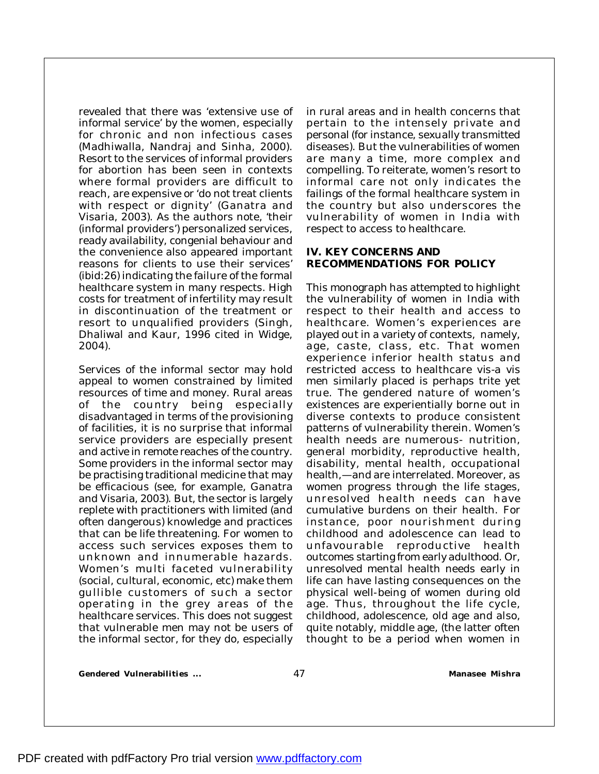revealed that there was 'extensive use of informal service' by the women, especially for chronic and non infectious cases (Madhiwalla, Nandraj and Sinha, 2000). Resort to the services of informal providers for abortion has been seen in contexts where formal providers are difficult to reach, are expensive or 'do not treat clients with respect or dignity' (Ganatra and Visaria, 2003). As the authors note, 'their (informal providers') personalized services, ready availability, congenial behaviour and the convenience also appeared important reasons for clients to use their services' (ibid:26) indicating the failure of the formal healthcare system in many respects. High costs for treatment of infertility may result in discontinuation of the treatment or resort to unqualified providers (Singh, Dhaliwal and Kaur, 1996 cited in Widge, 2004).

Services of the informal sector may hold appeal to women constrained by limited resources of time and money. Rural areas of the country being especially disadvantaged in terms of the provisioning of facilities, it is no surprise that informal service providers are especially present and active in remote reaches of the country. Some providers in the informal sector may be practising traditional medicine that may be efficacious (see, for example, Ganatra and Visaria, 2003). But, the sector is largely replete with practitioners with limited (and often dangerous) knowledge and practices that can be life threatening. For women to access such services exposes them to unknown and innumerable hazards. Women's multi faceted vulnerability (social, cultural, economic, etc) make them gullible customers of such a sector operating in the grey areas of the healthcare services. This does not suggest that vulnerable men may not be users of the informal sector, for they do, especially

in rural areas and in health concerns that pertain to the intensely private and personal (for instance, sexually transmitted diseases). But the vulnerabilities of women are many a time, more complex and compelling. To reiterate, women's resort to informal care not only indicates the failings of the formal healthcare system in the country but also underscores the vulnerability of women in India with respect to access to healthcare.

### **IV. KEY CONCERNS AND RECOMMENDATIONS FOR POLICY**

This monograph has attempted to highlight the vulnerability of women in India with respect to their health and access to healthcare. Women's experiences are played out in a variety of contexts, namely, age, caste, class, etc. That women experience inferior health status and restricted access to healthcare *vis-a vis* men similarly placed is perhaps trite yet true. The gendered nature of women's existences are experientially borne out in diverse contexts to produce consistent patterns of vulnerability therein. Women's health needs are numerous- nutrition, general morbidity, reproductive health, disability, mental health, occupational health,—and are interrelated. Moreover, as women progress through the life stages, unresolved health needs can have cumulative burdens on their health. For instance, poor nourishment during childhood and adolescence can lead to unfavourable reproductive health outcomes starting from early adulthood. Or, unresolved mental health needs early in life can have lasting consequences on the physical well-being of women during old age. Thus, throughout the life cycle, childhood, adolescence, old age and also, quite notably, middle age, (the latter often thought to be a period when women in

**Gendered Vulnerabilities ...** 47 **Manasee Mishra**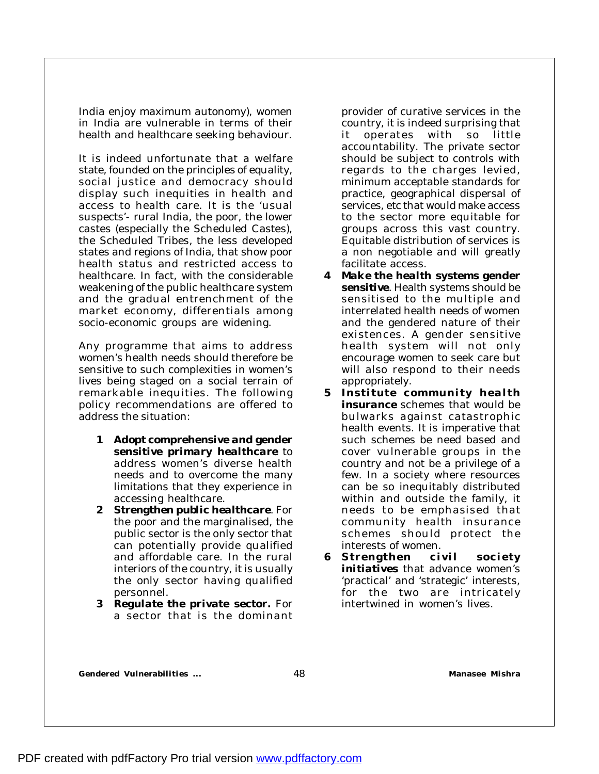India enjoy maximum autonomy), women in India are vulnerable in terms of their health and healthcare seeking behaviour.

It is indeed unfortunate that a welfare state, founded on the principles of equality, social justice and democracy should display such inequities in health and access to health care. It is the 'usual suspects'- rural India, the poor, the lower castes (especially the Scheduled Castes), the Scheduled Tribes, the less developed states and regions of India, that show poor health status and restricted access to healthcare. In fact, with the considerable weakening of the public healthcare system and the gradual entrenchment of the market economy, differentials among socio-economic groups are widening.

Any programme that aims to address women's health needs should therefore be sensitive to such complexities in women's lives being staged on a social terrain of remarkable inequities. The following policy recommendations are offered to address the situation:

- *1 Adopt comprehensive and gender sensitive primary healthcare* to address women's diverse health needs and to overcome the many limitations that they experience in accessing healthcare.
- *2 Strengthen public healthcare*. For the poor and the marginalised, the public sector is the only sector that can potentially provide qualified and affordable care. In the rural interiors of the country, it is usually the *only* sector having qualified personnel.
- *3 Regulate the private sector.* For a sector that is the dominant

provider of curative services in the country, it is indeed surprising that it operates with so little accountability. The private sector should be subject to controls with regards to the charges levied, minimum acceptable standards for practice, geographical dispersal of services, etc that would make access to the sector more equitable for groups across this vast country. Equitable distribution of services is a non negotiable and will greatly facilitate access.

- *4 Make the health systems gender sensitive*. Health systems should be sensitised to the multiple and interrelated health needs of women and the gendered nature of their existences. A gender sensitive health system will not only encourage women to seek care but will also respond to their needs appropriately.
- *5 Institute community health insurance* schemes that would be bulwarks against catastrophic health events. It is imperative that such schemes be need based and cover vulnerable groups in the country and not be a privilege of a few. In a society where resources can be so inequitably distributed within and outside the family, it needs to be emphasised that community health insurance schemes should protect the interests of women.
- *6 Strengthen c ivil society initiatives* that advance women's 'practical' and 'strategic' interests, for the two are intricately intertwined in women's lives.

**Gendered Vulnerabilities ...** 48 **Manasee Mishra**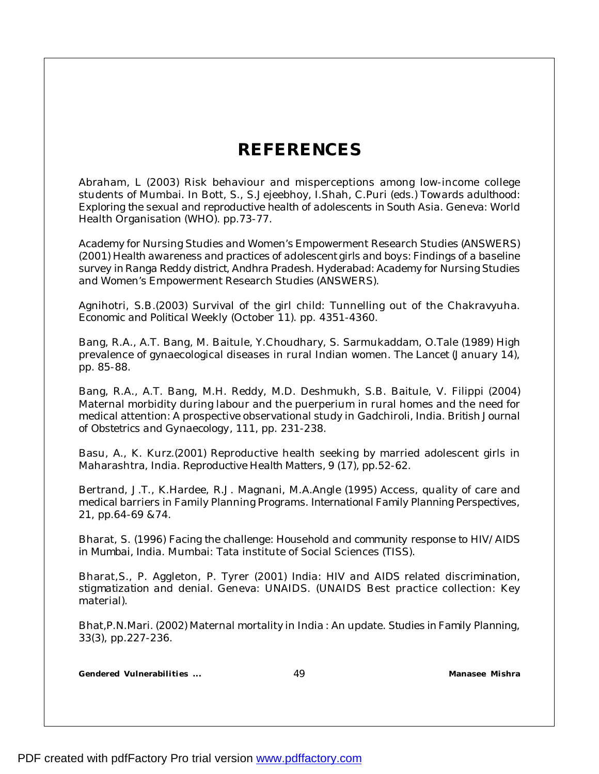# **REFERENCES**

Abraham, L (2003) Risk behaviour and misperceptions among low-income college students of Mumbai. In Bott, S., S.Jejeebhoy, I.Shah, C.Puri (eds.) *Towards adulthood: Exploring the sexual and reproductive health of adolescents in South Asia.* Geneva: World Health Organisation (WHO). pp.73-77.

Academy for Nursing Studies and Women's Empowerment Research Studies (ANSWERS) (2001) *Health awareness and practices of adolescent girls and boys: Findings of a baseline survey in Ranga Reddy district, Andhra Pradesh.* Hyderabad: Academy for Nursing Studies and Women's Empowerment Research Studies (ANSWERS).

Agnihotri, S.B.(2003) Survival of the girl child: Tunnelling out of the Chakravyuha. *Economic and Political Weekly* (October 11). pp. 4351-4360.

Bang, R.A., A.T. Bang, M. Baitule, Y.Choudhary, S. Sarmukaddam, O.Tale (1989) High prevalence of gynaecological diseases in rural Indian women. *The Lancet* (January 14), pp. 85-88.

Bang, R.A., A.T. Bang, M.H. Reddy, M.D. Deshmukh, S.B. Baitule, V. Filippi (2004) Maternal morbidity during labour and the puerperium in rural homes and the need for medical attention: A prospective observational study in Gadchiroli, India. *British Journal of Obstetrics and Gynaecology*, 111, pp. 231-238.

Basu, A., K. Kurz.(2001) Reproductive health seeking by married adolescent girls in Maharashtra, India. *Reproductive Health Matters*, 9 (17), pp.52-62.

Bertrand, J.T., K.Hardee, R.J. Magnani, M.A.Angle (1995) Access, quality of care and medical barriers in Family Planning Programs. *International Family Planning Perspectives*, 21, pp.64-69 &74.

Bharat, S. (1996) *Facing the challenge: Household and community response to HIV/AIDS in Mumbai, India*. Mumbai: Tata institute of Social Sciences (TISS).

Bharat,S., P. Aggleton, P. Tyrer (2001) *India: HIV and AIDS related discrimination, stigmatization and denial.* Geneva: UNAIDS. (UNAIDS Best practice collection: Key material).

Bhat,P.N.Mari. (2002) Maternal mortality in India : An update. *Studies in Family Planning*, 33(3), pp.227-236.

**Gendered Vulnerabilities ...** 49 **Manasee Mishra**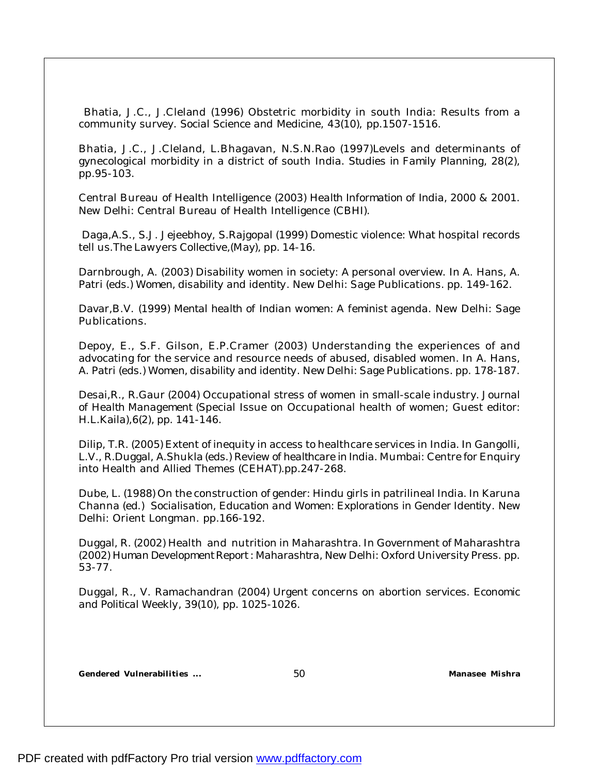Bhatia, J.C., J.Cleland (1996) Obstetric morbidity in south India: Results from a community survey. *Social Science and Medicine*, 43(10), pp.1507-1516.

Bhatia, J.C., J.Cleland, L.Bhagavan, N.S.N.Rao (1997)Levels and determinants of gynecological morbidity in a district of south India. *Studies in Family Planning*, 28(2), pp.95-103.

Central Bureau of Health Intelligence (2003) *Health Information of India, 2000 & 2001*. New Delhi: Central Bureau of Health Intelligence (CBHI).

Daga,A.S., S.J. Jejeebhoy, S.Rajgopal (1999) Domestic violence: What hospital records tell us.*The Lawyers Collective*,(May), pp. 14-16.

Darnbrough, A. (2003) Disability women in society: A personal overview. In A. Hans, A. Patri (eds.) *Women, disability and identity*. New Delhi: Sage Publications. pp. 149-162.

Davar,B.V. (1999) *Mental health of Indian women: A feminist agenda*. New Delhi: Sage Publications.

Depoy, E., S.F. Gilson, E.P.Cramer (2003) Understanding the experiences of and advocating for the service and resource needs of abused, disabled women. In A. Hans, A. Patri (eds.) *Women, disability and identity*. New Delhi: Sage Publications. pp. 178-187.

Desai,R., R.Gaur (2004) Occupational stress of women in small-scale industry. *Journal of Health Management* (Special Issue on Occupational health of women; Guest editor: H.L.Kaila),6(2), pp. 141-146.

Dilip, T.R. (2005) Extent of inequity in access to healthcare services in India. In Gangolli, L.V., R.Duggal, A.Shukla (eds.) *Review of healthcare in India*. Mumbai: Centre for Enquiry into Health and Allied Themes (CEHAT).pp.247-268.

Dube, L. (1988) On the construction of gender: Hindu girls in patrilineal India. In Karuna Channa (ed.) *Socialisation, Education and Women: Explorations in Gender Identity.* New Delhi: Orient Longman. pp.166-192.

Duggal, R. (2002) Health and nutrition in Maharashtra. In Government of Maharashtra (2002) *Human Development Report : Maharashtra,* New Delhi: Oxford University Press. pp. 53-77.

Duggal, R., V. Ramachandran (2004) Urgent concerns on abortion services. *Economic and Political Weekly*, 39(10), pp. 1025-1026.

**Gendered Vulnerabilities ...** 50 **Manasee Mishra**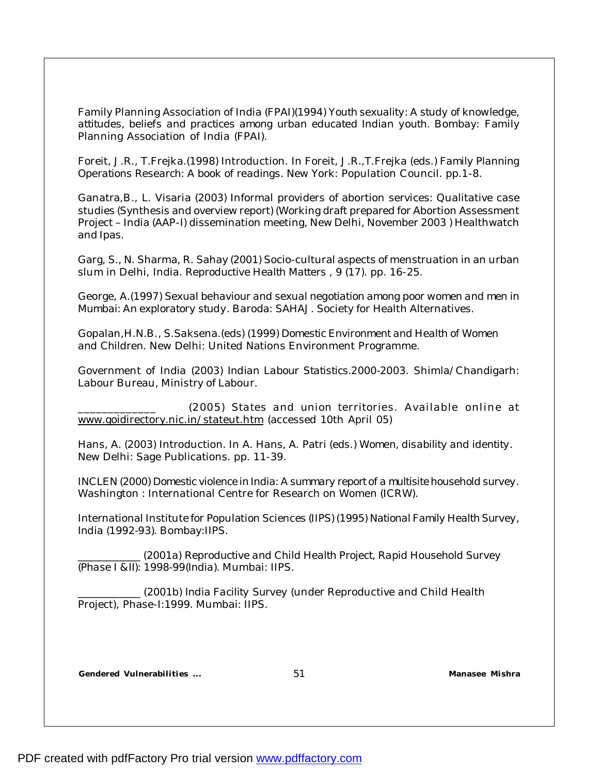Family Planning Association of India (FPAI)(1994) *Youth sexuality: A study of knowledge, attitudes, beliefs and practices among urban educated Indian youth.* Bombay: Family Planning Association of India (FPAI).

Foreit, J.R., T.Frejka.(1998) Introduction. In Foreit, J.R.,T.Frejka (eds.) *Family Planning Operations Research: A book of readings.* New York: Population Council. pp.1-8.

Ganatra,B., L. Visaria (2003) Informal providers of abortion services: Qualitative case studies (Synthesis and overview report) (Working draft prepared for Abortion Assessment Project – India (AAP-I) dissemination meeting, New Delhi, November 2003 ) Healthwatch and Ipas.

Garg, S., N. Sharma, R. Sahay (2001) Socio-cultural aspects of menstruation in an urban slum in Delhi, India. *Reproductive Health Matters* , 9 (17). pp. 16-25.

George, A.(1997) *Sexual behaviour and sexual negotiation among poor women and men in Mumbai: An exploratory study.* Baroda: SAHAJ. Society for Health Alternatives.

Gopalan,H.N.B., S.Saksena.(eds) (1999) *Domestic Environment and Health of Women and Children*. New Delhi: United Nations Environment Programme.

Government of India (2003) *Indian Labour Statistics.2000-2003*. Shimla/Chandigarh: Labour Bureau, Ministry of Labour.

\_\_\_\_\_\_\_\_\_\_\_\_\_ (2005) *States and union territories*. Available online at [www.goidirectory.nic.in/stateut.htm](http://www.goidirectory.nic.in/stateut.htm) (accessed 10th April 05)

Hans, A. (2003) Introduction. In A. Hans, A. Patri (eds.) *Women, disability and identity*. New Delhi: Sage Publications. pp. 11-39.

INCLEN (2000) *Domestic violence in India: A summary report of a multisite household survey*. Washington : International Centre for Research on Women (ICRW).

International Institute for Population Sciences (IIPS) (1995) *National Family Health Survey, India (1992-93)*. Bombay:IIPS.

\_\_\_\_\_\_\_\_\_\_\_\_ (2001a) *Reproductive and Child Health Project, Rapid Household Survey (Phase I &II): 1998-99(India).* Mumbai: IIPS.

\_\_\_\_\_\_\_\_\_\_\_\_ (2001b) *India Facility Survey* (under Reproductive and Child Health Project), Phase-I:1999*.* Mumbai: IIPS.

**Gendered Vulnerabilities ...** 51 **Manasee Mishra**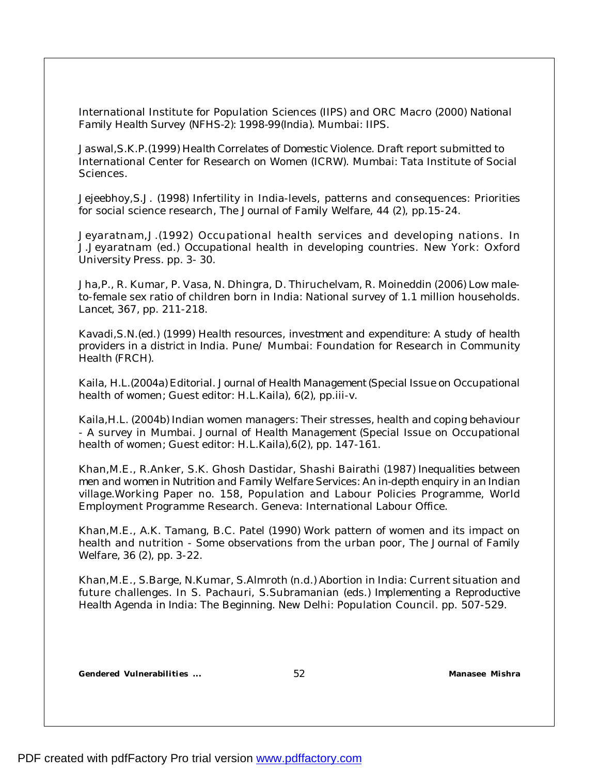International Institute for Population Sciences (IIPS) and ORC Macro (2000) *National Family Health Survey (NFHS-2): 1998-99(India).* Mumbai: IIPS.

Jaswal,S.K.P.(1999) *Health Correlates of Domestic Violence*. Draft report submitted to International Center for Research on Women (ICRW). Mumbai: Tata Institute of Social Sciences.

Jejeebhoy,S.J. (1998) Infertility in India-levels, patterns and consequences: Priorities for social science research, *The Journal of Family Welfare*, 44 (2), pp.15-24.

Jeyaratnam,J.(1992) Occupational health services and developing nations. In J.Jeyaratnam (ed.) *Occupational health in developing countries*. New York: Oxford University Press. pp. 3- 30.

Jha,P., R. Kumar, P. Vasa, N. Dhingra, D. Thiruchelvam, R. Moineddin (2006) Low maleto-female sex ratio of children born in India: National survey of 1.1 million households. *Lancet,* 367, pp. 211-218.

Kavadi,S.N.(ed.) (1999) *Health resources, investment and expenditure: A study of health providers in a district in India*. Pune/ Mumbai: Foundation for Research in Community Health (FRCH).

Kaila, H.L.(2004a) Editorial. *Journal of Health Management* (Special Issue on Occupational health of women; Guest editor: H.L.Kaila), 6(2), pp.iii-v.

Kaila,H.L. (2004b) Indian women managers: Their stresses, health and coping behaviour - A survey in Mumbai. *Journal of Health Management* (Special Issue on Occupational health of women; Guest editor: H.L.Kaila),6(2), pp. 147-161.

Khan,M.E., R.Anker, S.K. Ghosh Dastidar, Shashi Bairathi (1987) *Inequalities between men and women in Nutrition and Family Welfare Services: An in-depth enquiry in an Indian village.*Working Paper no. 158, Population and Labour Policies Programme, World Employment Programme Research. Geneva: International Labour Office.

Khan,M.E., A.K. Tamang, B.C. Patel (1990) Work pattern of women and its impact on health and nutrition - Some observations from the urban poor, *The Journal of Family Welfare*, 36 (2), pp. 3-22.

Khan,M.E., S.Barge, N.Kumar, S.Almroth (n.d.) Abortion in India: Current situation and future challenges. In S. Pachauri, S.Subramanian (eds.) *Implementing a Reproductive Health Agenda in India: The Beginning.* New Delhi: Population Council. pp. 507-529.

**Gendered Vulnerabilities ...** 52 **Manasee Mishra**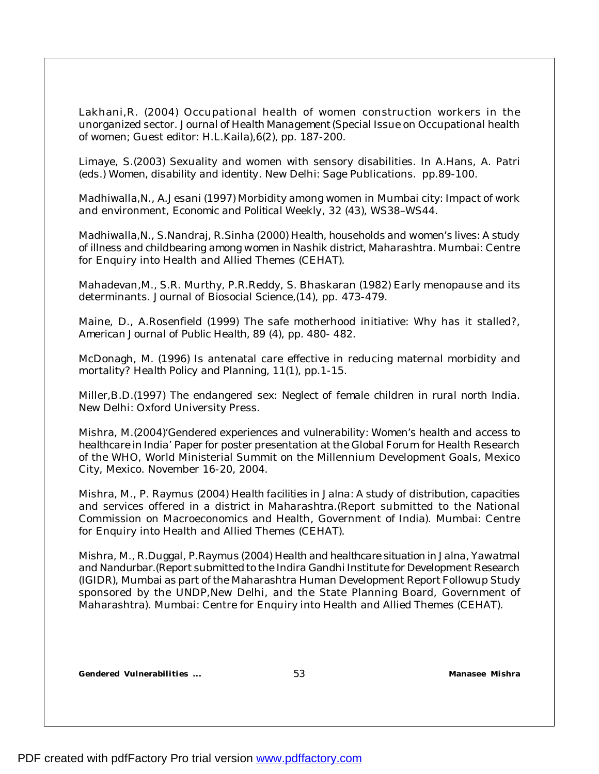Lakhani,R. (2004) Occupational health of women construction workers in the unorganized sector. *Journal of Health Management* (Special Issue on Occupational health of women; Guest editor: H.L.Kaila),6(2), pp. 187-200.

Limaye, S.(2003) Sexuality and women with sensory disabilities. In A.Hans, A. Patri (eds.) *Women, disability and identity*. New Delhi: Sage Publications. pp.89-100.

Madhiwalla,N., A.Jesani (1997) Morbidity among women in Mumbai city: Impact of work and environment, *Economic and Political Weekly*, 32 (43), WS38–WS44.

Madhiwalla,N., S.Nandraj, R.Sinha (2000) *Health, households and women's lives: A study of illness and childbearing among women in Nashik district, Maharashtra.* Mumbai: Centre for Enquiry into Health and Allied Themes (CEHAT).

Mahadevan,M., S.R. Murthy, P.R.Reddy, S. Bhaskaran (1982) Early menopause and its determinants. *Journal of Biosocial Science*,(14), pp. 473-479.

Maine, D., A.Rosenfield (1999) The safe motherhood initiative: Why has it stalled?, *American Journal of Public Health,* 89 (4), pp. 480- 482.

McDonagh, M. (1996) Is antenatal care effective in reducing maternal morbidity and mortality? *Health Policy and Planning*, 11(1), pp.1-15.

Miller,B.D.(1997) *The endangered sex: Neglect of female children in rural north India.* New Delhi: Oxford University Press.

Mishra, M.(2004)*'Gendered experiences and vulnerability: Women's health and access to healthcare in India'* Paper for poster presentation at the Global Forum for Health Research of the WHO, World Ministerial Summit on the Millennium Development Goals, Mexico City, Mexico. November 16-20, 2004.

Mishra, M., P. Raymus (2004) *Health facilities in Jalna: A study of distribution, capacities and services offered in a district in Maharashtra.*(Report submitted to the National Commission on Macroeconomics and Health, Government of India). Mumbai: Centre for Enquiry into Health and Allied Themes (CEHAT).

Mishra, M., R.Duggal, P.Raymus (2004) *Health and healthcare situation in Jalna, Yawatmal and Nandurbar*.(Report submitted to the Indira Gandhi Institute for Development Research (IGIDR), Mumbai as part of the Maharashtra Human Development Report Followup Study sponsored by the UNDP,New Delhi, and the State Planning Board, Government of Maharashtra). Mumbai: Centre for Enquiry into Health and Allied Themes (CEHAT).

**Gendered Vulnerabilities ...** 53 **Manasee Mishra**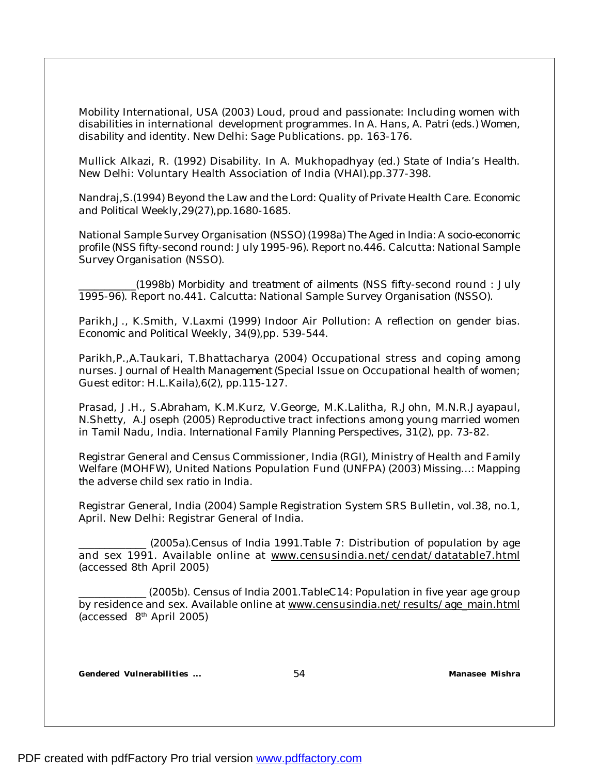Mobility International, USA (2003) Loud, proud and passionate: Including women with disabilities in international development programmes. In A. Hans, A. Patri (eds.) *Women, disability and identity*. New Delhi: Sage Publications. pp. 163-176.

Mullick Alkazi, R. (1992) Disability. In A. Mukhopadhyay (ed.) *State of India's Health*. New Delhi: Voluntary Health Association of India (VHAI).pp.377-398.

Nandraj,S.(1994) Beyond the Law and the Lord: Quality of Private Health Care. *Economic and Political Weekly*,29(27),pp.1680-1685.

National Sample Survey Organisation (NSSO) (1998a) *The Aged in India: A socio-economic profile* (NSS fifty-second round: July 1995-96). Report no.446. Calcutta: National Sample Survey Organisation (NSSO).

\_\_\_\_\_\_\_\_\_\_\_(1998b) *Morbidity and treatment of ailments* (NSS fifty-second round : July 1995-96). Report no.441. Calcutta: National Sample Survey Organisation (NSSO).

Parikh,J., K.Smith, V.Laxmi (1999) Indoor Air Pollution: A reflection on gender bias. *Economic and Political Weekly*, 34(9),pp. 539-544.

Parikh,P.,A.Taukari, T.Bhattacharya (2004) Occupational stress and coping among nurses. *Journal of Health Management* (Special Issue on Occupational health of women; Guest editor: H.L.Kaila),6(2), pp.115-127.

Prasad, J.H., S.Abraham, K.M.Kurz, V.George, M.K.Lalitha, R.John, M.N.R.Jayapaul, N.Shetty, A.Joseph (2005) Reproductive tract infections among young married women in Tamil Nadu, India. *International Family Planning Perspectives*, 31(2), pp. 73-82.

Registrar General and Census Commissioner, India (RGI), Ministry of Health and Family Welfare (MOHFW), United Nations Population Fund (UNFPA) (2003) *Missing…: Mapping the adverse child sex ratio in India.*

Registrar General, India (2004) Sample Registration System SRS Bulletin, vol.38, no.1, April. New Delhi: Registrar General of India.

\_\_\_\_\_\_\_\_\_\_\_\_\_ (2005a).*Census of India 1991*.Table 7: Distribution of population by age and sex 1991. Available online at [www.censusindia.net/cendat/datatable7.html](http://www.censusindia.net/cendat/datatable7.html) (accessed 8th April 2005)

\_\_\_\_\_\_\_\_\_\_\_\_\_ (2005b). *Census of India 2001*.TableC14: Population in five year age group by residence and sex. Available online at [www.censusindia.net/results/age\\_main.html](http://www.censusindia.net/results/age_main.html) (accessed 8th April 2005)

**Gendered Vulnerabilities ...** 54 **Manasee Mishra**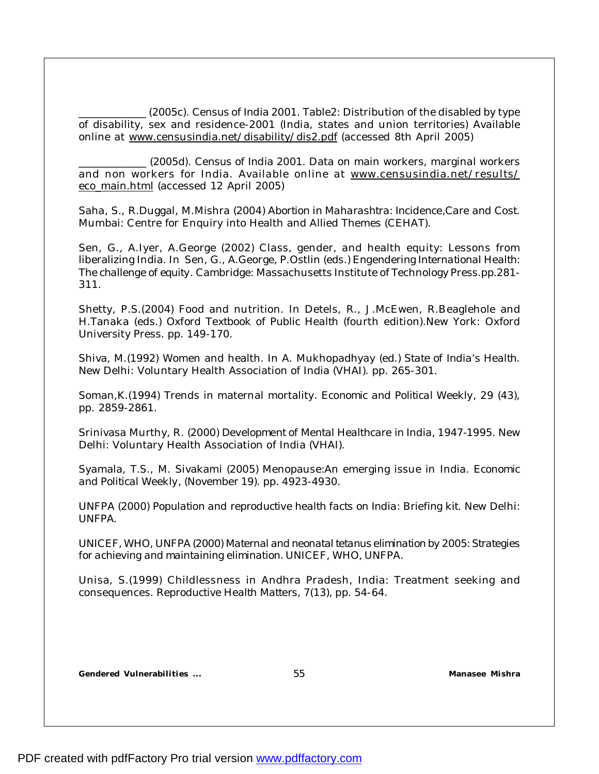\_\_\_\_\_\_\_\_\_\_\_\_\_ (2005c). *Census of India 2001*. Table2: Distribution of the disabled by type of disability, sex and residence-2001 (India, states and union territories) Available online at [www.censusindia.net/disability/dis2.pdf](http://www.censusindia.net/disability/dis2.pdf) (accessed 8th April 2005)

\_\_\_\_\_\_\_\_\_\_\_\_\_ (2005d). *Census of India 2001*. Data on main workers, marginal workers and non workers for India. Available online at [www.censusindia.net/results/](http://www.censusindia.net/results/) eco\_main.html (accessed 12 April 2005)

Saha, S., R.Duggal, M.Mishra (2004) *Abortion in Maharashtra: Incidence,Care and Cost*. Mumbai: Centre for Enquiry into Health and Allied Themes (CEHAT).

Sen, G., A.Iyer, A.George (2002) Class, gender, and health equity: Lessons from liberalizing India. In Sen, G., A.George, P.Ostlin (eds.) *Engendering International Health: The challenge of equity*. Cambridge: Massachusetts Institute of Technology Press.pp.281- 311.

Shetty, P.S.(2004) Food and nutrition. In Detels, R., J.McEwen, R.Beaglehole and H.Tanaka (eds.) *Oxford Textbook of Public Health* (fourth edition).New York: Oxford University Press. pp. 149-170.

Shiva, M.(1992) Women and health. In A. Mukhopadhyay (ed.) *State of India's Health*. New Delhi: Voluntary Health Association of India (VHAI). pp. 265-301.

Soman,K.(1994) Trends in maternal mortality. *Economic and Political Weekly*, 29 (43), pp. 2859-2861.

Srinivasa Murthy, R. (2000) *Development of Mental Healthcare in India, 1947-1995*. New Delhi: Voluntary Health Association of India (VHAI).

Syamala, T.S., M. Sivakami (2005) Menopause:An emerging issue in India. *Economic and Political Weekly*, (November 19). pp. 4923-4930.

UNFPA (2000) *Population and reproductive health facts on India: Briefing kit*. New Delhi: UNFPA.

UNICEF, WHO, UNFPA (2000) *Maternal and neonatal tetanus elimination by 2005: Strategies for achieving and maintaining elimination.* UNICEF, WHO, UNFPA.

Unisa, S.(1999) Childlessness in Andhra Pradesh, India: Treatment seeking and consequences. *Reproductive Health Matters*, 7(13), pp. 54-64.

**Gendered Vulnerabilities ...** 55 **Manasee Mishra**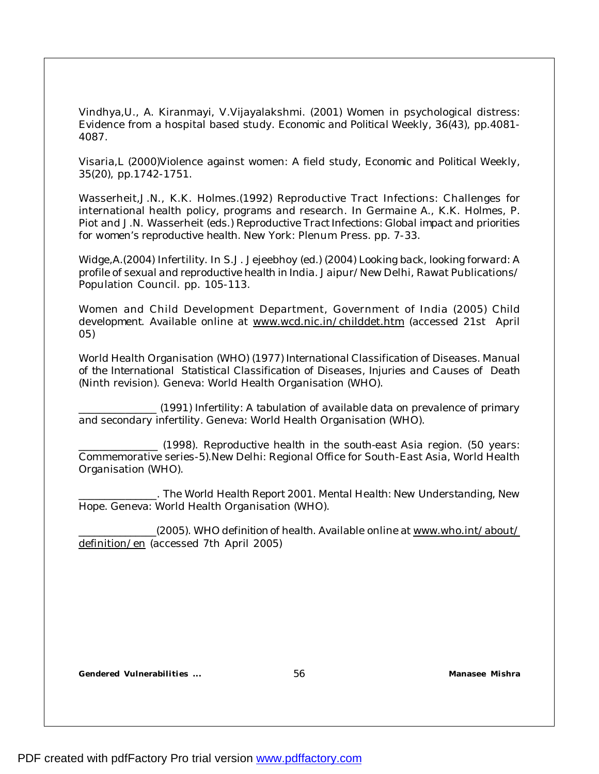Vindhya,U., A. Kiranmayi, V.Vijayalakshmi. (2001) Women in psychological distress: Evidence from a hospital based study. *Economic and Political Weekly*, 36(43), pp.4081- 4087.

Visaria,L (2000)Violence against women: A field study, *Economic and Political Weekly,* 35(20), pp.1742-1751.

Wasserheit,J.N., K.K. Holmes.(1992) Reproductive Tract Infections: Challenges for international health policy, programs and research. In Germaine A., K.K. Holmes, P. Piot and J.N. Wasserheit (eds.) *Reproductive Tract Infections: Global impact and priorities for women's reproductive health.* New York: Plenum Press. pp. 7-33.

Widge,A.(2004) Infertility. In S.J. Jejeebhoy (ed.) (2004) *Looking back, looking forward: A profile of sexual and reproductive health in India*. Jaipur/New Delhi, Rawat Publications/ Population Council. pp. 105-113.

Women and Child Development Department, Government of India (2005) *Child development*. Available online at [www.wcd.nic.in/childdet.htm](http://www.wcd.nic.in/childdet.htm) (accessed 21st April 05)

World Health Organisation (WHO) (1977) *International Classification of Diseases. Manual of the International Statistical Classification of Diseases, Injuries and Causes of Death* (Ninth revision). Geneva: World Health Organisation (WHO).

\_\_\_\_\_\_\_\_\_\_\_\_\_\_\_ (1991) *Infertility: A tabulation of available data on prevalence of primary and secondary infertility.* Geneva: World Health Organisation (WHO).

\_\_\_\_\_\_\_\_\_\_\_\_\_\_\_ (1998). *Reproductive health in the south-east Asia region*. (50 years: Commemorative series-5).New Delhi: Regional Office for South-East Asia, World Health Organisation (WHO).

\_\_\_\_\_\_\_\_\_\_\_\_\_\_\_. *The World Health Report 2001. Mental Health: New Understanding, New Hope.* Geneva: World Health Organisation (WHO).

\_\_\_\_\_\_\_\_\_\_\_\_\_\_\_(2005). *WHO definition of health*. Available online at [www.who.int/about/](http://www.who.int/about/) definition/en (accessed 7th April 2005)

**Gendered Vulnerabilities ...** 56 **Manasee Mishra**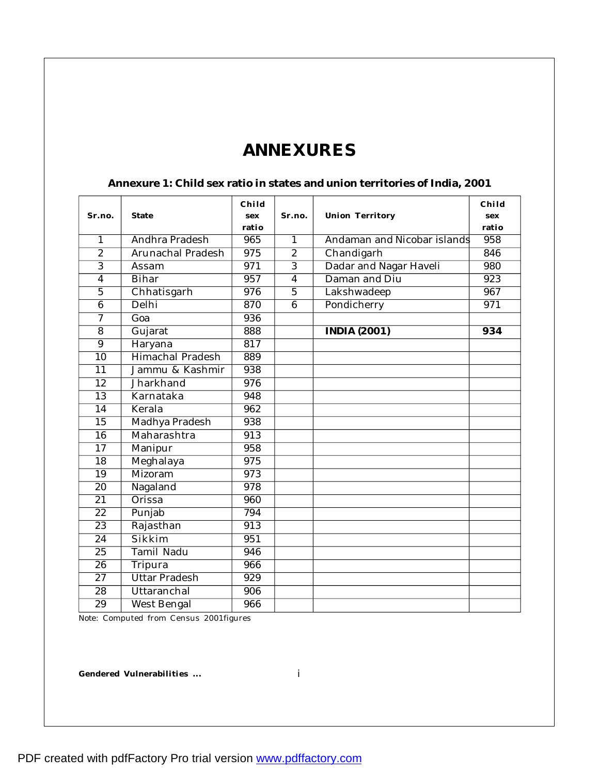# **ANNEXURES**

|                         |                          | Child            |                  |                                    | Child            |
|-------------------------|--------------------------|------------------|------------------|------------------------------------|------------------|
| Sr.no.                  | <b>State</b>             | sex              | Sr.no.           | <b>Union Territory</b>             | sex              |
|                         |                          | ratio            |                  |                                    | ratio            |
| $\mathbf{1}$            | <b>Andhra Pradesh</b>    | 965              | $\mathbf{1}$     | <b>Andaman and Nicobar islands</b> | $\overline{958}$ |
| $\overline{2}$          | <b>Arunachal Pradesh</b> | 975              | $\overline{2}$   | Chandigarh                         | 846              |
| $\overline{3}$          | Assam                    | 971              | $\overline{3}$   | <b>Dadar and Nagar Haveli</b>      | 980              |
| $\overline{\mathbf{4}}$ | <b>Bihar</b>             | 957              | $\boldsymbol{4}$ | Daman and Diu                      | 923              |
| $\overline{5}$          | Chhatisgarh              | 976              | $\overline{5}$   | Lakshwadeep                        | 967              |
| $\overline{6}$          | Delhi                    | 870              | $\bf{6}$         | Pondicherry                        | $\overline{971}$ |
| 7                       | Goa                      | 936              |                  |                                    |                  |
| $\overline{8}$          | Gujarat                  | 888              |                  | <b>INDIA (2001)</b>                | 934              |
| $\overline{9}$          | Haryana                  | 817              |                  |                                    |                  |
| 10                      | <b>Himachal Pradesh</b>  | 889              |                  |                                    |                  |
| $\overline{11}$         | Jammu & Kashmir          | 938              |                  |                                    |                  |
| 12                      | <b>Jharkhand</b>         | 976              |                  |                                    |                  |
| $\overline{13}$         | Karnataka                | 948              |                  |                                    |                  |
| 14                      | Kerala                   | 962              |                  |                                    |                  |
| $\overline{15}$         | <b>Madhya Pradesh</b>    | 938              |                  |                                    |                  |
| 16                      | Maharashtra              | 913              |                  |                                    |                  |
| $\overline{17}$         | <b>Manipur</b>           | 958              |                  |                                    |                  |
| $\overline{18}$         | Meghalaya                | 975              |                  |                                    |                  |
| $\overline{19}$         | <b>Mizoram</b>           | $\overline{973}$ |                  |                                    |                  |
| $\overline{20}$         | Nagaland                 | $\overline{978}$ |                  |                                    |                  |
| $\overline{21}$         | <b>Orissa</b>            | 960              |                  |                                    |                  |
| $\overline{22}$         | Punjab                   | 794              |                  |                                    |                  |
| $\overline{23}$         | Rajasthan                | $\overline{913}$ |                  |                                    |                  |
| $\overline{24}$         | Sikkim                   | 951              |                  |                                    |                  |
| 25                      | <b>Tamil Nadu</b>        | 946              |                  |                                    |                  |
| 26                      | <b>Tripura</b>           | 966              |                  |                                    |                  |
| $\overline{27}$         | <b>Uttar Pradesh</b>     | 929              |                  |                                    |                  |
| $\overline{28}$         | <b>Uttaranchal</b>       | 906              |                  |                                    |                  |
| 29                      | <b>West Bengal</b>       | 966              |                  |                                    |                  |
|                         |                          |                  |                  |                                    |                  |

### **Annexure 1: Child sex ratio in states and union territories of India, 2001**

*Note*: Computed from Census 2001figures

**Gendered Vulnerabilities ...** i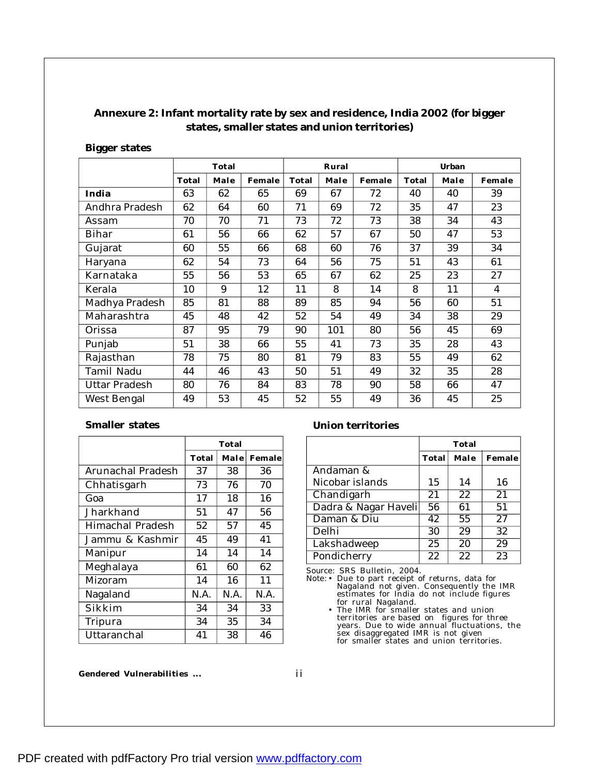## **Annexure 2: Infant mortality rate by sex and residence, India 2002 (for bigger states, smaller states and union territories)**

### **Bigger states**

|                       | Total |      |        |       | Rural |        | Urban |      |                  |
|-----------------------|-------|------|--------|-------|-------|--------|-------|------|------------------|
|                       | Total | Male | Female | Total | Male  | Female | Total | Male | Female           |
| India                 | 63    | 62   | 65     | 69    | 67    | 72     | 40    | 40   | 39               |
| Andhra Pradesh        | 62    | 64   | 60     | 71    | 69    | 72     | 35    | 47   | 23               |
| Assam                 | 70    | 70   | 71     | 73    | 72    | 73     | 38    | 34   | 43               |
| Bihar                 | 61    | 56   | 66     | 62    | 57    | 67     | 50    | 47   | 53               |
| Gujarat               | 60    | 55   | 66     | 68    | 60    | 76     | 37    | 39   | 34               |
| Haryana               | 62    | 54   | 73     | 64    | 56    | 75     | 51    | 43   | 61               |
| Karnataka             | 55    | 56   | 53     | 65    | 67    | 62     | 25    | 23   | 27               |
| Kerala                | 10    | 9    | 12     | 11    | 8     | 14     | 8     | 11   | $\boldsymbol{4}$ |
| <b>Madhya Pradesh</b> | 85    | 81   | 88     | 89    | 85    | 94     | 56    | 60   | 51               |
| Maharashtra           | 45    | 48   | 42     | 52    | 54    | 49     | 34    | 38   | 29               |
| Orissa                | 87    | 95   | 79     | 90    | 101   | 80     | 56    | 45   | 69               |
| Punjab                | 51    | 38   | 66     | 55    | 41    | 73     | 35    | 28   | 43               |
| Rajasthan             | 78    | 75   | 80     | 81    | 79    | 83     | 55    | 49   | 62               |
| <b>Tamil Nadu</b>     | 44    | 46   | 43     | 50    | 51    | 49     | 32    | 35   | 28               |
| <b>Uttar Pradesh</b>  | 80    | 76   | 84     | 83    | 78    | 90     | 58    | 66   | 47               |
| <b>West Bengal</b>    | 49    | 53   | 45     | 52    | 55    | 49     | 36    | 45   | 25               |

### **Smaller states**

|                         | Total |      |        |  |  |  |
|-------------------------|-------|------|--------|--|--|--|
|                         | Total | Male | Female |  |  |  |
| Arunachal Pradesh       | 37    | 38   | 36     |  |  |  |
| Chhatisgarh             | 73    | 76   | 70     |  |  |  |
| Goa                     | 17    | 18   | 16     |  |  |  |
| Jharkhand               | 51    | 47   | 56     |  |  |  |
| <b>Himachal Pradesh</b> | 52    | 57   | 45     |  |  |  |
| Jammu & Kashmir         | 45    | 49   | 41     |  |  |  |
| <b>Manipur</b>          | 14    | 14   | 14     |  |  |  |
| Meghalaya               | 61    | 60   | 62     |  |  |  |
| <b>Mizoram</b>          | 14    | 16   | 11     |  |  |  |
| Nagaland                | N.A.  | N.A. | N.A.   |  |  |  |
| Sikkim                  | 34    | 34   | 33     |  |  |  |
| <b>Tripura</b>          | 34    | 35   | 34     |  |  |  |
| <b>Uttaranchal</b>      | 41    | 38   | 46     |  |  |  |

#### **Union territories**

|                      |       | Total |        |
|----------------------|-------|-------|--------|
|                      | Total | Male  | Female |
| Andaman &            |       |       |        |
| Nicobar islands      | 15    | 14    | 16     |
| Chandigarh           | 21    | 22    | 21     |
| Dadra & Nagar Haveli | 56    | 61    | 51     |
| Daman & Diu          | 42    | 55    | 27     |
| Delhi                | 30    | 29    | 32     |
| Lakshadweep          | 25    | 20    | 29     |
| Pondicherry          | 22    | 22    | 23     |

*Source*: SRS Bulletin, 2004.

- Note: Due to part receipt of returns, data for<br>Nagaland not given. Consequently the IMR<br>estimates for India do not include figures for rural Nagaland.
	- The IMR for smaller states and union territories are based on figures for three years. Due to wide annual fluctuations, the sex disaggregated IMR is not given for smaller states and union territories.

**Gendered Vulnerabilities ...** ii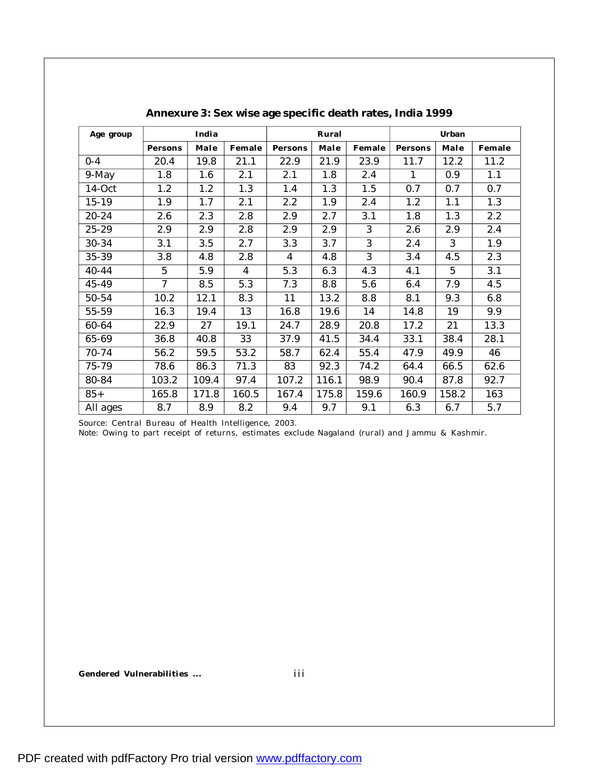| Age group |                | India |                  |         | Rural |        |         | Urban          |        |
|-----------|----------------|-------|------------------|---------|-------|--------|---------|----------------|--------|
|           | Persons        | Male  | Female           | Persons | Male  | Female | Persons | Male           | Female |
| $0-4$     | 20.4           | 19.8  | 21.1             | 22.9    | 21.9  | 23.9   | 11.7    | 12.2           | 11.2   |
|           |                |       |                  |         |       |        |         |                |        |
| 9-May     | 1.8            | 1.6   | 2.1              | 2.1     | 1.8   | 2.4    | 1       | 0.9            | 1.1    |
| 14-Oct    | 1.2            | 1.2   | 1.3              | 1.4     | 1.3   | 1.5    | 0.7     | 0.7            | 0.7    |
| $15 - 19$ | 1.9            | 1.7   | 2.1              | 2.2     | 1.9   | 2.4    | 1.2     | 1.1            | 1.3    |
| 20-24     | 2.6            | 2.3   | 2.8              | 2.9     | 2.7   | 3.1    | 1.8     | 1.3            | 2.2    |
| 25-29     | 2.9            | 2.9   | 2.8              | 2.9     | 2.9   | 3      | 2.6     | 2.9            | 2.4    |
| 30-34     | 3.1            | 3.5   | 2.7              | 3.3     | 3.7   | 3      | 2.4     | 3              | 1.9    |
| 35-39     | 3.8            | 4.8   | 2.8              | 4       | 4.8   | 3      | 3.4     | 4.5            | 2.3    |
| 40-44     | $\overline{5}$ | 5.9   | $\boldsymbol{4}$ | 5.3     | 6.3   | 4.3    | 4.1     | $\overline{5}$ | 3.1    |
| 45-49     | 7              | 8.5   | 5.3              | 7.3     | 8.8   | 5.6    | 6.4     | 7.9            | 4.5    |
| 50-54     | 10.2           | 12.1  | 8.3              | 11      | 13.2  | 8.8    | 8.1     | 9.3            | 6.8    |
| 55-59     | 16.3           | 19.4  | 13               | 16.8    | 19.6  | 14     | 14.8    | 19             | 9.9    |
| 60-64     | 22.9           | 27    | 19.1             | 24.7    | 28.9  | 20.8   | 17.2    | 21             | 13.3   |
| 65-69     | 36.8           | 40.8  | 33               | 37.9    | 41.5  | 34.4   | 33.1    | 38.4           | 28.1   |
| 70-74     | 56.2           | 59.5  | 53.2             | 58.7    | 62.4  | 55.4   | 47.9    | 49.9           | 46     |
| 75-79     | 78.6           | 86.3  | 71.3             | 83      | 92.3  | 74.2   | 64.4    | 66.5           | 62.6   |
| 80-84     | 103.2          | 109.4 | 97.4             | 107.2   | 116.1 | 98.9   | 90.4    | 87.8           | 92.7   |
| $85+$     | 165.8          | 171.8 | 160.5            | 167.4   | 175.8 | 159.6  | 160.9   | 158.2          | 163    |
| All ages  | 8.7            | 8.9   | 8.2              | 9.4     | 9.7   | 9.1    | 6.3     | 6.7            | 5.7    |

**Annexure 3: Sex wise age specific death rates, India 1999**

*Source*: Central Bureau of Health Intelligence, 2003.

*Note*: Owing to part receipt of returns, estimates exclude Nagaland (rural) and Jammu & Kashmir.

**Gendered Vulnerabilities ...** iii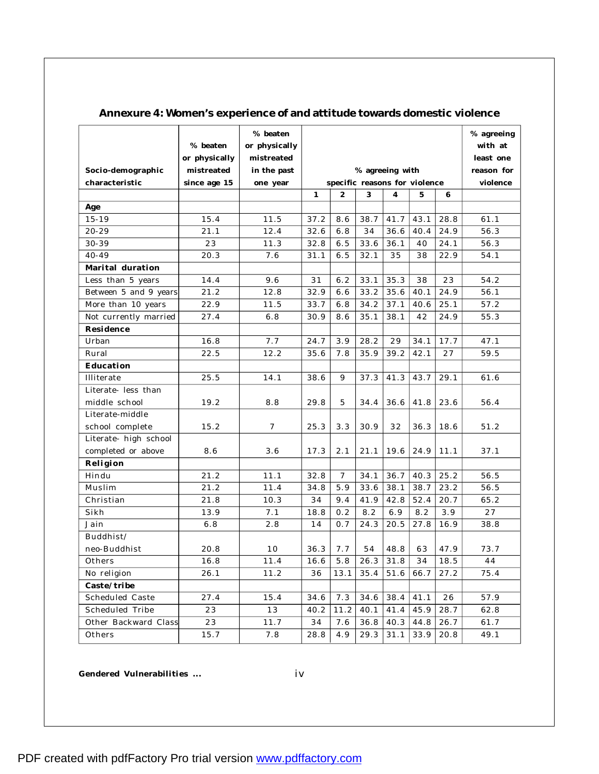|                             |                  | % beaten      |              |                  |                               |      |             |                       | % agreeing |
|-----------------------------|------------------|---------------|--------------|------------------|-------------------------------|------|-------------|-----------------------|------------|
|                             | % beaten         | or physically |              |                  |                               |      |             |                       | with at    |
|                             | or physically    | mistreated    |              |                  |                               |      |             |                       | least one  |
|                             | mistreated       |               |              |                  |                               |      |             |                       | reason for |
| Socio-demographic           |                  | in the past   |              |                  | % agreeing with               |      |             |                       |            |
| characteristic              | since age 15     | one year      |              |                  | specific reasons for violence |      | violence    |                       |            |
|                             |                  |               | $\mathbf{1}$ | $\boldsymbol{2}$ | 3                             | 4    | $\mathbf 5$ | 6                     |            |
| Age<br>$15 - 19$            | 15.4             | 11.5          | 37.2         | 8.6              | 38.7                          | 41.7 | 43.1        | 28.8                  | 61.1       |
| $20 - 29$                   | 21.1             | 12.4          | 32.6         | 6.8              | 34                            | 36.6 | 40.4        | 24.9                  | 56.3       |
| 30-39                       | $\bf 2 \sqrt{3}$ | 11.3          | 32.8         | 6.5              | 33.6                          | 36.1 | 40          | 24.1                  | 56.3       |
| 40-49                       | 20.3             | 7.6           | 31.1         | 6.5              | 32.1                          | 35   | 38          | 22.9                  | 54.1       |
|                             |                  |               |              |                  |                               |      |             |                       |            |
| Marital duration            |                  |               |              |                  |                               |      |             |                       |            |
| Less than 5 years           | 14.4             | 9.6           | 31           | 6.2              | 33.1                          | 35.3 | 38          | 23                    | 54.2       |
| Between 5 and 9 years       | 21.2             | 12.8          | 32.9         | 6.6              | 33.2                          | 35.6 | 40.1        | 24.9                  | 56.1       |
| More than 10 years          | 22.9             | 11.5          | 33.7         | 6.8              | 34.2                          | 37.1 | 40.6        | 25.1                  | 57.2       |
| Not currently married       | 27.4             | 6.8           | 30.9         | 8.6              | 35.1                          | 38.1 | 42          | 24.9                  | 55.3       |
| Residence                   |                  |               |              |                  |                               |      |             |                       |            |
| Urban                       | 16.8             | 7.7           | 24.7         | 3.9              | 28.2                          | 29   | 34.1        | 17.7                  | 47.1       |
| Rural                       | 22.5             | 12.2          | 35.6         | 7.8              | 35.9                          | 39.2 | 42.1        | 27                    | 59.5       |
| Education                   |                  |               |              |                  |                               |      |             |                       |            |
| Illiterate                  | 25.5             | 14.1          | 38.6         | 9                | 37.3                          | 41.3 | 43.7        | 29.1                  | 61.6       |
| Literate- less than         |                  |               |              |                  |                               |      |             |                       |            |
| middle school               | 19.2             | 8.8           | 29.8         | 5                | 34.4                          | 36.6 | 41.8        | 23.6                  | 56.4       |
| Literate-middle             |                  |               |              |                  |                               |      |             |                       |            |
| school complete             | 15.2             | 7             | 25.3         | 3.3              | 30.9                          | 32   | 36.3        | 18.6                  | 51.2       |
| Literate- high school       |                  |               |              |                  |                               |      |             |                       |            |
| completed or above          | 8.6              | 3.6           | 17.3         | 2.1              | 21.1                          | 19.6 | 24.9        | 11.1                  | 37.1       |
| Religion                    |                  |               |              |                  |                               |      |             |                       |            |
| Hindu                       | 21.2             | 11.1          | 32.8         | 7                | 34.1                          | 36.7 | 40.3        | 25.2                  | 56.5       |
| Muslim                      | 21.2             | 11.4          | 34.8         | 5.9              | 33.6                          | 38.1 | 38.7        | 23.2                  | 56.5       |
| Christian                   | 21.8             | 10.3          | 34           | 9.4              | 41.9                          | 42.8 | 52.4        | 20.7                  | 65.2       |
| Sikh                        | 13.9             | 7.1           | 18.8         | 0.2              | 8.2                           | 6.9  | 8.2         | 3.9                   | 27         |
| Jain                        | 6.8              | 2.8           | 14           | 0.7              | 24.3                          | 20.5 | 27.8        | 16.9                  | 38.8       |
| Buddhist/                   |                  |               |              |                  |                               |      |             |                       |            |
| neo-Buddhist                | 20.8             | 10            | 36.3         | 7.7              | 54                            | 48.8 | 63          | 47.9                  | 73.7       |
| Others                      | 16.8             | 11.4          |              |                  | $16.6$ 5.8 26.3 31.8          |      |             | $34 \overline{)18.5}$ | 44         |
| No religion                 | 26.1             | 11.2          | 36           | 13.1             | 35.4                          | 51.6 | 66.7        | 27.2                  | 75.4       |
| Caste/tribe                 |                  |               |              |                  |                               |      |             |                       |            |
| <b>Scheduled Caste</b>      | 27.4             | 15.4          | 34.6         | 7.3              | 34.6                          | 38.4 | 41.1        | 26                    | 57.9       |
| <b>Scheduled Tribe</b>      | 23               | 13            | 40.2         | 11.2             | 40.1                          | 41.4 | 45.9        | 28.7                  | 62.8       |
| <b>Other Backward Class</b> | 23               | 11.7          | 34           | 7.6              | 36.8                          | 40.3 | 44.8        | 26.7                  | 61.7       |
| Others                      | 15.7             | 7.8           | 28.8         | 4.9              | 29.3                          | 31.1 | 33.9        | 20.8                  | 49.1       |
|                             |                  |               |              |                  |                               |      |             |                       |            |

## **Annexure 4: Women's experience of and attitude towards domestic violence**

**Gendered Vulnerabilities ...** iv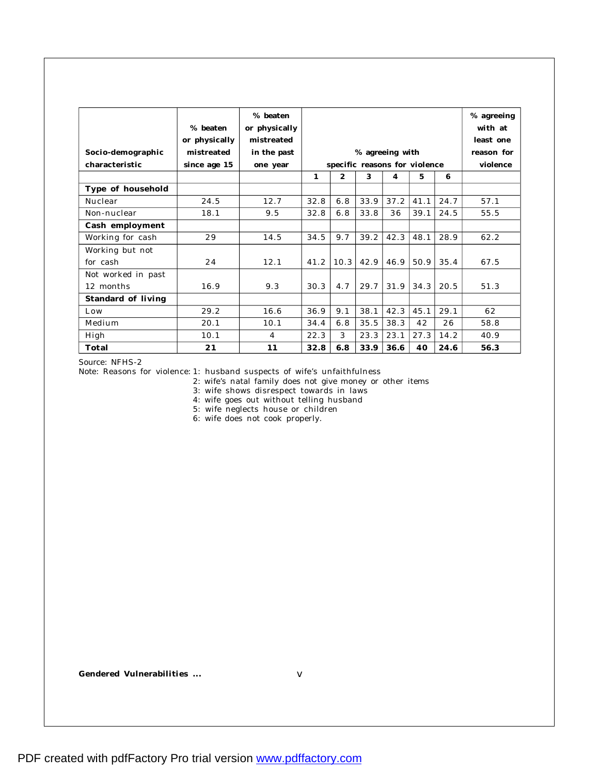|                    | % beaten      | % beaten<br>or physically |      |              |                                         |      |             |      | % agreeing<br>with at |
|--------------------|---------------|---------------------------|------|--------------|-----------------------------------------|------|-------------|------|-----------------------|
|                    | or physically | mistreated                |      |              |                                         |      |             |      | least one             |
| Socio-demographic  | mistreated    | in the past               |      |              | % agreeing with                         |      |             |      | reason for            |
| characteristic     | since age 15  | one year                  |      |              |                                         |      |             |      | violence              |
|                    |               |                           | 1    | $\mathbf{2}$ | specific reasons for violence<br>3<br>4 |      | 5           | 6    |                       |
| Type of household  |               |                           |      |              |                                         |      |             |      |                       |
| Nuclear            | 24.5          | 12.7                      | 32.8 | 6.8          | 33.9                                    | 37.2 | 41.1        | 24.7 | 57.1                  |
| Non-nuclear        | 18.1          | 9.5                       | 32.8 | 6.8          | 33.8                                    | 36   | 39.1        | 24.5 | 55.5                  |
| Cash employment    |               |                           |      |              |                                         |      |             |      |                       |
| Working for cash   | 29            | 14.5                      | 34.5 | 9.7          | 39.2                                    | 42.3 | 48.1        | 28.9 | 62.2                  |
| Working but not    |               |                           |      |              |                                         |      |             |      |                       |
| for cash           | 24            | 12.1                      | 41.2 | 10.3         | 42.9                                    | 46.9 | 50.9        | 35.4 | 67.5                  |
| Not worked in past |               |                           |      |              |                                         |      |             |      |                       |
| 12 months          | 16.9          | 9.3                       | 30.3 | 4.7          | 29.7                                    |      | $31.9$ 34.3 | 20.5 | 51.3                  |
| Standard of living |               |                           |      |              |                                         |      |             |      |                       |
| Low                | 29.2          | 16.6                      | 36.9 | 9.1          | 38.1                                    | 42.3 | 45.1        | 29.1 | 62                    |
| Medium             | 20.1          | 10.1                      | 34.4 | 6.8          | 35.5                                    | 38.3 | 42          | 26   | 58.8                  |
| High               | 10.1          | $\overline{\mathbf{4}}$   | 22.3 | 3            | 23.3                                    | 23.1 | 27.3        | 14.2 | 40.9                  |
| Total              | 21            | 11                        | 32.8 | 6.8          | 33.9                                    | 36.6 | 40          | 24.6 | 56.3                  |

*Source:* NFHS-2

*Note:* Reasons for violence: 1: husband suspects of wife's unfaithfulness

2: wife's natal family does not give money or other items

3: wife shows disrespect towards in laws

4: wife goes out without telling husband

5: wife neglects house or children

6: wife does not cook properly.

**Gendered Vulnerabilities ...** v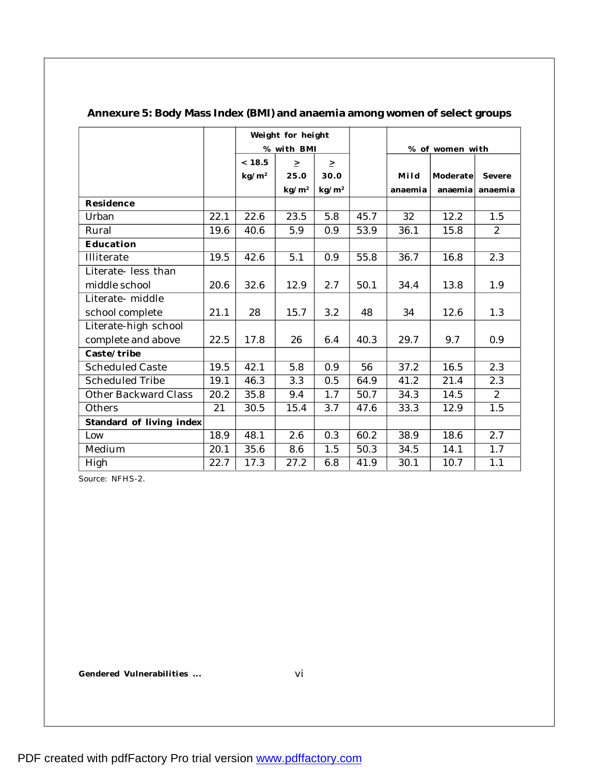|                             |      | Weight for height      |                   |                        |                 |         |          |                  |
|-----------------------------|------|------------------------|-------------------|------------------------|-----------------|---------|----------|------------------|
|                             |      | % with BMI             |                   |                        | % of women with |         |          |                  |
|                             |      | ~18.5                  | $\geq$            | $\geq$                 |                 |         |          |                  |
|                             |      | $\text{kg}/\text{m}^2$ | 25.0              | 30.0                   |                 | Mild    | Moderate | <b>Severe</b>    |
|                             |      |                        | kg/m <sup>2</sup> | $\text{kg}/\text{m}^2$ |                 | anaemia | anaemia  | anaemia          |
| Residence                   |      |                        |                   |                        |                 |         |          |                  |
| Urban                       | 22.1 | 22.6                   | 23.5              | 5.8                    | 45.7            | 32      | 12.2     | 1.5              |
| <b>Rural</b>                | 19.6 | 40.6                   | 5.9               | 0.9                    | 53.9            | 36.1    | 15.8     | $\boldsymbol{2}$ |
| Education                   |      |                        |                   |                        |                 |         |          |                  |
| Illiterate                  | 19.5 | 42.6                   | 5.1               | 0.9                    | 55.8            | 36.7    | 16.8     | 2.3              |
| Literate- less than         |      |                        |                   |                        |                 |         |          |                  |
| middle school               | 20.6 | 32.6                   | 12.9              | 2.7                    | 50.1            | 34.4    | 13.8     | 1.9              |
| Literate-middle             |      |                        |                   |                        |                 |         |          |                  |
| school complete             | 21.1 | 28                     | 15.7              | 3.2                    | 48              | 34      | 12.6     | 1.3              |
| Literate-high school        |      |                        |                   |                        |                 |         |          |                  |
| complete and above          | 22.5 | 17.8                   | 26                | 6.4                    | 40.3            | 29.7    | 9.7      | 0.9              |
| Caste/tribe                 |      |                        |                   |                        |                 |         |          |                  |
| <b>Scheduled Caste</b>      | 19.5 | 42.1                   | 5.8               | 0.9                    | 56              | 37.2    | 16.5     | 2.3              |
| <b>Scheduled Tribe</b>      | 19.1 | 46.3                   | 3.3               | 0.5                    | 64.9            | 41.2    | 21.4     | 2.3              |
| <b>Other Backward Class</b> | 20.2 | 35.8                   | 9.4               | 1.7                    | 50.7            | 34.3    | 14.5     | $\mathbf{2}$     |
| <b>Others</b>               | 21   | 30.5                   | 15.4              | 3.7                    | 47.6            | 33.3    | 12.9     | 1.5              |
| Standard of living index    |      |                        |                   |                        |                 |         |          |                  |
| Low                         | 18.9 | 48.1                   | 2.6               | 0.3                    | 60.2            | 38.9    | 18.6     | 2.7              |
| Medium                      | 20.1 | 35.6                   | 8.6               | 1.5                    | 50.3            | 34.5    | 14.1     | 1.7              |
| High                        | 22.7 | 17.3                   | 27.2              | 6.8                    | 41.9            | 30.1    | 10.7     | 1.1              |

## **Annexure 5: Body Mass Index (BMI) and anaemia among women of select groups**

*Source:* NFHS-2.

**Gendered Vulnerabilities ...** vi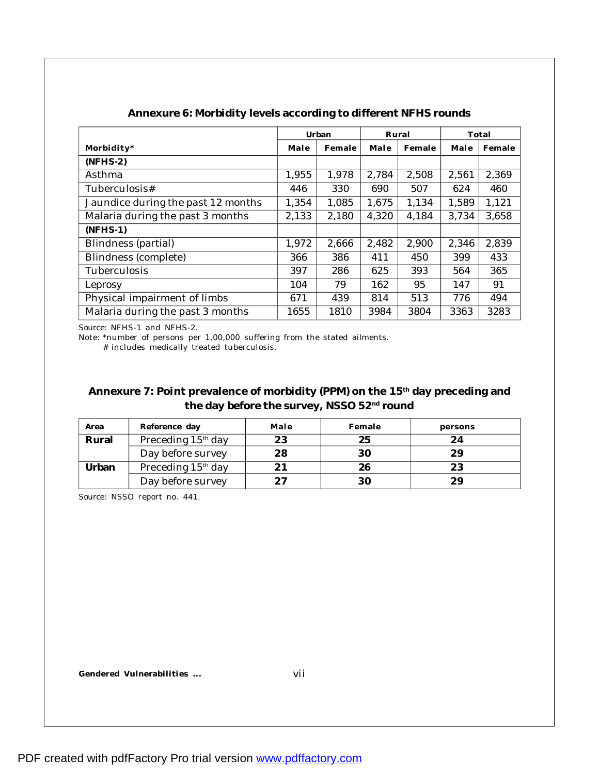|                                     | Urban |        | Rural |        |       | Total  |
|-------------------------------------|-------|--------|-------|--------|-------|--------|
| Morbidity*                          | Male  | Female | Male  | Female | Male  | Female |
| $(NFHS-2)$                          |       |        |       |        |       |        |
| Asthma                              | 1,955 | 1,978  | 2,784 | 2,508  | 2,561 | 2,369  |
| Tuberculosis#                       | 446   | 330    | 690   | 507    | 624   | 460    |
| Jaundice during the past 12 months  | 1,354 | 1,085  | 1,675 | 1,134  | 1,589 | 1,121  |
| Malaria during the past 3 months    | 2,133 | 2,180  | 4,320 | 4,184  | 3,734 | 3,658  |
| $(NFHS-1)$                          |       |        |       |        |       |        |
| <b>Blindness (partial)</b>          | 1,972 | 2,666  | 2,482 | 2,900  | 2,346 | 2,839  |
| <b>Blindness (complete)</b>         | 366   | 386    | 411   | 450    | 399   | 433    |
| <b>Tuberculosis</b>                 | 397   | 286    | 625   | 393    | 564   | 365    |
| <b>Leprosy</b>                      | 104   | 79     | 162   | 95     | 147   | 91     |
| <b>Physical impairment of limbs</b> | 671   | 439    | 814   | 513    | 776   | 494    |
| Malaria during the past 3 months    | 1655  | 1810   | 3984  | 3804   | 3363  | 3283   |

| Annexure 6: Morbidity levels according to different NFHS rounds |  |  |  |  |
|-----------------------------------------------------------------|--|--|--|--|

*Source:* NFHS-1 and NFHS-2.

Note: \*number of persons per 1,00,000 suffering from the stated ailments.

# includes medically treated tuberculosis.

# **Annexure 7: Point prevalence of morbidity (PPM) on the 15th day preceding and the day before the survey, NSSO 52nd round**

| Area  | Reference day      | Male | Female | persons |
|-------|--------------------|------|--------|---------|
| Rural | Preceding 15th day | 23   | 25     | 24      |
|       | Day before survey  | 28   | 30     | 29      |
| Urban | Preceding 15th day | 21   | 26     | 23      |
|       | Day before survey  | 27   | 30     | 29      |

*Source*: NSSO report no. 441.

**Gendered Vulnerabilities ...** vii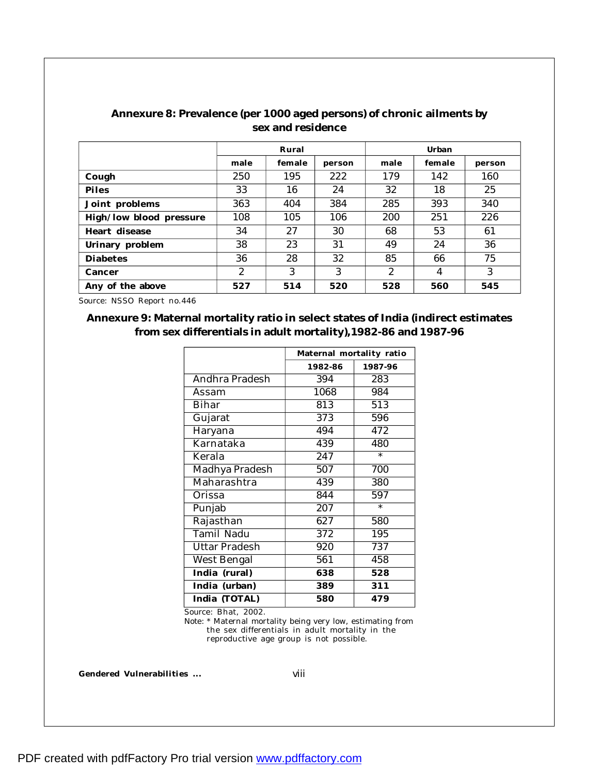|                         |              | Rural  |        | Urban            |        |        |  |
|-------------------------|--------------|--------|--------|------------------|--------|--------|--|
|                         | male         | female | person | male             | female | person |  |
| Cough                   | 250          | 195    | 222    | 179              | 142    | 160    |  |
| <b>Piles</b>            | 33           | 16     | 24     | 32               | 18     | 25     |  |
| Joint problems          | 363          | 404    | 384    | 285              | 393    | 340    |  |
| High/low blood pressure | 108          | 105    | 106    | <b>200</b>       | 251    | 226    |  |
| Heart disease           | 34           | 27     | 30     | 68               | 53     | 61     |  |
| Urinary problem         | 38           | 23     | 31     | 49               | 24     | 36     |  |
| <b>Diabetes</b>         | 36           | 28     | 32     | 85               | 66     | 75     |  |
| Cancer                  | $\mathbf{2}$ | 3      | 3      | $\boldsymbol{2}$ | 4      | 3      |  |
| Any of the above        | 527          | 514    | 520    | 528              | 560    | 545    |  |

## **Annexure 8: Prevalence (per 1000 aged persons) of chronic ailments by sex and residence**

*Source:* NSSO Report no.446

## **Annexure 9: Maternal mortality ratio in select states of India (indirect estimates from sex differentials in adult mortality),1982-86 and 1987-96**

|                       | Maternal mortality ratio |         |  |  |
|-----------------------|--------------------------|---------|--|--|
|                       | 1982-86                  | 1987-96 |  |  |
| <b>Andhra Pradesh</b> | 394                      | 283     |  |  |
| Assam                 | 1068                     | 984     |  |  |
| <b>Bihar</b>          | 813                      | 513     |  |  |
| Gujarat               | 373                      | 596     |  |  |
| Haryana               | 494                      | 472     |  |  |
| Karnataka             | 439                      | 480     |  |  |
| Kerala                | 247                      | $\ast$  |  |  |
| <b>Madhya Pradesh</b> | 507                      | 700     |  |  |
| Maharashtra           | 439                      | 380     |  |  |
| Orissa                | 844                      | 597     |  |  |
| Punjab                | 207                      | $\ast$  |  |  |
| Rajasthan             | 627                      | 580     |  |  |
| <b>Tamil Nadu</b>     | 372                      | 195     |  |  |
| Uttar Pradesh         | 920                      | 737     |  |  |
| <b>West Bengal</b>    | 561                      | 458     |  |  |
| India (rural)         | 638                      | 528     |  |  |
| India (urban)         | 389                      | 311     |  |  |
| India (TOTAL)         | 580                      | 479     |  |  |

*Source*: Bhat, 2002.

*Note:* \* Maternal mortality being very low, estimating from the sex differentials in adult mortality in the reproductive age group is not possible.

**Gendered Vulnerabilities ...** viii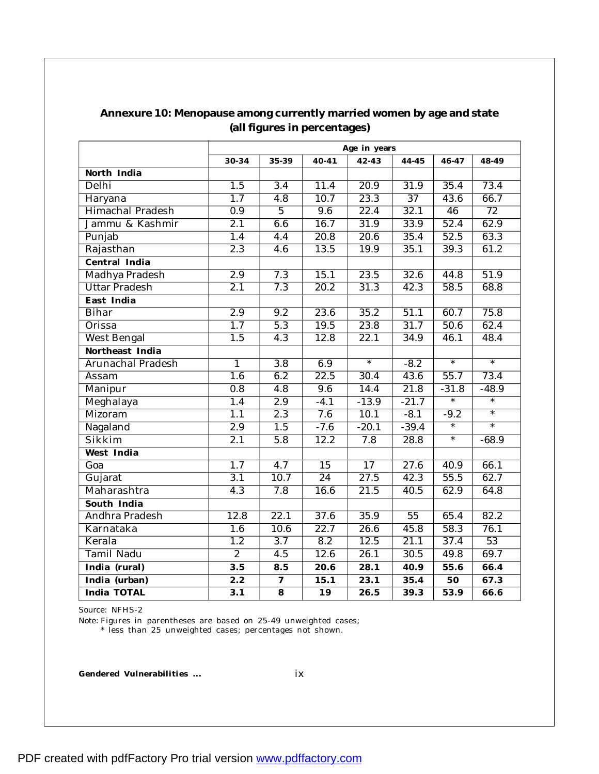|                          | Age in years     |                  |                   |                   |                   |                   |                   |  |
|--------------------------|------------------|------------------|-------------------|-------------------|-------------------|-------------------|-------------------|--|
|                          | 30-34            | 35-39            | $40 - 41$         | 42-43             | 44-45             | 46-47             | 48-49             |  |
| North India              |                  |                  |                   |                   |                   |                   |                   |  |
| Delhi                    | 1.5              | $\overline{3.4}$ | 11.4              | $\overline{20.9}$ | 31.9              | 35.4              | 73.4              |  |
| Haryana                  | $\overline{1.7}$ | 4.8              | 10.7              | 23.3              | $\overline{37}$   | 43.6              | 66.7              |  |
| <b>Himachal Pradesh</b>  | $\overline{0.9}$ | $\overline{5}$   | $\overline{9.6}$  | 22.4              | 32.1              | 46                | 72                |  |
| Jammu & Kashmir          | $\overline{2.1}$ | 6.6              | $\overline{16.7}$ | 31.9              | 33.9              | 52.4              | 62.9              |  |
| Punjab                   | 1.4              | $\overline{4.4}$ | $\sqrt{20.8}$     | 20.6              | 35.4              | 52.5              | 63.3              |  |
| Rajasthan                | $\overline{2.3}$ | 4.6              | 13.5              | 19.9              | 35.1              | 39.3              | 61.2              |  |
| Central India            |                  |                  |                   |                   |                   |                   |                   |  |
| <b>Madhya Pradesh</b>    | $\overline{2.9}$ | 7.3              | 15.1              | 23.5              | 32.6              | $\overline{44.8}$ | 51.9              |  |
| <b>Uttar Pradesh</b>     | $\overline{2.1}$ | 7.3              | $\sqrt{20.2}$     | 31.3              | 42.3              | 58.5              | 68.8              |  |
| East India               |                  |                  |                   |                   |                   |                   |                   |  |
| <b>Bihar</b>             | $\overline{2.9}$ | 9.2              | 23.6              | 35.2              | $\overline{51.1}$ | 60.7              | 75.8              |  |
| <b>Orissa</b>            | $\overline{1.7}$ | 5.3              | 19.5              | 23.8              | 31.7              | 50.6              | 62.4              |  |
| <b>West Bengal</b>       | $\overline{1.5}$ | $\overline{4.3}$ | $\overline{12.8}$ | 22.1              | $\overline{3}4.9$ | $\overline{46.1}$ | $\overline{48.4}$ |  |
| Northeast India          |                  |                  |                   |                   |                   |                   |                   |  |
| <b>Arunachal Pradesh</b> | 1                | 3.8              | 6.9               | $\ast$            | $-8.2$            | $\ast$            | $\ast$            |  |
| Assam                    | 1.6              | 6.2              | 22.5              | 30.4              | $\overline{43.6}$ | 55.7              | 73.4              |  |
| <b>Manipur</b>           | $\overline{0.8}$ | $\overline{4.8}$ | $\overline{9.6}$  | 14.4              | 21.8              | $-31.8$           | $-48.9$           |  |
| Meghalaya                | 1.4              | 2.9              | $-4.1$            | $-13.9$           | $-21.7$           | $\ast$            | $\ast$            |  |
| <b>Mizoram</b>           | $\overline{1.1}$ | $\overline{2.3}$ | 7.6               | 10.1              | $-8.1$            | $-9.2$            | $\ast$            |  |
| Nagaland                 | $\overline{2.9}$ | $\overline{1.5}$ | $-7.6$            | $-20.1$           | $-39.4$           | $\ast$            | $\ast$            |  |
| Sikkim                   | $\overline{2.1}$ | 5.8              | 12.2              | 7.8               | 28.8              | $\ast$            | $-68.9$           |  |
| West India               |                  |                  |                   |                   |                   |                   |                   |  |
| Goa                      | $\overline{1.7}$ | $\overline{4.7}$ | $\overline{15}$   | $\overline{17}$   | 27.6              | $\overline{40.9}$ | 66.1              |  |
| Gujarat                  | $\overline{3.1}$ | 10.7             | 24                | 27.5              | 42.3              | 55.5              | 62.7              |  |
| Maharashtra              | $\overline{4.3}$ | 7.8              | 16.6              | 21.5              | 40.5              | 62.9              | 64.8              |  |
| South India              |                  |                  |                   |                   |                   |                   |                   |  |
| <b>Andhra Pradesh</b>    | 12.8             | 22.1             | 37.6              | 35.9              | $\overline{55}$   | 65.4              | 82.2              |  |
| Karnataka                | 1.6              | 10.6             | 22.7              | 26.6              | $\overline{45.8}$ | 58.3              | $\overline{76.1}$ |  |
| Kerala                   | $\overline{1.2}$ | $\overline{3.7}$ | $\overline{8.2}$  | $\overline{12.5}$ | $\overline{21.1}$ | 37.4              | $\overline{53}$   |  |
| <b>Tamil Nadu</b>        | $\overline{2}$   | 4.5              | 12.6              | 26.1              | 30.5              | 49.8              | 69.7              |  |
| India (rural)            | $\overline{3.5}$ | 8.5              | 20.6              | 28.1              | 40.9              | 55.6              | 66.4              |  |
| India (urban)            | 2.2              | $\boldsymbol{7}$ | 15.1              | 23.1              | 35.4              | 50                | 67.3              |  |
| <b>India TOTAL</b>       | 3.1              | 8                | 19                | 26.5              | 39.3              | 53.9              | 66.6              |  |

## **Annexure 10: Menopause among currently married women by age and state (all figures in percentages)**

*Source:* NFHS-2

*Note:* Figures in parentheses are based on 25-49 unweighted cases;

\* less than 25 unweighted cases; percentages not shown.

**Gendered Vulnerabilities ...** ix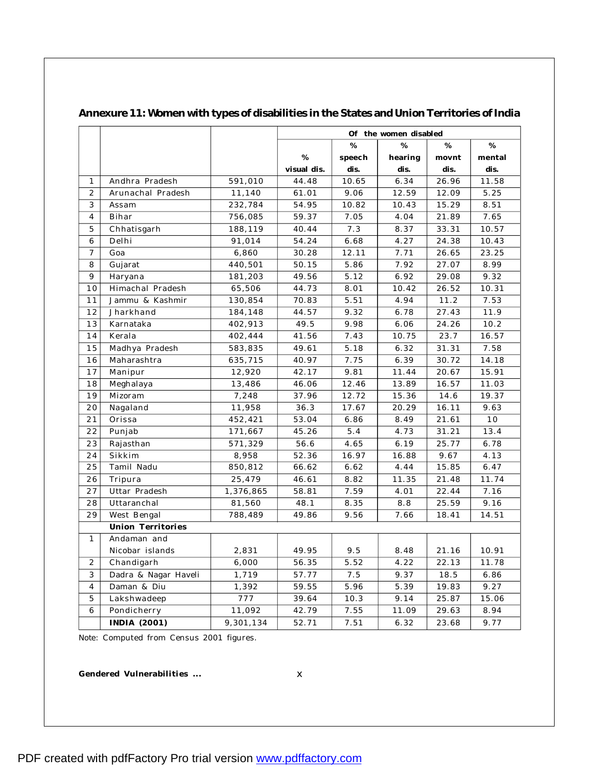|                  |                          |           | Of the women disabled |        |         |       |        |  |  |
|------------------|--------------------------|-----------|-----------------------|--------|---------|-------|--------|--|--|
|                  |                          |           |                       | $\%$   | $\%$    | %     | $\%$   |  |  |
|                  |                          |           | $\%$                  | speech | hearing | movnt | mental |  |  |
|                  |                          |           | visual dis.           | dis.   | dis.    | dis.  | dis.   |  |  |
| $\mathbf{1}$     | Andhra Pradesh           | 591,010   | 44.48                 | 10.65  | 6.34    | 26.96 | 11.58  |  |  |
| 2                | Arunachal Pradesh        | 11,140    | 61.01                 | 9.06   | 12.59   | 12.09 | 5.25   |  |  |
| 3                | Assam                    | 232,784   | 54.95                 | 10.82  | 10.43   | 15.29 | 8.51   |  |  |
| 4                | <b>Bihar</b>             | 756,085   | 59.37                 | 7.05   | 4.04    | 21.89 | 7.65   |  |  |
| $\mathbf 5$      | Chhatisgarh              | 188,119   | 40.44                 | 7.3    | 8.37    | 33.31 | 10.57  |  |  |
| 6                | Delhi                    | 91,014    | 54.24                 | 6.68   | 4.27    | 24.38 | 10.43  |  |  |
| 7                | Goa                      | 6,860     | 30.28                 | 12.11  | 7.71    | 26.65 | 23.25  |  |  |
| 8                | Gujarat                  | 440,501   | 50.15                 | 5.86   | 7.92    | 27.07 | 8.99   |  |  |
| 9                | Haryana                  | 181,203   | 49.56                 | 5.12   | 6.92    | 29.08 | 9.32   |  |  |
| 10               | Himachal Pradesh         | 65,506    | 44.73                 | 8.01   | 10.42   | 26.52 | 10.31  |  |  |
| 11               | Jammu & Kashmir          | 130,854   | 70.83                 | 5.51   | 4.94    | 11.2  | 7.53   |  |  |
| 12               | Jharkhand                | 184,148   | 44.57                 | 9.32   | 6.78    | 27.43 | 11.9   |  |  |
| 13               | Karnataka                | 402,913   | 49.5                  | 9.98   | 6.06    | 24.26 | 10.2   |  |  |
| 14               | Kerala                   | 402,444   | 41.56                 | 7.43   | 10.75   | 23.7  | 16.57  |  |  |
| 15               | Madhya Pradesh           | 583,835   | 49.61                 | 5.18   | 6.32    | 31.31 | 7.58   |  |  |
| 16               | Maharashtra              | 635,715   | 40.97                 | 7.75   | 6.39    | 30.72 | 14.18  |  |  |
| 17               | <b>Manipur</b>           | 12,920    | 42.17                 | 9.81   | 11.44   | 20.67 | 15.91  |  |  |
| 18               | Meghalaya                | 13,486    | 46.06                 | 12.46  | 13.89   | 16.57 | 11.03  |  |  |
| 19               | <b>Mizoram</b>           | 7,248     | 37.96                 | 12.72  | 15.36   | 14.6  | 19.37  |  |  |
| 20               | Nagaland                 | 11,958    | 36.3                  | 17.67  | 20.29   | 16.11 | 9.63   |  |  |
| 21               | Orissa                   | 452,421   | 53.04                 | 6.86   | 8.49    | 21.61 | 10     |  |  |
| 22               | Punjab                   | 171,667   | 45.26                 | 5.4    | 4.73    | 31.21 | 13.4   |  |  |
| 23               | Rajasthan                | 571,329   | 56.6                  | 4.65   | 6.19    | 25.77 | 6.78   |  |  |
| 24               | Sikkim                   | 8,958     | 52.36                 | 16.97  | 16.88   | 9.67  | 4.13   |  |  |
| 25               | Tamil Nadu               | 850,812   | 66.62                 | 6.62   | 4.44    | 15.85 | 6.47   |  |  |
| 26               | Tripura                  | 25,479    | 46.61                 | 8.82   | 11.35   | 21.48 | 11.74  |  |  |
| 27               | <b>Uttar Pradesh</b>     | 1,376,865 | 58.81                 | 7.59   | 4.01    | 22.44 | 7.16   |  |  |
| 28               | Uttaranchal              | 81,560    | 48.1                  | 8.35   | 8.8     | 25.59 | 9.16   |  |  |
| 29               | West Bengal              | 788,489   | 49.86                 | 9.56   | 7.66    | 18.41 | 14.51  |  |  |
|                  | <b>Union Territories</b> |           |                       |        |         |       |        |  |  |
| $\mathbf{1}$     | Andaman and              |           |                       |        |         |       |        |  |  |
|                  | Nicobar islands          | 2.831     | 49.95                 | 9.5    | 8.48    | 21.16 | 10.91  |  |  |
| $\boldsymbol{2}$ | Chandigarh               | 6,000     | 56.35                 | 5.52   | 4.22    | 22.13 | 11.78  |  |  |
| 3                | Dadra & Nagar Haveli     | 1,719     | 57.77                 | 7.5    | 9.37    | 18.5  | 6.86   |  |  |
| 4                | Daman & Diu              | 1,392     | 59.55                 | 5.96   | 5.39    | 19.83 | 9.27   |  |  |
| $\overline{5}$   | Lakshwadeep              | 777       | 39.64                 | 10.3   | 9.14    | 25.87 | 15.06  |  |  |
| $\boldsymbol{6}$ | Pondicherry              | 11,092    | 42.79                 | 7.55   | 11.09   | 29.63 | 8.94   |  |  |
|                  | <b>INDIA (2001)</b>      | 9,301,134 | 52.71                 | 7.51   | 6.32    | 23.68 | 9.77   |  |  |

#### **Annexure 11: Women with types of disabilities in the States and Union Territories of India**

*Note*: Computed from Census 2001 figures.

**Gendered Vulnerabilities ...** x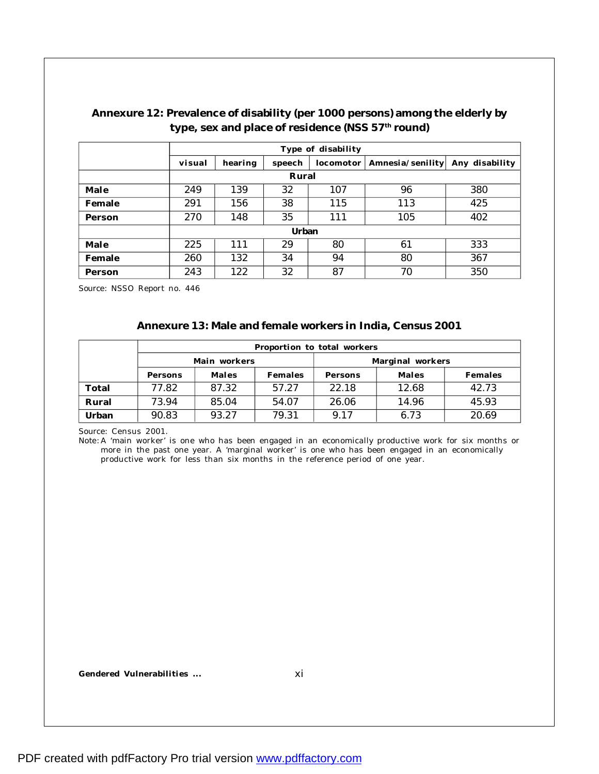|        |        | Type of disability |           |                               |     |                |  |  |  |  |
|--------|--------|--------------------|-----------|-------------------------------|-----|----------------|--|--|--|--|
|        | visual | hearing            | speech    | Amnesia/senility<br>locomotor |     | Any disability |  |  |  |  |
|        |        | Rural              |           |                               |     |                |  |  |  |  |
| Male   | 249    | 139                | 32        | 107                           | 96  | 380            |  |  |  |  |
| Female | 291    | 156                | 38        | 115                           | 113 | 425            |  |  |  |  |
| Person | 270    | 148                | 35<br>111 |                               | 105 | 402            |  |  |  |  |
|        |        |                    | Urban     |                               |     |                |  |  |  |  |
| Male   | 225    | 111                | 29        | 80                            | 61  | 333            |  |  |  |  |
| Female | 260    | 132                | 34        | 94                            | 80  | 367            |  |  |  |  |
| Person | 243    | 122                | 32        | 87                            | 70  | 350            |  |  |  |  |

#### **Annexure 12: Prevalence of disability (per 1000 persons) among the elderly by type, sex and place of residence (NSS 57th round)**

*Source*: NSSO Report no. 446

#### **Annexure 13: Male and female workers in India, Census 2001**

|       |         | Proportion to total workers |         |                  |       |         |  |  |  |
|-------|---------|-----------------------------|---------|------------------|-------|---------|--|--|--|
|       |         | Main workers                |         | Marginal workers |       |         |  |  |  |
|       | Persons | Males                       | Females | Persons          | Males | Females |  |  |  |
| Total | 77.82   | 87.32                       | 57.27   | 22.18            | 12.68 | 42.73   |  |  |  |
| Rural | 73.94   | 85.04                       | 54.07   | 26.06            | 14.96 | 45.93   |  |  |  |
| Urban | 90.83   | 93.27                       | 79.31   | 9.17             | 6.73  | 20.69   |  |  |  |

*Source*: Census 2001.

*Note*: A 'main worker' is one who has been engaged in an economically productive work for six months or more in the past one year. A 'marginal worker' is one who has been engaged in an economically productive work for less than six months in the reference period of one year.

**Gendered Vulnerabilities ...** xi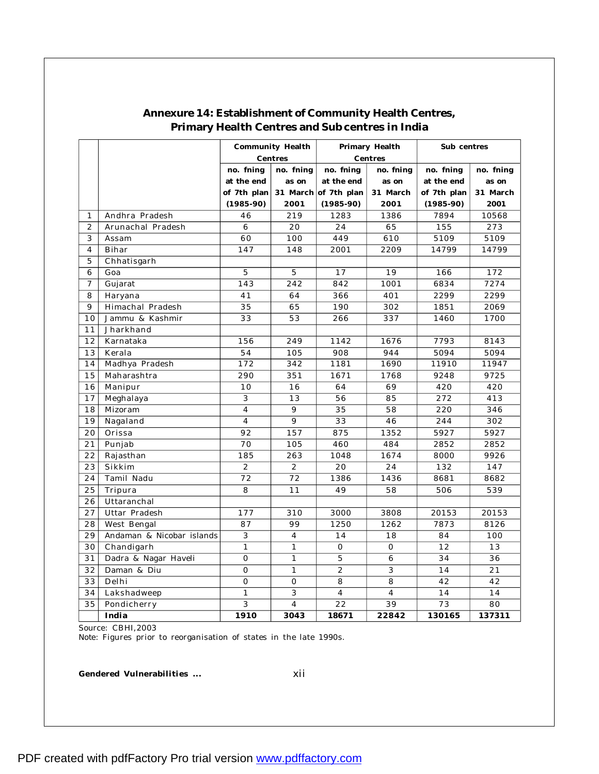|                         |                           | <b>Community Health</b> |                  | Primary Health          |                         | Sub centres |           |  |
|-------------------------|---------------------------|-------------------------|------------------|-------------------------|-------------------------|-------------|-----------|--|
|                         |                           |                         | Centres          |                         | Centres                 |             |           |  |
|                         |                           | no. fning               | no. fning        | no. fning               | no. fning               | no. fning   | no. fning |  |
|                         |                           | at the end              | as on            | at the end              | as on                   | at the end  | as on     |  |
|                         |                           | of 7th plan             |                  | 31 March of 7th plan    | 31 March                | of 7th plan | 31 March  |  |
|                         |                           | $(1985-90)$             | 2001             | $(1985-90)$             | 2001                    | $(1985-90)$ | 2001      |  |
| $\mathbf{1}$            | Andhra Pradesh            | 46                      | 219              | 1283                    | 1386                    | 7894        | 10568     |  |
| $\boldsymbol{2}$        | Arunachal Pradesh         | 6                       | 20               | 24                      | 65                      | 155         | 273       |  |
| 3                       | Assam                     | 60                      | 100              | 449                     | 610                     | 5109        | 5109      |  |
| $\overline{\mathbf{4}}$ | <b>Bihar</b>              | 147                     | 148              | 2001                    | 2209                    | 14799       | 14799     |  |
| $\mathbf 5$             | Chhatisgarh               |                         |                  |                         |                         |             |           |  |
| 6                       | Goa                       | $\mathbf 5$             | $\mathbf 5$      | 17                      | 19                      | 166         | 172       |  |
| 7                       | Gujarat                   | 143                     | 242              | 842                     | 1001                    | 6834        | 7274      |  |
| 8                       | Haryana                   | 41                      | 64               | 366                     | 401                     | 2299        | 2299      |  |
| 9                       | Himachal Pradesh          | 35                      | 65               | 190                     | 302                     | 1851        | 2069      |  |
| 10                      | Jammu & Kashmir           | 33                      | 53               | 266                     | 337                     | 1460        | 1700      |  |
| 11                      | Jharkhand                 |                         |                  |                         |                         |             |           |  |
| 12                      | Karnataka                 | 156                     | 249              | 1142                    | 1676                    | 7793        | 8143      |  |
| 13                      | Kerala                    | 54                      | 105              | 908                     | 944                     | 5094        | 5094      |  |
| 14                      | Madhya Pradesh            | 172                     | 342              | 1181                    | 1690                    | 11910       | 11947     |  |
| 15                      | Maharashtra               | 290                     | 351              | 1671                    | 1768                    | 9248        | 9725      |  |
| 16                      | <b>Manipur</b>            | 10                      | 16               | 64                      | 69                      | 420         | 420       |  |
| 17                      | Meghalaya                 | 3                       | 13               | 56                      | 85                      | 272         | 413       |  |
| 18                      | <b>Mizoram</b>            | $\boldsymbol{4}$        | 9                | 35                      | 58                      | 220         | 346       |  |
| 19                      | Nagaland                  | $\overline{\mathbf{4}}$ | 9                | 33                      | 46                      | 244         | 302       |  |
| 20                      | Orissa                    | 92                      | 157              | 875                     | 1352                    | 5927        | 5927      |  |
| 21                      | Punjab                    | 70                      | 105              | 460                     | 484                     | 2852        | 2852      |  |
| 22                      | Rajasthan                 | 185                     | 263              | 1048                    | 1674                    | 8000        | 9926      |  |
| 23                      | Sikkim                    | $\boldsymbol{2}$        | $\boldsymbol{2}$ | 20                      | 24                      | 132         | 147       |  |
| 24                      | Tamil Nadu                | 72                      | 72               | 1386                    | 1436                    | 8681        | 8682      |  |
| 25                      | Tripura                   | 8                       | 11               | 49                      | 58                      | 506         | 539       |  |
| 26                      | Uttaranchal               |                         |                  |                         |                         |             |           |  |
| 27                      | <b>Uttar Pradesh</b>      | 177                     | 310              | 3000                    | 3808                    | 20153       | 20153     |  |
| 28                      | <b>West Bengal</b>        | 87                      | 99               | 1250                    | 1262                    | 7873        | 8126      |  |
| 29                      | Andaman & Nicobar islands | 3                       | $\boldsymbol{4}$ | 14                      | 18                      | 84          | 100       |  |
| 30                      | Chandigarh                | $\mathbf{1}$            | $\mathbf{1}$     | $\bf{0}$                | $\bf{0}$                | 12          | 13        |  |
| 31                      | Dadra & Nagar Haveli      | $\bf{0}$                | $\mathbf{1}$     | $\mathbf{5}$            | 6                       | 34          | 36        |  |
| 32                      | Daman & Diu               | $\bf{0}$                | $\mathbf{1}$     | $\overline{2}$          | 3                       | 14          | 21        |  |
| 33                      | Delhi                     | $\bf{0}$                | $\bf{0}$         | 8                       | 8                       | 42          | 42        |  |
| 34                      | Lakshadweep               | $\mathbf{1}$            | 3                | $\overline{\mathbf{4}}$ | $\overline{\mathbf{4}}$ | 14          | 14        |  |
| 35                      | Pondicherry               | 3                       | 4                | 22                      | $\overline{39}$         | 73          | 80        |  |
|                         | India                     | 1910                    | 3043             | 18671                   | 22842                   | 130165      | 137311    |  |

### **Annexure 14: Establishment of Community Health Centres, Primary Health Centres and Sub centres in India**

*Source*: CBHI,2003

*Note*: Figures prior to reorganisation of states in the late 1990s.

**Gendered Vulnerabilities ...** xii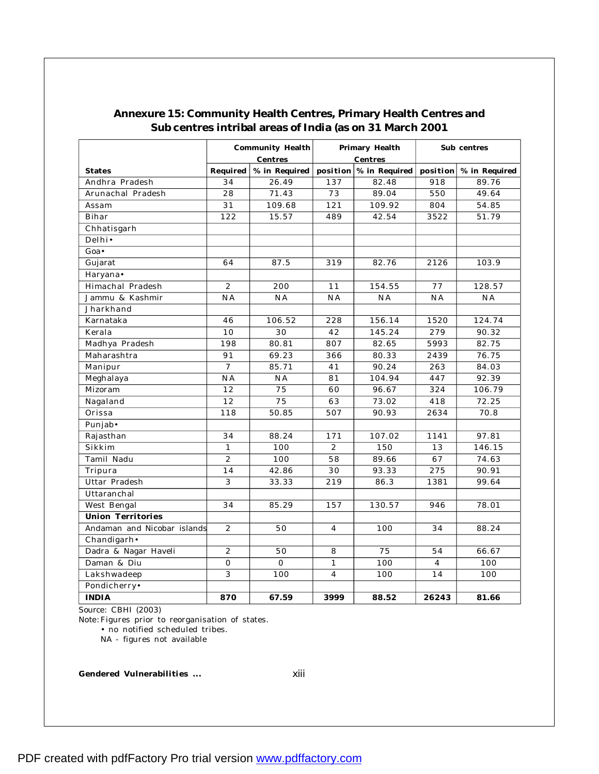|                             | <b>Community Health</b>  |                          | Primary Health          | Sub centres   |                          |               |
|-----------------------------|--------------------------|--------------------------|-------------------------|---------------|--------------------------|---------------|
|                             |                          | Centres                  | Centres                 |               |                          |               |
| <b>States</b>               | Required                 | % in Required            | position                | % in Required | position                 | % in Required |
| Andhra Pradesh              | 34                       | 26.49                    | 137                     | 82.48         | 918                      | 89.76         |
| Arunachal Pradesh           | 28                       | 71.43                    | 73                      | 89.04         | 550                      | 49.64         |
| Assam                       | 31                       | 109.68                   | 121                     | 109.92        | 804                      | 54.85         |
| <b>Bihar</b>                | 122                      | 15.57                    | 489                     | 42.54         | 3522                     | 51.79         |
| Chhatisgarh                 |                          |                          |                         |               |                          |               |
| Delhi•                      |                          |                          |                         |               |                          |               |
| Goa•                        |                          |                          |                         |               |                          |               |
| Gujarat                     | 64                       | 87.5                     | 319                     | 82.76         | 2126                     | 103.9         |
| Haryana•                    |                          |                          |                         |               |                          |               |
| <b>Himachal Pradesh</b>     | $\mathbf{2}$             | 200                      | 11                      | 154.55        | 77                       | 128.57        |
| Jammu & Kashmir             | $\mathbf{N}\,\mathbf{A}$ | $\mathbf{N}\,\mathbf{A}$ | NA                      | NA            | $\mathbf{N}\,\mathbf{A}$ | NA            |
| Jharkhand                   |                          |                          |                         |               |                          |               |
| Karnataka                   | 46                       | 106.52                   | 228                     | 156.14        | 1520                     | 124.74        |
| Kerala                      | 10                       | 30                       | 42                      | 145.24        | 279                      | 90.32         |
| Madhya Pradesh              | 198                      | 80.81                    | 807                     | 82.65         | 5993                     | 82.75         |
| Maharashtra                 | 91                       | 69.23                    | 366                     | 80.33         | 2439                     | 76.75         |
| <b>Manipur</b>              | $\boldsymbol{7}$         | 85.71                    | 41                      | 90.24         | 263                      | 84.03         |
| Meghalaya                   | $\mathbf{N}\,\mathbf{A}$ | NA                       | 81                      | 104.94        | 447                      | 92.39         |
| <b>Mizoram</b>              | 12                       | 75                       | 60                      | 96.67         | 324                      | 106.79        |
| Nagaland                    | 12                       | 75                       | 63                      | 73.02         | 418                      | 72.25         |
| Orissa                      | 118                      | 50.85                    | 507                     | 90.93         | 2634                     | 70.8          |
| Punjab•                     |                          |                          |                         |               |                          |               |
| Rajasthan                   | 34                       | 88.24                    | 171                     | 107.02        | 1141                     | 97.81         |
| <b>Sikkim</b>               | $\mathbf{1}$             | 100                      | $\boldsymbol{2}$        | 150           | 13                       | 146.15        |
| Tamil Nadu                  | 2                        | 100                      | 58                      | 89.66         | 67                       | 74.63         |
| Tripura                     | 14                       | 42.86                    | 30                      | 93.33         | 275                      | 90.91         |
| <b>Uttar Pradesh</b>        | 3                        | 33.33                    | 219                     | 86.3          | 1381                     | 99.64         |
| Uttaranchal                 |                          |                          |                         |               |                          |               |
| West Bengal                 | 34                       | 85.29                    | 157                     | 130.57        | 946                      | 78.01         |
| <b>Union Territories</b>    |                          |                          |                         |               |                          |               |
| Andaman and Nicobar islands | $\boldsymbol{2}$         | 50                       | $\overline{\mathbf{4}}$ | 100           | 34                       | 88.24         |
| Chandigarh•                 |                          |                          |                         |               |                          |               |
| Dadra & Nagar Haveli        | $\boldsymbol{2}$         | 50                       | 8                       | 75            | 54                       | 66.67         |
| Daman & Diu                 | 0                        | $\bf{0}$                 | $\mathbf{1}$            | 100           | $\boldsymbol{4}$         | 100           |
| Lakshwadeep                 | 3                        | 100                      | 4                       | 100           | 14                       | 100           |
| Pondicherry•                |                          |                          |                         |               |                          |               |
| <b>INDIA</b>                | 870                      | 67.59                    | 3999                    | 88.52         | 26243                    | 81.66         |

### **Annexure 15: Community Health Centres, Primary Health Centres and Sub centres intribal areas of India (as on 31 March 2001**

*Source*: CBHI (2003)

*Note*: Figures prior to reorganisation of states.

• no notified scheduled tribes.

NA - figures not available

**Gendered Vulnerabilities ...** xiii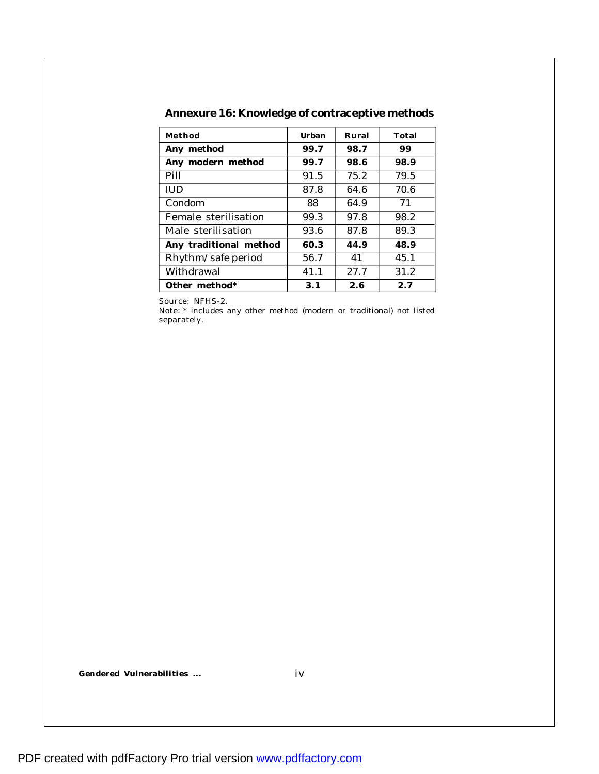| Method                      | Urban | Rural | Total |
|-----------------------------|-------|-------|-------|
| Any method                  | 99.7  | 98.7  | 99    |
| Any modern method           | 99.7  | 98.6  | 98.9  |
| Pill                        | 91.5  | 75.2  | 79.5  |
| <b>IUD</b>                  | 87.8  | 64.6  | 70.6  |
| Condom                      | 88    | 64.9  | 71    |
| <b>Female sterilisation</b> | 99.3  | 97.8  | 98.2  |
| Male sterilisation          | 93.6  | 87.8  | 89.3  |
| Any traditional method      | 60.3  | 44.9  | 48.9  |
| Rhythm/safe period          | 56.7  | 41    | 45.1  |
| Withdrawal                  | 41.1  | 27.7  | 31.2  |
| Other method <sup>*</sup>   | 3.1   | 2.6   | 2.7   |

**Annexure 16: Knowledge of contraceptive methods**

Source: NFHS-2.

Note: \* includes any other method (modern or traditional) not listed separately.

**Gendered Vulnerabilities ...** iv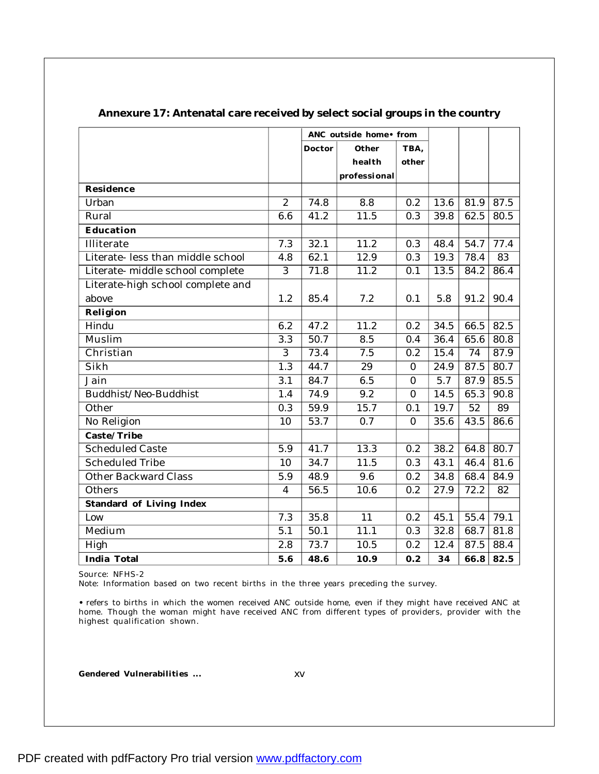|                                   |                  | ANC outside home• from |                   |                  |                   |                 |      |
|-----------------------------------|------------------|------------------------|-------------------|------------------|-------------------|-----------------|------|
|                                   |                  | Doctor                 | Other             | TBA.             |                   |                 |      |
|                                   |                  |                        | health            | other            |                   |                 |      |
|                                   |                  |                        | professional      |                  |                   |                 |      |
| Residence                         |                  |                        |                   |                  |                   |                 |      |
| <b>Urban</b>                      | $\boldsymbol{2}$ | 74.8                   | 8.8               | 0.2              | 13.6              | 81.9            | 87.5 |
| <b>Rural</b>                      | 6.6              | 41.2                   | $\overline{11.5}$ | 0.3              | 39.8              | 62.5            | 80.5 |
| Education                         |                  |                        |                   |                  |                   |                 |      |
| Illiterate                        | 7.3              | 32.1                   | 11.2              | 0.3              | 48.4              | 54.7            | 77.4 |
| Literate-less than middle school  | 4.8              | 62.1                   | 12.9              | 0.3              | 19.3              | 78.4            | 83   |
| Literate- middle school complete  | $\overline{3}$   | 71.8                   | 11.2              | 0.1              | 13.5              | 84.2            | 86.4 |
| Literate-high school complete and |                  |                        |                   |                  |                   |                 |      |
| above                             | 1.2              | 85.4                   | 7.2               | 0.1              | 5.8               | 91.2            | 90.4 |
| Religion                          |                  |                        |                   |                  |                   |                 |      |
| Hindu                             | 6.2              | 47.2                   | 11.2              | 0.2              | 34.5              | 66.5            | 82.5 |
| <b>Muslim</b>                     | 3.3              | 50.7                   | 8.5               | 0.4              | 36.4              | 65.6            | 80.8 |
| Christian                         | $\overline{3}$   | 73.4                   | $\overline{7.5}$  | $\overline{0.2}$ | 15.4              | $\overline{74}$ | 87.9 |
| Sikh                              | 1.3              | 44.7                   | 29                | $\bf{0}$         | 24.9              | 87.5            | 80.7 |
| Jain                              | 3.1              | 84.7                   | 6.5               | $\bf{0}$         | 5.7               | 87.9            | 85.5 |
| Buddhist/Neo-Buddhist             | 1.4              | 74.9                   | 9.2               | $\bf{0}$         | $\overline{14.5}$ | 65.3            | 90.8 |
| Other                             | 0.3              | 59.9                   | 15.7              | 0.1              | 19.7              | 52              | 89   |
| <b>No Religion</b>                | 10               | 53.7                   | 0.7               | $\bf{0}$         | 35.6              | 43.5            | 86.6 |
| Caste/Tribe                       |                  |                        |                   |                  |                   |                 |      |
| <b>Scheduled Caste</b>            | 5.9              | 41.7                   | 13.3              | 0.2              | 38.2              | 64.8            | 80.7 |
| <b>Scheduled Tribe</b>            | 10               | 34.7                   | 11.5              | 0.3              | 43.1              | 46.4            | 81.6 |
| <b>Other Backward Class</b>       | 5.9              | 48.9                   | 9.6               | 0.2              | 34.8              | 68.4            | 84.9 |
| <b>Others</b>                     | $\boldsymbol{4}$ | 56.5                   | 10.6              | 0.2              | 27.9              | 72.2            | 82   |
| <b>Standard of Living Index</b>   |                  |                        |                   |                  |                   |                 |      |
| Low                               | 7.3              | 35.8                   | 11                | 0.2              | 45.1              | 55.4            | 79.1 |
| Medium                            | 5.1              | $\overline{50.1}$      | $\overline{11.1}$ | 0.3              | 32.8              | 68.7            | 81.8 |
| High                              | 2.8              | 73.7                   | 10.5              | 0.2              | 12.4              | 87.5            | 88.4 |
| <b>India Total</b>                | 5.6              | 48.6                   | 10.9              | 0.2              | 34                | 66.8            | 82.5 |

#### **Annexure 17: Antenatal care received by select social groups in the country**

Source: NFHS-2

Note: Information based on two recent births in the three years preceding the survey.

**•** refers to births in which the women received ANC outside home, even if they might have received ANC at home. Though the woman might have received ANC from different types of providers, provider with the highest qualification shown.

**Gendered Vulnerabilities ...** xv